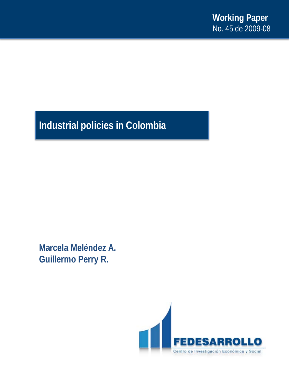# **Industrial policies in Colombia**

**Marcela Meléndez A. Guillermo Perry R.**

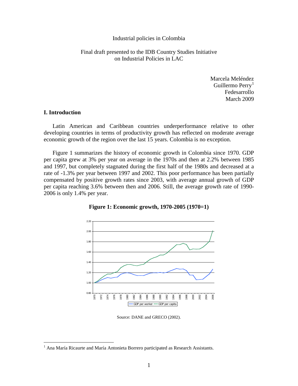#### Industrial policies in Colombia

# Final draft presented to the IDB Country Studies Initiative on Industrial Policies in LAC

Marcela Meléndez Guillermo Perry<sup>[1](#page-1-0)</sup> Fedesarrollo March 2009

# **I. Introduction**

Latin American and Caribbean countries underperformance relative to other developing countries in terms of productivity growth has reflected on moderate average economic growth of the region over the last 15 years. Colombia is no exception.

Figure 1 summarizes the history of economic growth in Colombia since 1970. GDP per capita grew at 3% per year on average in the 1970s and then at 2.2% between 1985 and 1997, but completely stagnated during the first half of the 1980s and decreased at a rate of -1.3% per year between 1997 and 2002. This poor performance has been partially compensated by positive growth rates since 2003, with average annual growth of GDP per capita reaching 3.6% between then and 2006. Still, the average growth rate of 1990- 2006 is only 1.4% per year.



**Figure 1: Economic growth, 1970-2005 (1970=1)**

Source: DANE and GRECO (2002).

<span id="page-1-0"></span><sup>&</sup>lt;sup>1</sup> Ana María Ricaurte and María Antonieta Borrero participated as Research Assistants.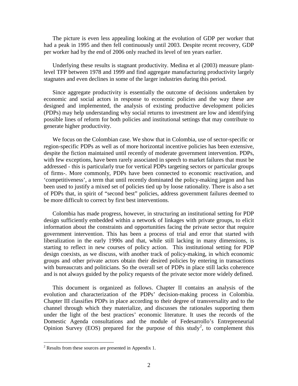The picture is even less appealing looking at the evolution of GDP per worker that had a peak in 1995 and then fell continuously until 2003. Despite recent recovery, GDP per worker had by the end of 2006 only reached its level of ten years earlier.

Underlying these results is stagnant productivity. Medina et al (2003) measure plantlevel TFP between 1978 and 1999 and find aggregate manufacturing productivity largely stagnates and even declines in some of the larger industries during this period.

Since aggregate productivity is essentially the outcome of decisions undertaken by economic and social actors in response to economic policies and the way these are designed and implemented, the analysis of existing productive development policies (PDPs) may help understanding why social returns to investment are low and identifying possible lines of reform for both policies and institutional settings that may contribute to generate higher productivity.

We focus on the Colombian case. We show that in Colombia, use of sector-specific or region-specific PDPs as well as of more horizontal incentive policies has been extensive, despite the fiction maintained until recently of moderate government intervention. PDPs, with few exceptions, have been rarely associated in speech to market failures that must be addressed - this is particularly true for vertical PDPs targeting sectors or particular groups of firms-. More commonly, PDPs have been connected to economic reactivation, and 'competitiveness', a term that until recently dominated the policy-making jargon and has been used to justify a mixed set of policies tied up by loose rationality. There is also a set of PDPs that, in spirit of "second best" policies, address government failures deemed to be more difficult to correct by first best interventions.

Colombia has made progress, however, in structuring an institutional setting for PDP design sufficiently embedded within a network of linkages with private groups, to elicit information about the constraints and opportunities facing the private sector that require government intervention. This has been a process of trial and error that started with liberalization in the early 1990s and that, while still lacking in many dimensions, is starting to reflect in new courses of policy action. This institutional setting for PDP design coexists, as we discuss, with another track of policy-making, in which economic groups and other private actors obtain their desired policies by entering in transactions with bureaucrats and politicians. So the overall set of PDPs in place still lacks coherence and is not always guided by the policy requests of the private sector more widely defined.

This document is organized as follows. Chapter II contains an analysis of the evolution and characterization of the PDPs' decision-making process in Colombia. Chapter III classifies PDPs in place according to their degree of transversality and to the channel through which they materialize, and discusses the rationales supporting them under the light of the best practices' economic literature. It uses the records of the Domestic Agenda consultations and the module of Fedesarrollo's Entrepreneurial Opinion Survey (EOS) prepared for the purpose of this study<sup>[2](#page-2-0)</sup>, to complement this

<span id="page-2-0"></span> $2$  Results from these sources are presented in Appendix 1.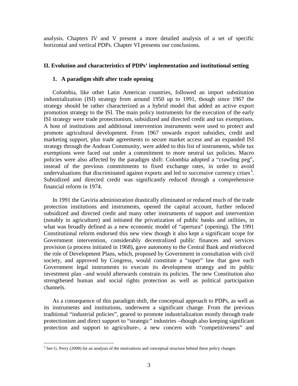analysis. Chapters IV and V present a more detailed analysis of a set of specific horizontal and vertical PDPs. Chapter VI presents our conclusions.

# **II. Evolution and characteristics of PDPs' implementation and institutional setting**

# **1. A paradigm shift after trade opening**

Colombia, like other Latin American countries, followed an import substitution industrialization (ISI) strategy from around 1950 up to 1991, though since 1967 the strategy should be rather characterized as a hybrid model that added an active export promotion strategy to the ISI. The main policy instruments for the execution of the early ISI strategy were trade protectionism, subsidized and directed credit and tax exemptions. A host of institutions and additional intervention instruments were used to protect and promote agricultural development. From 1967 onwards export subsidies, credit and marketing support, plus trade agreements to secure market access and an expanded ISI strategy through the Andean Community, were added to this list of instruments, while tax exemptions were faced out under a commitment to more neutral tax policies. Macro policies were also affected by the paradigm shift: Colombia adopted a "crawling peg", instead of the previous commitments to fixed exchange rates, in order to avoid undervaluations that discriminated against exports and led to successive currency crises<sup>[3](#page-3-0)</sup>. Subsidized and directed credit was significantly reduced through a comprehensive financial reform in 1974.

In 1991 the Gaviria administration drastically eliminated or reduced much of the trade protection institutions and instruments, opened the capital account, further reduced subsidized and directed credit and many other instruments of support and intervention (notably in agriculture) and initiated the privatization of public banks and utilities, in what was broadly defined as a new economic model of "apertura" (opening). The 1991 Constitutional reform endorsed this new view though it also kept a significant scope for Government intervention, considerably decentralized public finances and services provision (a process initiated in 1968), gave autonomy to the Central Bank and reinforced the role of Development Plans, which, proposed by Government in consultation with civil society, and approved by Congress, would constitute a "super" law that gave each Government legal instruments to execute its development strategy and its public investment plan –and would afterwards constrain its policies. The new Constitution also strengthened human and social rights protection as well as political participation channels.

As a consequence of this paradigm shift, the conceptual approach to PDPs, as well as its instruments and institutions, underwent a significant change. From the previous traditional "industrial policies", geared to promote industrialization mostly through trade protectionism and direct support to "strategic" industries –though also keeping significant protection and support to agriculture-, a new concern with "competitiveness" and

<span id="page-3-0"></span><sup>&</sup>lt;sup>3</sup> See G. Perry (2008) for an analysis of the motivations and conceptual structure behind these policy changes.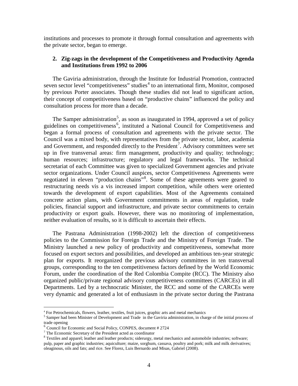institutions and processes to promote it through formal consultation and agreements with the private sector, began to emerge.

## **2. Zig-zags in the development of the Competitiveness and Productivity Agenda and Institutions from 1992 to 2006**

The Gaviria administration, through the Institute for Industrial Promotion, contracted seven sector level "competitiveness" studies<sup>[4](#page-4-0)</sup> to an international firm, Monitor, composed by previous Porter associates. Though these studies did not lead to significant action, their concept of competitiveness based on "productive chains" influenced the policy and consultation process for more than a decade.

The Samper administration<sup>[5](#page-4-1)</sup>, as soon as inaugurated in 1994, approved a set of policy guidelines on competitiveness<sup>[6](#page-4-2)</sup>, instituted a National Council for Competitiveness and began a formal process of consultation and agreements with the private sector. The Council was a mixed body, with representatives from the private sector, labor, academia and Government, and responded directly to the President<sup>[7](#page-4-3)</sup>. Advisory committees were set up in five transversal areas: firm management, productivity and quality; technology; human resources; infrastructure; regulatory and legal frameworks. The technical secretariat of each Committee was given to specialized Government agencies and private sector organizations. Under Council auspices, sector Competitiveness Agreements were negotiated in eleven "production chains"<sup>[8](#page-4-4)</sup>. Some of these agreements were geared to restructuring needs vis a vis increased import competition, while others were oriented towards the development of export capabilities. Most of the Agreements contained concrete action plans, with Government commitments in areas of regulation, trade policies, financial support and infrastructure, and private sector commitments to certain productivity or export goals. However, there was no monitoring of implementation, neither evaluation of results, so it is difficult to ascertain their effects.

The Pastrana Administration (1998-2002) left the direction of competitiveness policies to the Commission for Foreign Trade and the Ministry of Foreign Trade. The Ministry launched a new policy of productivity and competitiveness, somewhat more focused on export sectors and possibilities, and developed an ambitious ten-year strategic plan for exports. It reorganized the previous advisory committees in ten transversal groups, corresponding to the ten competitiveness factors defined by the World Economic Forum, under the coordination of the Red Colombia Compite (RCC). The Ministry also organized public/private regional advisory competitiveness committees (CARCEs) in all Departments. Led by a technocratic Minister, the RCC and some of the CARCEs were very dynamic and generated a lot of enthusiasm in the private sector during the Pastrana

<span id="page-4-1"></span><span id="page-4-0"></span> $^4$  For Petrochemicals, flowers, leather, textiles, fruit juices, graphic arts and metal mechanics  $^5$  Samper had been Minister of Development and Trade in the Gaviria administration, in charge of the initial process of trade opening

<span id="page-4-2"></span> $\frac{6}{7}$  Council for Economic and Social Policy, CONPES, document # 2724  $\frac{7}{7}$  The Economic Secretary of the President acted as coordinator

<span id="page-4-4"></span><span id="page-4-3"></span><sup>&</sup>lt;sup>8</sup> Textiles and apparel; leather and leather products; siderurgy, metal mechanics and automobile industries; software; pulp, paper and graphic industries; aquiculture; maize, sorghum, cassava, poultry and pork; milk and milk derivatives; oleaginous, oils and fats; and rice. See Florez, Luis Bernardo and Misas, Gabriel (2008).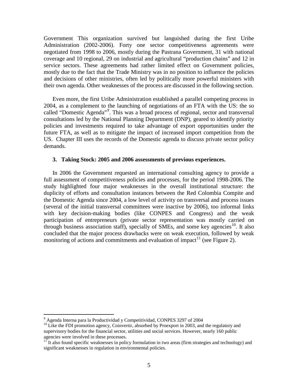Government This organization survived but languished during the first Uribe Administration (2002-2006). Forty one sector competitiveness agreements were negotiated from 1998 to 2006, mostly during the Pastrana Government, 31 with national coverage and 10 regional, 29 on industrial and agricultural "production chains" and 12 in service sectors. These agreements had rather limited effect on Government policies, mostly due to the fact that the Trade Ministry was in no position to influence the policies and decisions of other ministries, often led by politically more powerful ministers with their own agenda. Other weaknesses of the process are discussed in the following section.

Even more, the first Uribe Administration established a parallel competing process in 2004, as a complement to the launching of negotiations of an FTA with the US: the so called "Domestic Agenda"<sup>[9](#page-5-0)</sup>. This was a broad process of regional, sector and transversal consultations led by the National Planning Department (DNP), geared to identify priority policies and investments required to take advantage of export opportunities under the future FTA, as well as to mitigate the impact of increased import competition from the US. Chapter III uses the records of the Domestic agenda to discuss private sector policy demands.

#### **3. Taking Stock: 2005 and 2006 assessments of previous experiences.**

In 2006 the Government requested an international consulting agency to provide a full assessment of competitiveness policies and processes, for the period 1998-2006. The study highlighted four major weaknesses in the overall institutional structure: the duplicity of efforts and consultation instances between the Red Colombia Compite and the Domestic Agenda since 2004, a low level of activity on transversal and process issues (several of the initial transversal committees were inactive by 2006), too informal links with key decision-making bodies (like CONPES and Congress) and the weak participation of entrepreneurs (private sector representation was mostly carried on through business association staff), specially of SMEs, and some key agencies<sup>10</sup>. It also concluded that the major process drawbacks were on weak execution, followed by weak monitoring of actions and commitments and evaluation of impact<sup>[11](#page-5-2)</sup> (see [Figure 2\)](#page-6-0).

<span id="page-5-0"></span> <sup>9</sup> Agenda Interna para la Productividad y Competitividad, CONPES 3297 of 2004

<span id="page-5-1"></span><sup>&</sup>lt;sup>10</sup> Like the FDI promotion agency, Coinvertir, absorbed by Proexport in 2003, and the regulatory and supervisory bodies for the financial sector, utilities and social services. However, nearly 160 public agencies were involved in these processes.

<span id="page-5-2"></span><sup>&</sup>lt;sup>11</sup> It also found specific weaknesses in policy formulation in two areas (firm strategies and technology) and significant weaknesses in regulation in environmental policies.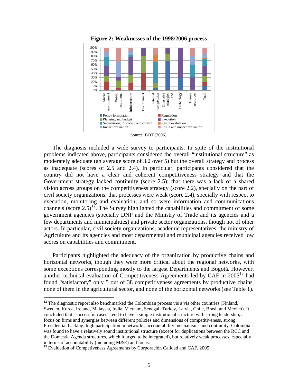<span id="page-6-0"></span>

**Figure 2: Weaknesses of the 1998/2006 process**

The diagnosis included a wide survey to participants. In spite of the institutional problems indicated above, participants considered the overall "institutional structure" as moderately adequate (an average score of 3.2 over 5) but the overall strategy and process as inadequate (scores of 2.5 and 2.4). In particular, participants considered that the country did not have a clear and coherent competitiveness strategy and that the Government strategy lacked continuity (score 2.5); that there was a lack of a shared vision across groups on the competitiveness strategy (score 2.2), specially on the part of civil society organizations; that processes were weak (score 2.4), specially with respect to execution, monitoring and evaluation; and so were information and communications channels (score  $2.5$ )<sup>[12](#page-6-1)</sup>. The Survey highlighted the capabilities and commitment of some government agencies (specially DNP and the Ministry of Trade and its agencies and a few departments and municipalities) and private sector organizations, though not of other actors. In particular, civil society organizations, academic representatives, the ministry of Agriculture and its agencies and most departmental and municipal agencies received low scores on capabilities and commitment.

Participants highlighted the adequacy of the organization by productive chains and horizontal networks, though they were more critical about the regional networks, with some exceptions corresponding mostly to the largest Departments and Bogotá. However, another technical evaluation of Competitiveness Agreements led by CAF in 2005 [13](#page-6-2) had none of them in the agricultural sector, and none of the horizontal networks (see Table 1). found "satisfactory" only 5 out of 38 competitiveness agreements by productive chains,

<span id="page-6-1"></span> $12$  The diagnostic report also benchmarked the Colombian process vis a vis other countries (Finland, Sweden, Korea, Ireland, Malaysia, India, Vietnam, Senegal, Turkey, Latvia, Chile, Brasil and Mexico). It concluded that "successful cases" tend to have a simple institutional structure with strong leadership, a focus on firms and synergies between different policies and dimensions of competitiveness, strong Presidential backing, high participation in networks, accountability mechanisms and continuity. Colombia was found to have a relatively sound institutional structure (except for duplications between the RCC and the Domestic Agenda structures, which it urged to be integrated), but relatively weak processes, especially in terms of accountability (including M&E) and focus.

Source: BOT (2006).

<span id="page-6-2"></span> $13$  Evaluation of Competiveness Agreements by Corporación Calidad and CAF, 2005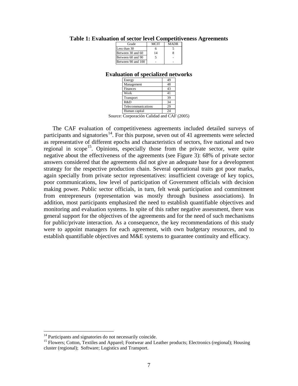| Grade              | MCIT | <b>MADR</b> |  |
|--------------------|------|-------------|--|
| Less than 30       |      |             |  |
| Between 30 and 60  | 14   |             |  |
| Between 60 and 90  |      |             |  |
| Between 90 and 100 |      |             |  |

#### <span id="page-7-0"></span>**Table 1: Evaluation of sector level Competitiveness Agreements**

#### **Evaluation of specialized networks**

| Energy             |    |
|--------------------|----|
| Management         | 48 |
| Finances           | 43 |
| Work               | 41 |
| Transport          | 39 |
| R&D                | 34 |
| Telecommunications | 29 |
| Human capital      | 24 |

Source: Corporación Calidad and CAF (2005)

The CAF evaluation of competitiveness agreements included detailed surveys of participants and signatories<sup>14</sup>. For this purpose, seven out of 41 agreements were selected as representative of different epochs and characteristics of sectors, five national and two regional in scope<sup>[15](#page-7-2)</sup>. Opinions, especially those from the private sector, were quite negative about the effectiveness of the agreements (see Figure 3): 68% of private sector answers considered that the agreements did not give an adequate base for a development strategy for the respective production chain. Several operational traits got poor marks, again specially from private sector representatives: insufficient coverage of key topics, poor communications, low level of participation of Government officials with decision making power. Public sector officials, in turn, felt weak participation and commitment from entrepreneurs (representation was mostly through business associations). In addition, most participants emphasized the need to establish quantifiable objectives and monitoring and evaluation systems. In spite of this rather negative assessment, there was general support for the objectives of the agreements and for the need of such mechanisms for public/private interaction. As a consequence, the key recommendations of this study were to appoint managers for each agreement, with own budgetary resources, and to establish quantifiable objectives and M&E systems to guarantee continuity and efficacy.

<span id="page-7-2"></span><span id="page-7-1"></span><sup>&</sup>lt;sup>14</sup> Participants and signatories do not necessarily coincide.<br><sup>15</sup> Flowers; Cotton, Textiles and Apparel; Footwear and Leather products; Electronics (regional); Housing cluster (regional); Software; Logistics and Transport.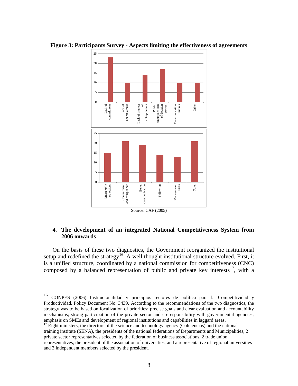

<span id="page-8-0"></span>**Figure 3: Participants Survey - Aspects limiting the effectiveness of agreements**

Source: CAF (2005)

# **4. The development of an integrated National Competitiveness System from 2006 onwards**

On the basis of these two diagnostics, the Government reorganized the institutional setup and redefined the strategy<sup>[16](#page-8-1)</sup>. A well thought institutional structure evolved. First, it is a unified structure, coordinated by a national commission for competitiveness (CNC) composed by a balanced representation of public and private key interests<sup>[17](#page-8-2)</sup>, with a

<span id="page-8-2"></span> $17$  Eight ministers, the directors of the science and technology agency (Colciencias) and the national training institute (SENA), the presidents of the national federations of Departments and Municipalities, 2 private sector representatives selected by the federation of business associations, 2 trade union representatives, the president of the association of universities, and a representative of regional universities and 3 independent members selected by the president.

<span id="page-8-1"></span> <sup>16</sup> CONPES (2006) Institucionalidad y principios rectores de política para la Competitividad y Productividad. Policy Document No. 3439. According to the recommendations of the two diagnostics, the strategy was to be based on focalization of priorities; precise goals and clear evaluation and accountability mechanisms; strong participation of the private sector and co-responsibility with governmental agencies; emphasis on SMEs and development of regional institutions and capabilities in laggard areas.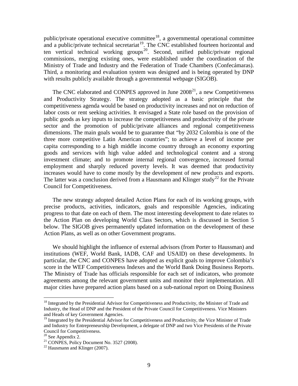public/private operational executive committee<sup>18</sup>, a governmental operational committee and a public/private technical secretariat<sup>19</sup>. The CNC established fourteen horizontal and ten vertical technical working groups<sup>[20](#page-9-2)</sup>. Second, unified public/private regional commissions, merging existing ones, were established under the coordination of the Ministry of Trade and Industry and the Federation of Trade Chambers (Confecámaras). Third, a monitoring and evaluation system was designed and is being operated by DNP with results publicly available through a governmental webpage (SIGOB).

The CNC elaborated and CONPES approved in June  $2008<sup>21</sup>$ , a new Competitiveness and Productivity Strategy. The strategy adopted as a basic principle that the competitiveness agenda would be based on productivity increases and not on reduction of labor costs or rent seeking activities. It envisaged a State role based on the provision of public goods as key inputs to increase the competitiveness and productivity of the private sector and the promotion of public/private alliances and regional competitiveness dimensions. The main goals would be to guarantee that "by 2032 Colombia is one of the three more competitive Latin American countries"; to achieve a level of income per capita corresponding to a high middle income country through an economy exporting goods and services with high value added and technological content and a strong investment climate; and to promote internal regional convergence, increased formal employment and sharply reduced poverty levels. It was deemed that productivity increases would have to come mostly by the development of new products and exports. The latter was a conclusion derived from a Hausmann and Klinger study<sup>[22](#page-9-4)</sup> for the Private Council for Competitiveness.

The new strategy adopted detailed Action Plans for each of its working groups, with precise products, activities, indicators, goals and responsible Agencies, indicating progress to that date on each of them. The most interesting development to date relates to the Action Plan on developing World Class Sectors, which is discussed in Section 5 below. The SIGOB gives permanently updated information on the development of these Action Plans, as well as on other Government programs.

We should highlight the influence of external advisors (from Porter to Haussman) and institutions (WEF, World Bank, IADB, CAF and USAID) on these developments. In particular, the CNC and CONPES have adopted as explicit goals to improve Colombia's score in the WEF Competitiveness Indexes and the World Bank Doing Business Reports. The Ministry of Trade has officials responsible for each set of indicators, who promote agreements among the relevant government units and monitor their implementation. All major cities have prepared action plans based on a sub-national report on Doing Business

<span id="page-9-0"></span><sup>&</sup>lt;sup>18</sup> Integrated by the Presidential Advisor for Competitiveness and Productivity, the Minister of Trade and Industry, the Head of DNP and the President of the Private Council for Competitiveness. Vice Ministers and Heads of key Government Agencies.

<span id="page-9-1"></span><sup>&</sup>lt;sup>19</sup> Integrated by the Presidential Advisor for Competitiveness and Productivity, the Vice Minister of Trade and Industry for Entrepreneurship Development, a delegate of DNP and two Vice Presidents of the Private Council for Competitiveness.<br> $20$  See Appendix 2.

<span id="page-9-2"></span>

<span id="page-9-3"></span><sup>&</sup>lt;sup>21</sup> CONPES, Policy Document No. 3527 (2008).<br><sup>22</sup> Hausmann and Klinger (2007).

<span id="page-9-4"></span>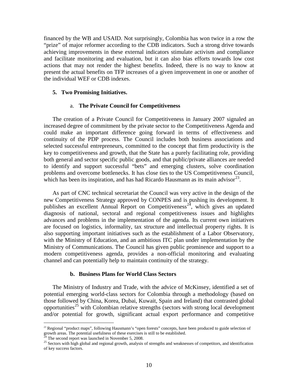financed by the WB and USAID. Not surprisingly, Colombia has won twice in a row the "prize" of major reformer according to the CDB indicators. Such a strong drive towards achieving improvements in these external indicators stimulate activism and compliance and facilitate monitoring and evaluation, but it can also bias efforts towards low cost actions that may not render the highest benefits. Indeed, there is no way to know at present the actual benefits on TFP increases of a given improvement in one or another of the individual WEF or CDB indexes.

#### **5. Two Promising Initiatives.**

#### a. **The Private Council for Competitiveness**

The creation of a Private Council for Competitiveness in January 2007 signaled an increased degree of commitment by the private sector to the Competitiveness Agenda and could make an important difference going forward in terms of effectiveness and continuity of the PDP process. The Council includes both business associations and selected successful entrepreneurs, committed to the concept that firm productivity is the key to competitiveness and growth, that the State has a purely facilitating role, providing both general and sector specific public goods, and that public/private alliances are needed to identify and support successful "bets" and emerging clusters, solve coordination problems and overcome bottlenecks. It has close ties to the US Competitiveness Council, which has been its inspiration, and has had Ricardo Hausmann as its main advisor $^{23}$  $^{23}$  $^{23}$ .

As part of CNC technical secretariat the Council was very active in the design of the new Competitiveness Strategy approved by CONPES and is pushing its development. It publishes an excellent Annual Report on Competitiveness<sup>[24](#page-10-1)</sup>, which gives an updated diagnosis of national, sectoral and regional competitiveness issues and highlights advances and problems in the implementation of the agenda. Its current own initiatives are focused on logistics, informality, tax structure and intellectual property rights. It is also supporting important initiatives such as the establishment of a Labor Observatory, with the Ministry of Education, and an ambitious ITC plan under implementation by the Ministry of Communications. The Council has given public prominence and support to a modern competitiveness agenda, provides a non-official monitoring and evaluating channel and can potentially help to maintain continuity of the strategy.

#### **b. Business Plans for World Class Sectors**

The Ministry of Industry and Trade, with the advice of McKinsey, identified a set of potential emerging world-class sectors for Colombia through a methodology (based on those followed by China, Korea, Dubai, Kuwait, Spain and Ireland) that contrasted global opportunities<sup>[25](#page-10-2)</sup> with Colombian relative strengths (sectors with strong local development and/or potential for growth, significant actual export performance and competitive

<span id="page-10-0"></span> $^{23}$  Regional "product maps", following Hausmann's "open forests" concepts, have been produced to guide selection of growth areas. The potential usefulness of these exercises is still to be established.<br><sup>24</sup> The second report was launched in November 5, 2008.

<span id="page-10-2"></span><span id="page-10-1"></span> $^{25}$  Sectors with high global and regional growth, analysis of strengths and weaknesses of competitors, and identification of key success factors.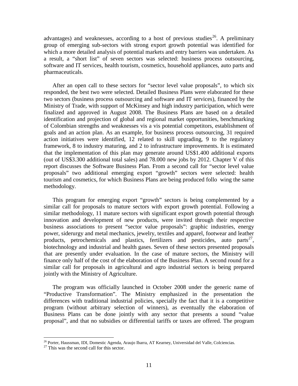advantages) and weaknesses, according to a host of previous studies<sup>[26](#page-11-0)</sup>. A preliminary group of emerging sub-sectors with strong export growth potential was identified for which a more detailed analysis of potential markets and entry barriers was undertaken. As a result, a "short list" of seven sectors was selected: business process outsourcing, software and IT services, health tourism, cosmetics, household appliances, auto parts and pharmaceuticals.

After an open call to these sectors for "sector level value proposals", to which six responded, the best two were selected. Detailed Business Plans were elaborated for these two sectors (business process outsourcing and software and IT services), financed by the Ministry of Trade, with support of McKinsey and high industry participation, which were finalized and approved in August 2008. The Business Plans are based on a detailed identification and projection of global and regional market opportunities, benchmarking of Colombian strengths and weaknesses vis a vis potential competitors, establishment of goals and an action plan. As an example, for business process outsourcing, 31 required action initiatives were identified, 12 related to skill upgrading, 9 to the regulatory framework, 8 to industry maturing, and 2 to infrastructure improvements. It is estimated that the implementation of this plan may generate around US\$1.400 additional exports (out of US\$3.300 additional total sales) and 78.000 new jobs by 2012. Chapter V of this report discusses the Software Business Plan. From a second call for "sector level value proposals" two additional emerging export "growth" sectors were selected: health tourism and cosmetics, for which Business Plans are being produced follo wing the same methodology.

This program for emerging export "growth" sectors is being complemented by a similar call for proposals to mature sectors with export growth potential. Following a similar methodology, 11 mature sectors with significant export growth potential through innovation and development of new products, were invited through their respective business associations to present "sector value proposals": graphic industries, energy power, siderurgy and metal mechanics, jewelry, textiles and apparel, footwear and leather products, petrochemicals and plastics, fertilizers and pesticides, auto parts<sup>[27](#page-11-1)</sup>, biotechnology and industrial and health gases. Seven of these sectors presented proposals that are presently under evaluation. In the case of mature sectors, the Ministry will finance only half of the cost of the elaboration of the Business Plan. A second round for a similar call for proposals in agricultural and agro industrial sectors is being prepared jointly with the Ministry of Agriculture.

The program was officially launched in October 2008 under the generic name of "Productive Transformation". The Ministry emphasized in the presentation the differences with traditional industrial policies, specially the fact that it is a competitive program (without arbitrary selection of winners), as eventually the elaboration of Business Plans can be done jointly with any sector that presents a sound "value proposal", and that no subsidies or differential tariffs or taxes are offered. The program

<span id="page-11-1"></span><span id="page-11-0"></span><sup>&</sup>lt;sup>26</sup> Porter, Haussman, IDI, Domestic Agenda, Araujo Ibarra, AT Kearney, Universidad del Valle, Colciencias. <sup>27</sup> This was the second call for this sector.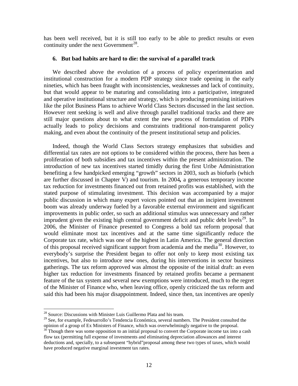has been well received, but it is still too early to be able to predict results or even continuity under the next Government<sup>[28](#page-12-0)</sup>.

## **6. But bad habits are hard to die: the survival of a parallel track**

We described above the evolution of a process of policy experimentation and institutional construction for a modern PDP strategy since trade opening in the early nineties, which has been fraught with inconsistencies, weaknesses and lack of continuity, but that would appear to be maturing and consolidating into a participative, integrated and operative institutional structure and strategy, which is producing promising initiatives like the pilot Business Plans to achieve World Class Sectors discussed in the last section. However rent seeking is well and alive through parallel traditional tracks and there are still major questions about to what extent the new process of formulation of PDPs actually leads to policy decisions and constraints traditional non-transparent policy making, and even about the continuity of the present institutional setup and policies.

Indeed, though the World Class Sectors strategy emphasizes that subsidies and differential tax rates are not options to be considered within the process, there has been a proliferation of both subsidies and tax incentives within the present administration. The introduction of new tax incentives started timidly during the first Uribe Administration benefiting a few handpicked emerging "growth" sectors in 2003, such as biofuels (which are further discussed in Chapter V) and tourism. In 2004*,* a generous temporary income tax reduction for investments financed out from retained profits was established, with the stated purpose of stimulating investment. This decision was accompanied by a major public discussion in which many expert voices pointed out that an incipient investment boom was already underway fueled by a favorable external environment and significant improvements in public order, so such an additional stimulus was unnecessary and rather imprudent given the existing high central government deficit and public debt levels $^{29}$ . In 2006, the Minister of Finance presented to Congress a bold tax reform proposal that would eliminate most tax incentives and at the same time significantly reduce the Corporate tax rate, which was one of the highest in Latin America. The general direction of this proposal received significant support from academia and the media<sup>[30](#page-12-2)</sup>. However, to everybody's surprise the President began to offer not only to keep most existing tax incentives, but also to introduce new ones, during his interventions in sector business gatherings. The tax reform approved was almost the opposite of the initial draft: an even higher tax reduction for investments financed by retained profits became a permanent feature of the tax system and several new exemptions were introduced, much to the regret of the Minister of Finance who, when leaving office, openly criticized the tax reform and said this had been his major disappointment. Indeed, since then, tax incentives are openly

<span id="page-12-0"></span><sup>&</sup>lt;sup>28</sup> Source: Discussions with Minister Luis Guillermo Plata and his team.

<span id="page-12-1"></span><sup>&</sup>lt;sup>29</sup> See, for example, Fedesarrollo's Tendencia Económica, several numbers. The President consulted the opinion of a group of Ex Ministers of Finance, which was overwhelmingly negative to the proposal.

<span id="page-12-2"></span> $30$  Though there was some opposition to an initial proposal to convert the Corporate income tax into a cash flow tax (permitting full expense of investments and eliminating depreciation allowances and interest deductions and, specially, to a subsequent "hybrid"proposal among these two types of taxes, which would have produced negative marginal investment tax rates.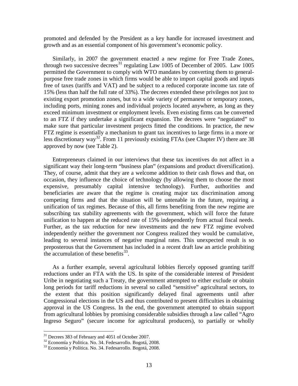promoted and defended by the President as a key handle for increased investment and growth and as an essential component of his government's economic policy.

Similarly, in 2007 the government enacted a new regime for Free Trade Zones, through two successive decrees<sup>[31](#page-13-0)</sup> regulating Law 1005 of December of 2005. Law 1005 permitted the Government to comply with WTO mandates by converting them to generalpurpose free trade zones in which firms would be able to import capital goods and inputs free of taxes (tariffs and VAT) and be subject to a reduced corporate income tax rate of 15% (less than half the full rate of 33%). The decrees extended these privileges not just to existing export promotion zones, but to a wide variety of permanent or temporary zones, including ports, mining zones and individual projects located anywhere, as long as they exceed minimum investment or employment levels. Even existing firms can be converted to an FTZ if they undertake a significant expansion. The decrees were "negotiated" to make sure that particular investment projects fitted the conditions. In practice, the new FTZ regime is essentially a mechanism to grant tax incentives to large firms in a more or less discretionary way<sup>[32](#page-13-1)</sup>. From 11 previously existing FTAs (see Chapter IV) there are 38 approved by now (see Table 2).

Entrepreneurs claimed in our interviews that these tax incentives do not affect in a significant way their long-term "business plan" (expansions and product diversification). They, of course, admit that they are a welcome addition to their cash flows and that, on occasion, they influence the choice of technology (by allowing them to choose the most expensive, presumably capital intensive technology). Further, authorities and beneficiaries are aware that the regime is creating major tax discrimination among competing firms and that the situation will be untenable in the future, requiring a unification of tax regimes. Because of this, all firms benefiting from the new regime are subscribing tax stability agreements with the government, which will force the future unification to happen at the reduced rate of 15% independently from actual fiscal needs. Further, as the tax reduction for new investments and the new FTZ regime evolved independently neither the government nor Congress realized they would be cumulative, leading to several instances of negative marginal rates. This unexpected result is so preposterous that the Government has included in a recent draft law an article prohibiting the accumulation of these benefits  $33$ .

As a further example, several agricultural lobbies fiercely opposed granting tariff reductions under an FTA with the US. In spite of the considerable interest of President Uribe in negotiating such a Treaty, the government attempted to either exclude or obtain long periods for tariff reductions in several so called "sensitive" agricultural sectors, to the extent that this position significantly delayed final agreements until after Congressional elections in the US and thus contributed to present difficulties in obtaining approval in the US Congress. In the end, the government attempted to obtain support from agricultural lobbies by promising considerable subsidies through a law called "Agro Ingreso Seguro" (secure income for agricultural producers), to partially or wholly

<span id="page-13-1"></span><span id="page-13-0"></span><sup>&</sup>lt;sup>31</sup> Decrees 383 of February and 4051 of October 2007.<br><sup>32</sup> Economía y Política. No. 34. Fedesarrollo. Bogotá, 2008.<br><sup>33</sup> Economía y Política. No. 34. Fedesarrollo. Bogotá, 2008.

<span id="page-13-2"></span>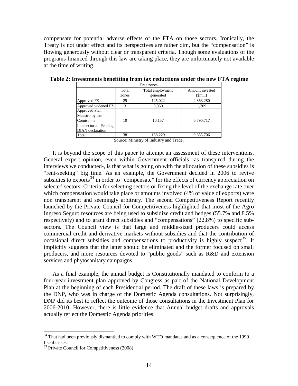compensate for potential adverse effects of the FTA on those sectors. Ironically, the Treaty is not under effect and its perspectives are rather dim, but the "compensation" is flowing generously without clear or transparent criteria. Though some evaluations of the programs financed through this law are taking place, they are unfortunately not available at the time of writing.

| Free zones              |       |                  |                 |  |  |  |
|-------------------------|-------|------------------|-----------------|--|--|--|
|                         | Total | Total employment | Amount invested |  |  |  |
|                         | zones | generated        | (\$mill)        |  |  |  |
| Approved FZ             | 25    | 125,022          | 2,863,280       |  |  |  |
| Approved widened FZ     | 3     | 3,050            | 1,709           |  |  |  |
| <b>Approved Plan</b>    |       |                  |                 |  |  |  |
| Maestro by the          |       |                  |                 |  |  |  |
| $Comisi$ -n             | 10    | 10,157           | 6,790,717       |  |  |  |
| Intersectorial. Pending |       |                  |                 |  |  |  |
| <b>DIAN</b> declaration |       |                  |                 |  |  |  |
| Total                   | 38    | 138,229          | 9,655,706       |  |  |  |

<span id="page-14-0"></span>**Table 2: Investments benefiting from tax reductions under the new FTA regime**

Source: Ministry of Industry and Trade.

It is beyond the scope of this paper to attempt an assessment of these interventions. General expert opinion, even within Government officials -as transpired during the interviews we conducted-, is that what is going on with the allocation of these subsidies is "rent-seeking" big time. As an example, the Government decided in 2006 to revive subsidies to exports<sup>[34](#page-14-1)</sup> in order to "compensate" for the effects of currency appreciation on selected sectors. Criteria for selecting sectors or fixing the level of the exchange rate over which compensation would take place or amounts involved (4% of value of exports) were non transparent and seemingly arbitrary. The second Competitiveness Report recently launched by the Private Council for Competitiveness highlighted that most of the Agro Ingreso Seguro resources are being used to subsidize credit and hedges (55.7% and 8.5% respectively) and to grant direct subsidies and "compensations" (22.8%) to specific subsectors. The Council view is that large and middle-sized producers could access commercial credit and derivative markets without subsidies and that the contribution of occasional direct subsidies and compensations to productivity is highly suspect<sup>[35](#page-14-2)</sup>. It implicitly suggests that the latter should be eliminated and the former focused on small producers, and more resources devoted to "public goods" such as R&D and extension services and phytosanitary campaigns.

As a final example, the annual budget is Constitutionally mandated to conform to a four-year investment plan approved by Congress as part of the National Development Plan at the beginning of each Presidential period. The draft of these laws is prepared by the DNP, who was in charge of the Domestic Agenda consultations. Not surprisingly, DNP did its best to reflect the outcome of those consultations in the Investment Plan for 2006-2010. However, there is little evidence that Annual budget drafts and approvals actually reflect the Domestic Agenda priorities.

<span id="page-14-1"></span> $34$  That had been previously dismantled to comply with WTO mandates and as a consequence of the 1999 fiscal crises.

<span id="page-14-2"></span><sup>&</sup>lt;sup>35</sup> Private Council for Competitiveness (2008).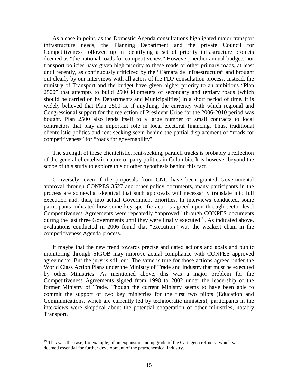As a case in point, as the Domestic Agenda consultations highlighted major transport infrastructure needs, the Planning Department and the private Council for Competitiveness followed up in identifying a set of priority infrastructure projects deemed as "the national roads for competitiveness" However, neither annual budgets nor transport policies have given high priority to these roads or other primary roads, at least until recently, as continuously criticized by the "Cámara de Infraestructura" and brought out clearly by our interviews with all actors of the PDP consultation process. Instead, the ministry of Transport and the budget have given higher priority to an ambitious "Plan 2500" that attempts to build 2500 kilometers of secondary and tertiary roads (which should be carried on by Departments and Municipalities) in a short period of time. It is widely believed that Plan 2500 is, if anything, the currency with which regional and Congressional support for the reelection of President Uribe for the 2006-2010 period was bought. Plan 2500 also lends itself to a large number of small contracts to local contractors that play an important role in local electoral financing. Thus, traditional clientelistic politics and rent-seeking seem behind the partial displacement of "roads for competitiveness" for "roads for governability".

The strength of these clientelistic, rent-seeking, paralell tracks is probably a reflection of the general clientelistic nature of party politics in Colombia. It is however beyond the scope of this study to explore this or other hypothesis behind this fact.

Conversely, even if the proposals from CNC have been granted Governmental approval through CONPES 3527 and other policy documents, many participants in the process are somewhat skeptical that such approvals will necessarily translate into full execution and, thus, into actual Government priorities. In interviews conducted, some participants indicated how some key specific actions agreed upon through sector level Competitiveness Agreements were repeatedly "approved" through CONPES documents during the last three Governments until they were finally executed<sup>[36](#page-15-0)</sup>. As indicated above, evaluations conducted in 2006 found that "execution" was the weakest chain in the competitiveness Agenda process.

It maybe that the new trend towards precise and dated actions and goals and public monitoring through SIGOB may improve actual compliance with CONPES approved agreements. But the jury is still out. The same is true for those actions agreed under the World Class Action Plans under the Ministry of Trade and Industry that must be executed by other Ministries. As mentioned above, this was a major problem for the Competitiveness Agreements signed from 1998 to 2002 under the leadership of the former Ministry of Trade. Though the current Ministry seems to have been able to commit the support of two key ministries for the first two pilots (Education and Communications, which are currently led by technocratic ministers), participants in the interviews were skeptical about the potential cooperation of other ministries, notably Transport.

<span id="page-15-0"></span> $36$  This was the case, for example, of an expansion and upgrade of the Cartagena refinery, which was deemed essential for further development of the petrochemical industry.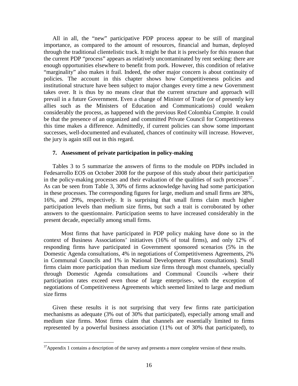All in all, the "new" participative PDP process appear to be still of marginal importance, as compared to the amount of resources, financial and human, deployed through the traditional clientelistic track. It might be that it is precisely for this reason that the current PDP "process" appears as relatively uncontaminated by rent seeking: there are enough opportunities elsewhere to benefit from pork. However, this condition of relative "marginality" also makes it frail. Indeed, the other major concern is about continuity of policies. The account in this chapter shows how Competitiveness policies and institutional structure have been subject to major changes every time a new Government takes over. It is thus by no means clear that the current structure and approach will prevail in a future Government. Even a change of Minister of Trade (or of presently key allies such as the Ministers of Education and Communications) could weaken considerably the process, as happened with the previous Red Colombia Compite. It could be that the presence of an organized and committed Private Council for Competitiveness this time makes a difference. Admittedly, if current policies can show some important successes, well-documented and evaluated, chances of continuity will increase. However, the jury is again still out in this regard.

## **7. Assessment of private participation in policy-making**

Tables 3 to 5 summarize the answers of firms to the module on PDPs included in Fedesarrollo EOS on October 2008 for the purpose of this study about their participation in the policy-making processes and their evaluation of the qualities of such processes $^{37}$  $^{37}$  $^{37}$ . As can be seen from Table 3, 30% of firms acknowledge having had some participation in these processes. The corresponding figures for large, medium and small firms are 38%, 16%, and 29%, respectively. It is surprising that small firms claim much higher participation levels than medium size firms, but such a trait is corroborated by other answers to the questionnaire. Participation seems to have increased considerably in the present decade, especially among small firms.

Most firms that have participated in PDP policy making have done so in the context of Business Associations' initiatives (16% of total firms), and only 12% of responding firms have participated in Government sponsored scenarios (5% in the Domestic Agenda consultations, 4% in negotiations of Competitiveness Agreements, 2% in Communal Councils and 1% in National Development Plans consultations). Small firms claim more participation than medium size firms through most channels, specially through Domestic Agenda consultations and Communal Councils -where their participation rates exceed even those of large enterprises-, with the exception of negotiations of Competitiveness Agreements which seemed limited to large and medium size firms

Given these results it is not surprising that very few firms rate participation mechanisms as adequate (3% out of 30% that participated), especially among small and medium size firms. Most firms claim that channels are essentially limited to firms represented by a powerful business association (11% out of 30% that participated), to

<span id="page-16-0"></span><sup>&</sup>lt;sup>37</sup>Appendix 1 contains a description of the survey and presents a more complete version of these results.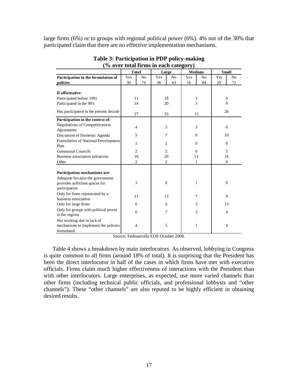large firms (6%) or to groups with regional political power (6%). 4% out of the 30% that participated claim that there are no effective implementation mechanisms.

<span id="page-17-0"></span>

|                                                        | <b>Total</b> |                |                | Large          | Medium   |                | <b>Small</b>   |                |
|--------------------------------------------------------|--------------|----------------|----------------|----------------|----------|----------------|----------------|----------------|
| Participation in the formulation of                    | Yes          | N <sub>o</sub> | Yes            | N <sub>o</sub> | Yes      | N <sub>0</sub> | Yes            | N <sub>o</sub> |
| policies                                               | 30           | 70             | 38             | 63             | 16       | 84             | 29             | 71             |
|                                                        |              |                |                |                |          |                |                |                |
| If affirmative:                                        |              |                |                |                |          |                |                |                |
| Participated before 1991                               |              | 11             |                | 18             |          | 3              | $\mathbf{0}$   |                |
| Participated in the 90's                               |              | 14             |                | 20             |          | 3              | 9              |                |
| Has participated in the present decade                 |              | 27             |                | 33             |          | 15             |                | 26             |
| Participation in the context of:                       |              |                |                |                |          |                |                |                |
| <b>Negotiations of Competitiveness</b><br>Agreements   |              | 4              | 5              |                |          | 3              |                | $\mathbf{0}$   |
| Discussion of Domestic Agenda                          |              | 5              | 7              |                |          | $\Omega$       | 10             |                |
| Formulation of National Development                    |              |                |                |                |          |                |                |                |
| Plan                                                   |              | 1              | $\overline{2}$ |                | $\theta$ |                | $\mathbf{0}$   |                |
| <b>Communal Councils</b>                               |              | $\overline{c}$ | $\overline{2}$ |                | $\Omega$ |                | 5              |                |
| Business association initiatives                       |              | 16             | 20             |                | 11       |                | 14             |                |
| Other                                                  |              | $\overline{2}$ | 2              |                | 1        |                | $\mathbf{0}$   |                |
|                                                        |              |                |                |                |          |                |                |                |
| Participation mechanisms are:                          |              |                |                |                |          |                |                |                |
| Adequate because the government                        |              |                |                |                |          |                |                |                |
| provides sufficient spaces for                         |              | 3              | 6              |                |          | 1              | $\overline{0}$ |                |
| participation                                          |              |                |                |                |          |                |                |                |
| Only for firms represented by a                        | 11           |                |                | 13             |          | 7              |                | 9              |
| business association                                   |              |                |                |                |          |                |                |                |
| Only for large firms                                   | 6            |                | 6              |                |          | 3              |                | 13             |
| Only for groups with political power<br>in the regions | 6            |                | 7              |                | 3        |                | $\overline{4}$ |                |
| Not working due to lack of                             |              |                |                |                |          |                |                |                |
| mechanisms to implement the policies                   |              | $\overline{4}$ | 5              |                | 1        |                | $\overline{4}$ |                |
| formulated.                                            |              |                |                |                |          |                |                |                |

**Table 3: Participation in PDP policy-making (% over total firms in each category)**

Source: Fedesarrollo EOS October 2008.

[Table 4](#page-18-0) shows a breakdown by main interlocutors. As observed, lobbying in Congress is quite common to all firms (around 18% of total)*.* It is surprising that the President has been the direct interlocutor in half of the cases in which firms have met with executive officials. Firms claim much higher effectiveness of interactions with the President than with other interlocutors. Large enterprises, as expected, use more varied channels than other firms (including technical public officials, and professional lobbysts and "other channels"). These "other channels" are also reputed to be highly efficient in obtaining desired results.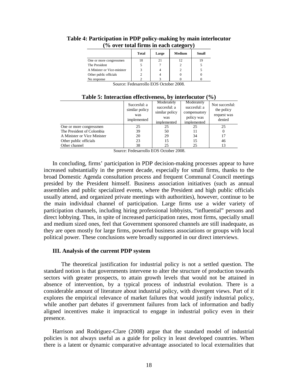|                             | Total | Large | Medium | Small |  |  |  |  |  |
|-----------------------------|-------|-------|--------|-------|--|--|--|--|--|
| One or more congressmen     | 18    | 21    | 12     |       |  |  |  |  |  |
| The President               |       |       |        |       |  |  |  |  |  |
| A Minister or Vice-minister |       |       |        |       |  |  |  |  |  |
| Other public officials      |       |       |        |       |  |  |  |  |  |
| No response                 |       |       |        |       |  |  |  |  |  |

# <span id="page-18-0"></span>**Table 4: Participation in PDP policy-making by main interlocutor (% over total firms in each category)**

Source: Fedesarrollo EOS October 2008.

|                             | Succesful: a<br>similar policy<br>was<br>implemented | Moderately<br>succesful: a<br>similar policy<br>was<br>implemented | Moderately<br>succesful: a<br>compensatory<br>policy was<br>implemented | Not succesful:<br>the policy<br>request was<br>denied |  |  |  |
|-----------------------------|------------------------------------------------------|--------------------------------------------------------------------|-------------------------------------------------------------------------|-------------------------------------------------------|--|--|--|
| One or more congressmen     | 25                                                   | 25                                                                 | 25                                                                      | 25                                                    |  |  |  |
| The President of Colombia   | 39                                                   | 50                                                                 | 11                                                                      |                                                       |  |  |  |
| A Minister or Vice Minister | 20                                                   | 29                                                                 | 34                                                                      | 17                                                    |  |  |  |
| Other public officials      | 23                                                   | 15                                                                 | 15                                                                      | 46                                                    |  |  |  |
| Other channel               | 38                                                   | 25                                                                 | 25                                                                      | 13                                                    |  |  |  |

**Table 5: Interaction effectiveness, by interlocutor (%)**

Source: Fedesarrollo EOS October 2008.

In concluding, firms' participation in PDP decision-making processes appear to have increased substantially in the present decade, especially for small firms, thanks to the broad Domestic Agenda consultation process and frequent Communal Council meetings presided by the President himself. Business association initiatives (such as annual assemblies and public specialized events, where the President and high public officials usually attend, and organized private meetings with authorities), however, continue to be the main individual channel of participation. Large firms use a wider variety of participation channels, including hiring professional lobbyists, "influential" persons and direct lobbying. Thus, in spite of increased participation rates, most firms, specially small and medium sized ones, feel that Government sponsored channels are still inadequate, as they are open mostly for large firms, powerful business associations or groups with local political power. These conclusions were broadly supported in our direct interviews.

## **III. Analysis of the current PDP system**

The theoretical justification for industrial policy is not a settled question. The standard notion is that governments intervene to alter the structure of production towards sectors with greater prospects, to attain growth levels that would not be attained in absence of intervention, by a typical process of industrial evolution. There is a considerable amount of literature about industrial policy, with divergent views. Part of it explores the empirical relevance of market failures that would justify industrial policy, while another part debates if government failures from lack of information and badly aligned incentives make it impractical to engage in industrial policy even in their presence.

Harrison and Rodriguez-Clare (2008) argue that the standard model of industrial policies is not always useful as a guide for policy in least developed countries. When there is a latent or dynamic comparative advantage associated to local externalities that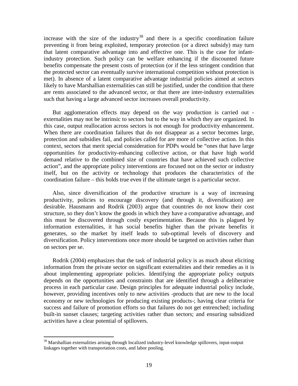increase with the size of the industry<sup>[38](#page-19-0)</sup> and there is a specific coordination failure preventing it from being exploited, temporary protection (or a direct subsidy) may turn that latent comparative advantage into and effective one. This is the case for infantindustry protection. Such policy can be welfare enhancing if the discounted future benefits compensate the present costs of protection (or if the less stringent condition that the protected sector can eventually survive international competition without protection is met). In absence of a latent comparative advantage industrial policies aimed at sectors likely to have Marshallian externalities can still be justified, under the condition that there are rents associated to the advanced sector, or that there are inter-industry externalities such that having a large advanced sector increases overall productivity.

But agglomeration effects may depend on the way production is carried out externalities may not be intrinsic to sectors but to the way in which they are organized. In this case, output reallocation across sectors is not enough for productivity enhancement. When there are coordination failures that do not disappear as a sector becomes large, protection and subsidies fail, and policies called for are more of collective action. In this context, sectors that merit special consideration for PDPs would be "ones that have large opportunities for productivity-enhancing collective action, or that have high world demand relative to the combined size of countries that have achieved such collective action", and the appropriate policy interventions are focused not on the sector or industry itself, but on the activity or technology that produces the characteristics of the coordination failure – this holds true even if the ultimate target is a particular sector.

Also, since diversification of the productive structure is a way of increasing productivity, policies to encourage discovery (and through it, diversification) are desirable. Hausmann and Rodrik (2003) argue that countries do not know their cost structure, so they don't know the goods in which they have a comparative advantage, and this must be discovered through costly experimentation. Because this is plagued by information externalities, it has social benefits higher than the private benefits it generates, so the market by itself leads to sub-optimal levels of discovery and diversification. Policy interventions once more should be targeted on activities rather than on sectors per se.

Rodrik (2004) emphasizes that the task of industrial policy is as much about eliciting information from the private sector on significant externalities and their remedies as it is about implementing appropriate policies. Identifying the appropriate policy outputs depends on the opportunities and constraints that are identified through a deliberative process in each particular case. Design principles for adequate industrial policy include, however, providing incentives only to new activities -products that are new to the local economy or new technologies for producing existing products-; having clear criteria for success and failure of promotion efforts so that failures do not get entrenched; including built-in sunset clauses; targeting activities rather than sectors; and ensuring subsidized activities have a clear potential of spillovers.

<span id="page-19-0"></span><sup>&</sup>lt;sup>38</sup> Marshallian externalities arising through localized industry-level knowledge spillovers, input-output linkages together with transportation costs, and labor pooling.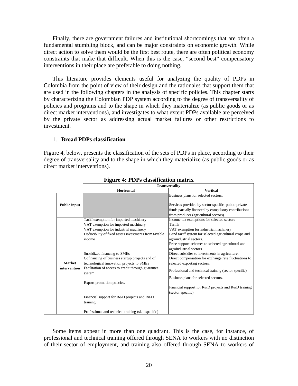Finally, there are government failures and institutional shortcomings that are often a fundamental stumbling block, and can be major constraints on economic growth. While direct action to solve them would be the first best route, there are often political economy constraints that make that difficult. When this is the case, "second best" compensatory interventions in their place are preferable to doing nothing.

This literature provides elements useful for analyzing the quality of PDPs in Colombia from the point of view of their design and the rationales that support them that are used in the following chapters in the analysis of specific policies. This chapter starts by characterizing the Colombian PDP system according to the degree of transversality of policies and programs and to the shape in which they materialize (as public goods or as direct market interventions), and investigates to what extent PDPs available are perceived by the private sector as addressing actual market failures or other restrictions to investment.

# 1. **Broad PDPs classification**

[Figure 4,](#page-20-0) below, presents the classification of the sets of PDPs in place, according to their degree of transversality and to the shape in which they materialize (as public goods or as direct market interventions).

<span id="page-20-0"></span>

|                     | <b>Transversality</b>                                        |                                                        |  |  |  |  |  |
|---------------------|--------------------------------------------------------------|--------------------------------------------------------|--|--|--|--|--|
|                     | Horizontal                                                   | <b>Vertical</b>                                        |  |  |  |  |  |
|                     |                                                              | Business plans for selected sectors.                   |  |  |  |  |  |
| <b>Public input</b> |                                                              | Services provided by sector specific public-private    |  |  |  |  |  |
|                     |                                                              | funds partially financed by compulsory contributions   |  |  |  |  |  |
|                     |                                                              | from producer (agricultural sectors).                  |  |  |  |  |  |
|                     | Tariff exemption for imported machinery                      | Income tax exemptions for selected sectors             |  |  |  |  |  |
|                     | VAT exemption for imported machinery                         | Tariffs                                                |  |  |  |  |  |
|                     | VAT exemption for industrial machinery                       | VAT exemption for industrial machinery                 |  |  |  |  |  |
|                     | Deducibility of fixed assets investments from taxable        | Band tariff system for selected agricultural crops and |  |  |  |  |  |
|                     | income                                                       | agroindustrial sectors.                                |  |  |  |  |  |
|                     |                                                              | Price support schemes to selected agricultural and     |  |  |  |  |  |
|                     |                                                              | agroindustrial sectors                                 |  |  |  |  |  |
|                     | Subsidized financing to SMEs                                 | Direct subsidies to investments in agriculture.        |  |  |  |  |  |
|                     | Cofinancing of business startup projects and of              | Direct compensation for exchange rate fluctuations to  |  |  |  |  |  |
| <b>Market</b>       | technological innovation projects to SMEs                    | selected exporting sectors.                            |  |  |  |  |  |
| intervention        | Facilitation of access to credit through guarantee<br>system | Professional and technical training (sector specific)  |  |  |  |  |  |
|                     |                                                              | Business plans for selected sectors.                   |  |  |  |  |  |
|                     | Export promotion policies.                                   |                                                        |  |  |  |  |  |
|                     |                                                              | Financial support for R&D projects and R&D training    |  |  |  |  |  |
|                     |                                                              | (sector specific)                                      |  |  |  |  |  |
|                     | Financial support for R&D projects and R&D                   |                                                        |  |  |  |  |  |
|                     | training.                                                    |                                                        |  |  |  |  |  |
|                     | Professional and technical training (skill specific)         |                                                        |  |  |  |  |  |

# **Figure 4: PDPs classification matrix**

Some items appear in more than one quadrant. This is the case, for instance, of professional and technical training offered through SENA to workers with no distinction of their sector of employment, and training also offered through SENA to workers of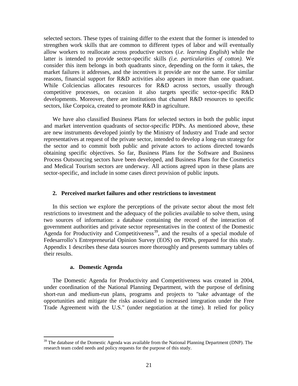selected sectors. These types of training differ to the extent that the former is intended to strengthen work skills that are common to different types of labor and will eventually allow workers to reallocate across productive sectors (*i.e. learning English*) while the latter is intended to provide sector-specific skills *(i.e. particularities of cotton).* We consider this item belongs in both quadrants since, depending on the form it takes, the market failures it addresses, and the incentives it provide are nor the same. For similar reasons, financial support for R&D activities also appears in more than one quadrant. While Colciencias allocates resources for R&D across sectors, usually through competitive processes, on occasion it also targets specific sector-specific R&D developments. Moreover, there are institutions that channel R&D resources to specific sectors, like Corpoica, created to promote R&D in agriculture.

We have also classified Business Plans for selected sectors in both the public input and market intervention quadrants of sector-specific PDPs. As mentioned above, these are new instruments developed jointly by the Ministry of Industry and Trade and sector representatives at request of the private sector, intended to develop a long-run strategy for the sector and to commit both public and private actors to actions directed towards obtaining specific objectives. So far, Business Plans for the Software and Business Process Outsourcing sectors have been developed, and Business Plans for the Cosmetics and Medical Tourism sectors are underway. All actions agreed upon in these plans are sector-specific, and include in some cases direct provision of public inputs.

#### **2. Perceived market failures and other restrictions to investment**

In this section we explore the perceptions of the private sector about the most felt restrictions to investment and the adequacy of the policies available to solve them, using two sources of information: a database containing the record of the interaction of government authorities and private sector representatives in the context of the Domestic Agenda for Productivity and Competitiveness<sup>[39](#page-21-0)</sup>, and the results of a special module of Fedesarrollo's Entrepreneurial Opinion Survey (EOS) on PDPs, prepared for this study. Appendix 1 describes these data sources more thoroughly and presents summary tables of their results.

#### **a. Domestic Agenda**

The Domestic Agenda for Productivity and Competitiveness was created in 2004, under coordination of the National Planning Department, with the purpose of defining short-run and medium-run plans, programs and projects to "take advantage of the opportunities and mitigate the risks associated to increased integration under the Free Trade Agreement with the U.S." (under negotiation at the time). It relied for policy

<span id="page-21-0"></span> $39$  The database of the Domestic Agenda was available from the National Planning Department (DNP). The research team coded needs and policy requests for the purpose of this study.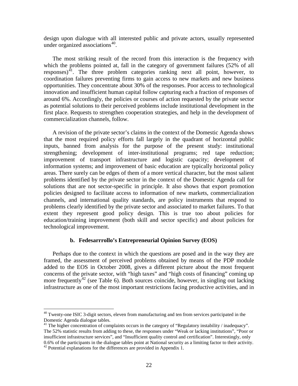design upon dialogue with all interested public and private actors, usually represented under organized associations<sup>[40](#page-22-0)</sup>.

The most striking result of the record from this interaction is the frequency with which the problems pointed at, fall in the category of government failures (52% of all responses)<sup>[41](#page-22-1)</sup>. The three problem categories ranking next all point, however, to coordination failures preventing firms to gain access to new markets and new business opportunities. They concentrate about 30% of the responses. Poor access to technological innovation and insufficient human capital follow capturing each a fraction of responses of around 6%. Accordingly, the policies or courses of action requested by the private sector as potential solutions to their perceived problems include institutional development in the first place. Requests to strengthen cooperation strategies, and help in the development of commercialization channels, follow.

A revision of the private sector's claims in the context of the Domestic Agenda shows that the most required policy efforts fall largely in the quadrant of horizontal public inputs, banned from analysis for the purpose of the present study: institutional strengthening; development of inter-institutional programs; red tape reduction; improvement of transport infrastructure and logistic capacity; development of information systems; and improvement of basic education are typically horizontal policy areas. There surely can be edges of them of a more vertical character, but the most salient problems identified by the private sector in the context of the Domestic Agenda call for solutions that are not sector-specific in principle. It also shows that export promotion policies designed to facilitate access to information of new markets, commercialization channels, and international quality standards, are policy instruments that respond to problems clearly identified by the private sector and associated to market failures. To that extent they represent good policy design. This is true too about policies for education/training improvement (both skill and sector specific) and about policies for technological improvement.

# **b. Fedesarrrollo's Entrepreneurial Opinion Survey (EOS)**

Perhaps due to the context in which the questions are posed and in the way they are framed, the assessment of perceived problems obtained by means of the PDP module added to the EOS in October 2008, gives a different picture about the most frequent concerns of the private sector, with "high taxes" and "high costs of financing" coming up more frequently<sup>[42](#page-22-2)</sup> (see [Table 6\)](#page-23-0). Both sources coincide, however, in singling out lacking infrastructure as one of the most important restrictions facing productive activities, and in

<span id="page-22-0"></span> $40$  Twenty-one ISIC 3-digit sectors, eleven from manufacturing and ten from services participated in the Domestic Agenda dialogue tables.

<span id="page-22-1"></span><sup>&</sup>lt;sup>41</sup> The higher concentration of complaints occurs in the category of "Regulatory instability / inadequacy". The 52% statistic results from adding to these, the responses under "Weak or lacking institutions", "Poor or insufficient infrastructure services", and "Insufficient quality control and certification". Interestingly, only 0.6% of the participants in the dialogue tables point at National security as a limiting factor to their activity.  $42$  Potential explanations for the differences are provided in Appendix 1.

<span id="page-22-2"></span>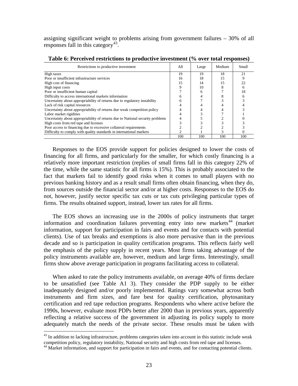assigning significant weight to problems arising from government failures – 30% of all responses fall in this category<sup>[43](#page-23-1)</sup>.

| Restrictions to productive investment                                          | A11 | Large | Medium | Small |
|--------------------------------------------------------------------------------|-----|-------|--------|-------|
| High taxes                                                                     | 19  | 19    | 18     | 21    |
| Poor or insufficient infrastructure services                                   | 16  | 18    | 15     |       |
| High cost of financing                                                         | 15  | 14    | 15     | 22    |
| High input costs                                                               |     | 10    |        | n     |
| Poor or insufficient human capital                                             |     | 6     |        | 18    |
| Difficulty to access international markets information                         | 6   |       |        |       |
| Uncertainty about appropriability of returns due to regulatory instability     | h   |       |        |       |
| Lack of risk capital resources                                                 |     |       |        |       |
| Uncertainty about appropriability of returns due weak competition policy       |     |       |        |       |
| Labor market rigidities                                                        |     |       |        |       |
| Uncertainty about appropriability of returns due to National security problems |     |       |        |       |
| High costs from red tape and licenses                                          |     |       |        |       |
| Poor access to financing due to excessive collateral requirements              |     |       |        |       |
| Difficulty to comply with quality standards in international markets           |     |       |        |       |
|                                                                                | 100 | 100   | 100    | 100   |

<span id="page-23-0"></span>**Table 6: Perceived restrictions to productive investment (% over total responses)**

Responses to the EOS provide support for policies designed to lower the costs of financing for all firms, and particularly for the smaller, for which costly financing is a relatively more important restriction (replies of small firms fall in this category 22% of the time, while the same statistic for all firms is 15%). This is probably associated to the fact that markets fail to identify good risks when it comes to small players with no previous banking history and as a result small firms often obtain financing, when they do, from sources outside the financial sector and/or at higher costs. Responses to the EOS do not, however, justify sector specific tax cuts or tax cuts privileging particular types of firms. The results obtained support, instead, lower tax rates for all firms.

The EOS shows an increasing use in the 2000s of policy instruments that target information and coordination failures preventing entry into new markets<sup>[44](#page-23-2)</sup> (market information, support for participation in fairs and events and for contacts with potential clients). Use of tax breaks and exemptions is also more pervasive than in the previous decade and so is participation in quality certification programs. This reflects fairly well the emphasis of the policy supply in recent years. Most firms taking advantage of the policy instruments available are, however, medium and large firms. Interestingly, small firms show above average participation in programs facilitating access to collateral.

When asked to rate the policy instruments available, on average 40% of firms declare to be unsatisfied (see [Table A1 3\)](#page-92-0). They consider the PDP supply to be either inadequately designed and/or poorly implemented. Ratings vary somewhat across both instruments and firm sizes, and fare best for quality certification, phytosanitary certification and red tape reduction programs. Respondents who where active before the 1990s, however, evaluate most PDPs better after 2000 than in previous years, apparently reflecting a relative success of the government in adjusting its policy supply to more adequately match the needs of the private sector. These results must be taken with

<span id="page-23-1"></span> $43$  In addition to lacking infrastructure, problems categories taken into account in this statistic include weak competition policy, regulatory instability, National security and high costs from red tape and licenses.

<span id="page-23-2"></span><sup>&</sup>lt;sup>44</sup> Market information, and support for participation in fairs and events, and for contacting potential clients.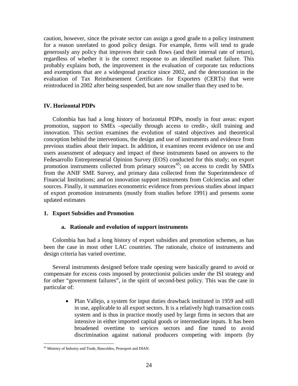caution, however, since the private sector can assign a good grade to a policy instrument for a reason unrelated to good policy design. For example, firms will tend to grade generously any policy that improves their cash flows (and their internal rate of return), regardless of whether it is the correct response to an identified market failure. This probably explains both, the improvement in the evaluation of corporate tax reductions and exemptions that are a widespread practice since 2002, and the deterioration in the evaluation of Tax Reimbursement Certificates for Exporters (CERTs) that were reintroduced in 2002 after being suspended, but are now smaller than they used to be.

# **IV. Horizontal PDPs**

Colombia has had a long history of horizontal PDPs, mostly in four areas: export promotion, support to SMEs –specially through access to credit-, skill training and innovation. This section examines the evolution of stated objectives and theoretical conception behind the interventions, the design and use of instruments and evidence from previous studies about their impact. In addition, it examines recent evidence on use and users assessment of adequacy and impact of these instruments based on answers to the Fedesarrollo Entrepreneurial Opinion Survey (EOS) conducted for this study; on export promotion instruments collected from primary sources<sup>[45](#page-24-0)</sup>; on access to credit by SMEs from the ANIF SME Survey, and primary data collected from the Superintendence of Financial Institutions; and on innovation support instruments from Colciencias and other sources. Finally, it summarizes econometric evidence from previous studies about impact of export promotion instruments (mostly from studies before 1991) and presents some updated estimates

## **1. Export Subsidies and Promotion**

## **a. Rationale and evolution of support instruments**

Colombia has had a long history of export subsidies and promotion schemes, as has been the case in most other LAC countries. The rationale, choice of instruments and design criteria has varied overtime.

Several instruments designed before trade opening were basically geared to avoid or compensate for excess costs imposed by protectionist policies under the ISI strategy and for other "government failures", in the spirit of second-best policy. This was the case in particular of:

> • Plan Vallejo, a system for input duties drawback instituted in 1959 and still in use, applicable to all export sectors. It is a relatively high transaction costs system and is thus in practice mostly used by large firms in sectors that are intensive in either imported capital goods or intermediate inputs. It has been broadened overtime to services sectors and fine tuned to avoid discrimination against national producers competing with imports (by

<span id="page-24-0"></span> <sup>45</sup> Ministry of Industry and Trade, Bancoldex, Proexport and DIAN.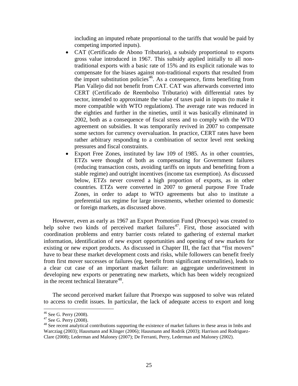including an imputed rebate proportional to the tariffs that would be paid by competing imported inputs).

- CAT (Certificado de Abono Tributario), a subsidy proportional to exports gross value introduced in 1967. This subsidy applied initially to all nontraditional exports with a basic rate of 15% and its explicit rationale was to compensate for the biases against non-traditional exports that resulted from the import substitution policies<sup>[46](#page-25-0)</sup>. As a consequence, firms benefiting from Plan Vallejo did not benefit from CAT. CAT was afterwards converted into CERT (Certificado de Reembolso Tributario) with differential rates by sector, intended to approximate the value of taxes paid in inputs (to make it more compatible with WTO regulations). The average rate was reduced in the eighties and further in the nineties, until it was basically eliminated in 2002, both as a consequence of fiscal stress and to comply with the WTO agreement on subsidies. It was temporarily revived in 2007 to compensate some sectors for currency overvaluation. In practice, CERT rates have been rather arbitrary responding to a combination of sector level rent seeking pressures and fiscal constraints.
- Export Free Zones, instituted by law 109 of 1985. As in other countries, ETZs were thought of both as compensating for Government failures (reducing transaction costs, avoiding tariffs on inputs and benefiting from a stable regime) and outright incentives (income tax exemption). As discussed below, ETZs never covered a high proportion of exports, as in other countries. ETZs were converted in 2007 to general purpose Free Trade Zones, in order to adapt to WTO agreements but also to institute a preferential tax regime for large investments, whether oriented to domestic or foreign markets, as discussed above.

However, even as early as 1967 an Export Promotion Fund (Proexpo) was created to help solve two kinds of perceived market failures<sup>47</sup>. First, those associated with coordination problems and entry barrier costs related to gathering of external market information, identification of new export opportunities and opening of new markets for existing or new export products. As discussed in Chapter III, the fact that "fist movers" have to bear these market development costs and risks, while followers can benefit freely from first mover successes or failures (eg, benefit from significant externalities), leads to a clear cut case of an important market failure: an aggregate underinvestment in developing new exports or penetrating new markets, which has been widely recognized in the recent technical literature<sup>[48](#page-25-2)</sup>.

The second perceived market failure that Proexpo was supposed to solve was related to access to credit issues. In particular, the lack of adequate access to export and long

<span id="page-25-2"></span>

<span id="page-25-1"></span><span id="page-25-0"></span><sup>&</sup>lt;sup>46</sup> See G. Perry (2008).<br><sup>47</sup> See G. Perry (2008).<br><sup>48</sup> See recent analytical contributions supporting the existence of market failures in these areas in Imbs and Warcziag (2003); Hausmann and Klinger (2006); Hausmann and Rodrik (2003); Harrison and Rodriguez-Clare (2008); Lederman and Maloney (2007); De Ferranti, Perry, Lederman and Maloney (2002).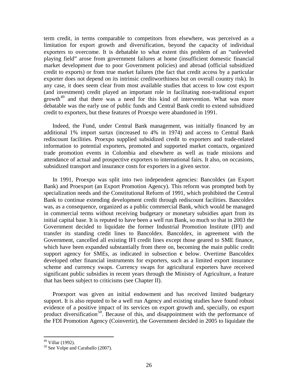term credit, in terms comparable to competitors from elsewhere, was perceived as a limitation for export growth and diversification, beyond the capacity of individual exporters to overcome. It is debatable to what extent this problem of an "unleveled playing field" arose from government failures at home (insufficient domestic financial market development due to poor Government policies) and abroad (official subsidized credit to exports) or from true market failures (the fact that credit access by a particular exporter does not depend on its intrinsic creditworthiness but on overall country risk). In any case, it does seem clear from most available studies that access to low cost export (and investment) credit played an important role in facilitating non-traditional export growth<sup>[49](#page-26-0)</sup> and that there was a need for this kind of intervention. What was more debatable was the early use of public funds and Central Bank credit to extend subsidized credit to exporters, but these features of Proexpo were abandoned in 1991.

Indeed, the Fund, under Central Bank management, was initially financed by an additional 1% import surtax (increased to 4% in 1974) and access to Central Bank rediscount facilities*.* Proexpo supplied subsidized credit to exporters and trade-related information to potential exporters, promoted and supported market contacts, organized trade promotion events in Colombia and elsewhere as well as trade missions and attendance of actual and prospective exporters to international fairs. It also, on occasions, subsidized transport and insurance costs for exporters in a given sector.

In 1991*,* Proexpo was split into two independent agencies: Bancoldex (an Export Bank) and Proexport (an Export Promotion Agency). This reform was prompted both by specialization needs and the Constitutional Reform of 1991, which prohibited the Central Bank to continue extending development credit through rediscount facilities. Bancoldex was, as a consequence, organized as a public commercial Bank, which would be managed in commercial terms without receiving budgetary or monetary subsidies apart from its initial capital base. It is reputed to have been a well run Bank, so much so that in 2003 the Government decided to liquidate the former Industrial Promotion Institute (IFI) and transfer its standing credit lines to Bancoldex. Bancoldex, in agreement with the Government, cancelled all existing IFI credit lines except those geared to SME finance, which have been expanded substantially from there on, becoming the main public credit support agency for SMEs, as indicated in subsection **c** below. Overtime Bancoldex developed other financial instruments for exporters, such as a limited export insurance scheme and currency swaps. Currency swaps for agricultural exporters have received significant public subsidies in recent years through the Ministry of Agriculture, a feature that has been subject to criticisms (see Chapter II).

Proexport was given an initial endowment and has received limited budgetary support. It is also reputed to be a well run Agency and existing studies have found robust evidence of a positive impact of its services on export growth and, specially, on export product diversification<sup>[50](#page-26-1)</sup>. Because of this, and disappointment with the performance of the FDI Promotion Agency (Coinvertir), the Government decided in 2005 to liquidate the

<span id="page-26-1"></span><span id="page-26-0"></span><sup>&</sup>lt;sup>49</sup> Villar (1992).<br><sup>50</sup> See Volpe and Caraballo (2007).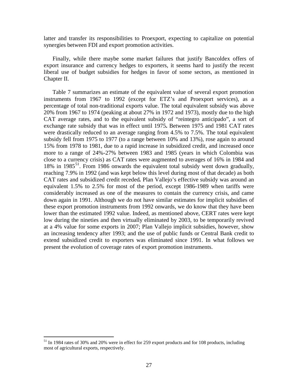latter and transfer its responsibilities to Proexport, expecting to capitalize on potential synergies between FDI and export promotion activities.

Finally, while there maybe some market failures that justify Bancoldex offers of export insurance and currency hedges to exporters, it seems hard to justify the recent liberal use of budget subsidies for hedges in favor of some sectors, as mentioned in Chapter II.

[Table 7](#page-28-0) summarizes an estimate of the equivalent value of several export promotion instruments from 1967 to 1992 (except for ETZ's and Proexport services), as a percentage of total non-traditional exports value. The total equivalent subsidy was above 20% from 1967 to 1974 (peaking at about 27% in 1972 and 1973), mostly due to the high CAT average rates, and to the equivalent subsidy of "reintegro anticipado", a sort of exchange rate subsidy that was in effect until 1975**.** Between 1975 and 1981 CAT rates were drastically reduced to an average ranging from 4.5% to 7.5%. The total equivalent subsidy fell from 1975 to 1977 (to a range between 10% and 13%), rose again to around 15% from 1978 to 1981, due to a rapid increase in subsidized credit, and increased once more to a range of 24%-27% between 1983 and 1985 (years in which Colombia was close to a currency crisis) as CAT rates were augmented to averages of 16% in 1984 and 18% in 1985<sup>[51](#page-27-0)</sup>. From 1986 onwards the equivalent total subsidy went down gradually, reaching 7.9% in 1992 (and was kept below this level during most of that decade) as both CAT rates and subsidized credit receded*.* Plan Vallejo's effective subsidy was around an equivalent 1.5% to 2.5% for most of the period, except 1986-1989 when tariffs were considerably increased as one of the measures to contain the currency crisis, and came down again in 1991. Although we do not have similar estimates for implicit subsidies of these export promotion instruments from 1992 onwards, we do know that they have been lower than the estimated 1992 value. Indeed, as mentioned above, CERT rates were kept low during the nineties and then virtually eliminated by 2003, to be temporarily revived at a 4% value for some exports in 2007; Plan Vallejo implicit subsidies, however, show an increasing tendency after 1993; and the use of public funds or Central Bank credit to extend subsidized credit to exporters was eliminated since 1991. In what follows we present the evolution of coverage rates of export promotion instruments.

<span id="page-27-0"></span><sup>&</sup>lt;sup>51</sup> In 1984 rates of 30% and 20% were in effect for 259 export products and for 108 products, including most of agricultural exports, respectively.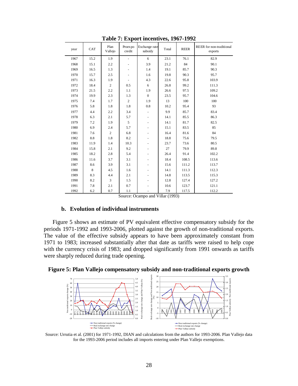<span id="page-28-0"></span>

| year | CAT  | Plan<br>Vallejo | Proex po<br>credit       | Exchange rate<br>subsidy | Total | <b>REER</b> | REER for non-traditional<br>exports |
|------|------|-----------------|--------------------------|--------------------------|-------|-------------|-------------------------------------|
| 1967 | 15.2 | 1.9             | $\blacksquare$           | 6                        | 23.1  | 76.1        | 82.9                                |
| 1968 | 15.1 | 2.2             | $\overline{\phantom{0}}$ | 3.9                      | 21.2  | 84          | 90.1                                |
| 1969 | 16.5 | 1.3             | $\overline{\phantom{a}}$ | 1.4                      | 19.1  | 85.7        | 90.3                                |
| 1970 | 15.7 | 2.5             | $\overline{\phantom{a}}$ | 1.6                      | 19.8  | 90.3        | 95.7                                |
| 1971 | 16.3 | 1.9             | $\overline{\phantom{a}}$ | 4.3                      | 22.6  | 95.8        | 103.9                               |
| 1972 | 18.4 | $\overline{c}$  | 0.5                      | 6                        | 26.8  | 99.2        | 111.3                               |
| 1973 | 21.5 | 2.2             | 1.1                      | 1.9                      | 26.6  | 97.5        | 109.2                               |
| 1974 | 19.9 | 2.3             | 1.3                      | $\mathbf{0}$             | 23.5  | 95.7        | 104.6                               |
| 1975 | 7.4  | 1.7             | $\overline{c}$           | 1.9                      | 13    | 100         | 100                                 |
| 1976 | 5.8  | 1.8             | 1.8                      | 0.8                      | 10.2  | 95.4        | 93                                  |
| 1977 | 4.4  | 2.2             | 3.4                      | $\blacksquare$           | 9.9   | 85.7        | 83.4                                |
| 1978 | 6.3  | 2.1             | 5.7                      | $\overline{\phantom{a}}$ | 14.1  | 85.5        | 86.3                                |
| 1979 | 7.2  | 1.9             | 5                        | $\overline{\phantom{a}}$ | 14.1  | 81.7        | 82.5                                |
| 1980 | 6.9  | 2.4             | 5.7                      | $\overline{\phantom{a}}$ | 15.1  | 83.5        | 85                                  |
| 1981 | 7.6  | $\overline{c}$  | 6.8                      |                          | 16.4  | 81.6        | 84                                  |
| 1982 | 8.8  | 1.8             | 8.2                      | $\overline{\phantom{a}}$ | 18.8  | 75.6        | 79.5                                |
| 1983 | 11.9 | 1.4             | 10.3                     | $\blacksquare$           | 23.7  | 73.6        | 80.5                                |
| 1984 | 15.8 | 2.1             | 9.2                      | $\overline{\phantom{m}}$ | 27    | 79.9        | 89.8                                |
| 1985 | 18.2 | 2.8             | 5.4                      | $\overline{\phantom{a}}$ | 26.4  | 91.4        | 102.2                               |
| 1986 | 11.6 | 3.7             | 3.1                      | $\overline{\phantom{a}}$ | 18.4  | 108.5       | 113.6                               |
| 1987 | 8.6  | 3.9             | 3.1                      | $\blacksquare$           | 15.6  | 111.2       | 113.7                               |
| 1988 | 8    | 4.5             | 1.6                      | $\overline{a}$           | 14.1  | 111.3       | 112.3                               |
| 1989 | 8.3  | 4.4             | 2.1                      | $\overline{\phantom{a}}$ | 14.8  | 113.5       | 115.3                               |
| 1990 | 8.2  | $\overline{3}$  | 1.5                      | ÷,                       | 12.8  | 127.4       | 127.2                               |
| 1991 | 7.8  | 2.1             | 0.7                      |                          | 10.6  | 123.7       | 121.1                               |
| 1992 | 6.2  | 0.7             | 1.1                      | $\overline{a}$           | 7.9   | 117.5       | 112.2                               |

**Table 7: Export incentives, 1967-1992** 

Source: Ocampo and Villar (1993)

## **b. Evolution of individual instruments**

[Figure 5](#page-28-1) shows an estimate of PV equivalent effective compensatory subsidy for the periods 1971-1992 and 1993-2006, plotted against the growth of non-traditional exports. The value of the effective subsidy appears to have been approximately constant from 1971 to 1983; increased substantially after that date as tariffs were raised to help cope with the currency crisis of 1983; and dropped significantly from 1991 onwards as tariffs were sharply reduced during trade opening.

<span id="page-28-1"></span>



Source: Urrutia et al. (2001) for 1971-1992, DIAN and calculations from the authors for 1993-2006. Plan Vallejo data for the 1993-2006 period includes all imports entering under Plan Vallejo exemptions.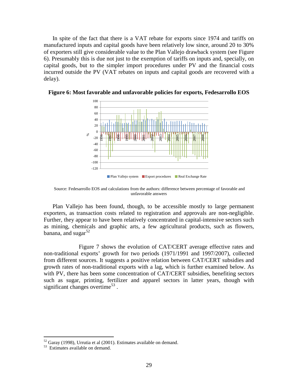In spite of the fact that there is a VAT rebate for exports since 1974 and tariffs on manufactured inputs and capital goods have been relatively low since, around 20 to 30% of exporters still give considerable value to the Plan Vallejo drawback system (see [Figure](#page-29-0)  [6\)](#page-29-0). Presumably this is due not just to the exemption of tariffs on inputs and, specially, on capital goods, but to the simpler import procedures under PV and the financial costs incurred outside the PV (VAT rebates on inputs and capital goods are recovered with a delay).



<span id="page-29-0"></span>**Figure 6: Most favorable and unfavorable policies for exports, Fedesarrollo EOS**

Source: Fedesarrollo EOS and calculations from the authors: difference between percentage of favorable and unfavorable answers

Plan Vallejo has been found, though, to be accessible mostly to large permanent exporters, as transaction costs related to registration and approvals are non-negligible. Further, they appear to have been relatively concentrated in capital-intensive sectors such as mining, chemicals and graphic arts, a few agricultural products, such as flowers, banana, and sugar $52$ 

[Figure 7](#page-30-0) shows the evolution of CAT/CERT average effective rates and non-traditional exports' growth for two periods (1971/1991 and 1997/2007), collected from different sources. It suggests a positive relation between CAT/CERT subsidies and growth rates of non-traditional exports with a lag, which is further examined below. As with PV, there has been some concentration of CAT/CERT subsidies, benefiting sectors such as sugar, printing, fertilizer and apparel sectors in latter years, though with significant changes overtime<sup>[53](#page-29-2)</sup>.

<span id="page-29-2"></span><span id="page-29-1"></span> $52$  Garay (1998), Urrutia et al (2001). Estimates available on demand.<br> $53$  Estimates available on demand.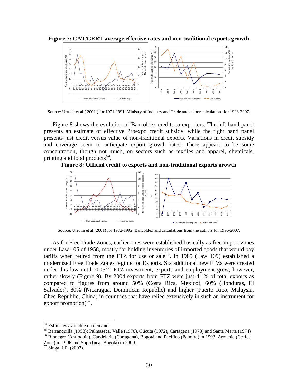<span id="page-30-0"></span>**Figure 7: CAT/CERT average effective rates and non traditional exports growth**



Source: Urrutia et al ( 2001 ) for 1971-1991, Ministry of Industry and Trade and author calculations for 1998-2007.

[Figure 8](#page-30-1) shows the evolution of Bancoldex credits to exporters. The left hand panel presents an estimate of effective Proexpo credit subsidy, while the right hand panel presents just credit versus value of non-traditional exports*.* Variations in credit subsidy and coverage seem to anticipate export growth rates. There appears to be some concentration, though not much, on sectors such as textiles and apparel, chemicals, printing and food products<sup>[54](#page-30-2)</sup>.

<span id="page-30-1"></span>**Figure 8: Official credit to exports and non-traditional exports growth** 



Source: Urrutia et al (2001) for 1972-1992, Bancoldex and calculations from the authors for 1996-2007.

As for Free Trade Zones, earlier ones were established basically as free import zones under Law 105 of 1958, mostly for holding inventories of imported goods that would pay tariffs when retired from the FTZ for use or sale<sup>55</sup>. In 1985 (Law 109) established a modernized Free Trade Zones regime for Exports. Six additional new FTZs were created under this law until  $2005^{56}$  $2005^{56}$  $2005^{56}$ . FTZ investment, exports and employment grew, however, rather slowly ([Figure 9](#page-31-0)). By 2004 exports from FTZ were just 4.1% of total exports as compared to figures from around 50% (Costa Rica, Mexico), 60% (Honduras, El Salvador), 80% (Nicaragua, Dominican Republic) and higher (Puerto Rico, Malaysia, Chec Republic, China) in countries that have relied extensively in such an instrument for export promotion).

<span id="page-30-3"></span><span id="page-30-2"></span><sup>&</sup>lt;sup>54</sup> Estimates available on demand.<br><sup>55</sup> Barranquilla (1958); Palmaseca, Valle (1970), Cúcuta (1972), Cartagena (1973) and Santa Marta (1974)<br><sup>56</sup> Rionegro (Antioquia), Candelaria (Cartagena), Bogotá and Pacífico (Palmira)

<span id="page-30-4"></span>Zone) in 1996 and Sopo (near Bogotá) in 2000.

<span id="page-30-5"></span>Singa, J.P. (2007).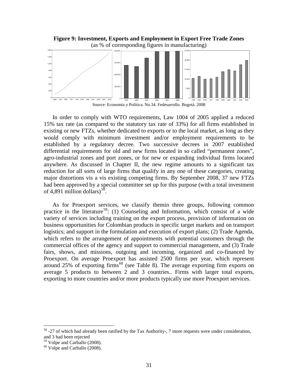<span id="page-31-0"></span>

In order to comply with WTO requirements, Law 1004 of 2005 applied a reduced 15% tax rate (as compared to the statutory tax rate of 33%) for all firms established in existing or new FTZs, whether dedicated to exports or to the local market, as long as they would comply with minimum investment and/or employment requirements to be established by a regulatory decree. Two successive decrees in 2007 established differential requirements for old and new firms located in so called "permanent zones", agro-industrial zones and port zones, or for new or expanding individual firms located anywhere. As discussed in Chapter II, the new regime amounts to a significant tax reduction for all sorts of large firms that qualify in any one of these categories, creating major distortions vis a vis existing competing firms. By September 2008, 37 new FTZs had been approved by a special committee set up for this purpose (with a total investment of 4,891 million dollars)<sup>[58](#page-31-1)</sup>.

As for Proexport services, we classify themin three groups, following common practice in the literature<sup>59</sup>: (1) Counseling and Information, which consist of a wide variety of services including training on the export process, provision of information on business opportunities for Colombian products in specific target markets and on transport logistics; and support in the formulation and execution of export plans; (2) Trade Agenda, which refers to the arrangement of appointments with potential customers through the commercial offices of the agency and support to commercial management, and (3) Trade fairs, shows, and missions, outgoing and incoming, organized and co-financed by Proexport. On average Proexport has assisted 2500 firms per year, which represent around 25% of exporting firms<sup>[60](#page-31-3)</sup> (see [Table 8\)](#page-32-0). The average exporting firm exports on average 5 products to between 2 and 3 countries.. Firms with larger total exports, exporting to more countries and/or more products typically use more Proexport services.

<span id="page-31-1"></span> $58 - 27$  of which had already been ratified by the Tax Authority-, 7 more requests were under consideration, and 3 had been rejected

<span id="page-31-3"></span><span id="page-31-2"></span> $\frac{59}{60}$  Volpe and Carballo (2008).<br><sup>60</sup> Volpe and Carballo (2008).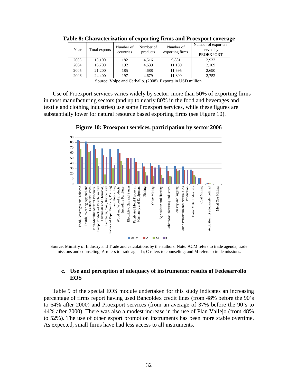| Year | Total exports | Number of<br>countries | Number of<br>products | Number of<br>exporting firms | Number of exporters<br>served by<br><b>PROEXPORT</b> |
|------|---------------|------------------------|-----------------------|------------------------------|------------------------------------------------------|
| 2003 | 13,100        | 182                    | 4.516                 | 9,881                        | 2,933                                                |
| 2004 | 16,700        | 192                    | 4,639                 | 11,189                       | 2,109                                                |
| 2005 | 21,200        | 185                    | 4,688                 | 11,695                       | 2,690                                                |
| 2006 | 24,400        | 197                    | 4.679                 | 11.399                       | 2.752                                                |

<span id="page-32-0"></span>**Table 8: Characterization of exporting firms and Proexport coverage**

Source: Volpe and Carballo. (2008). Exports in USD million.

Use of Proexport services varies widely by sector: more than 50% of exporting firms in most manufacturing sectors (and up to nearly 80% in the food and beverages and textile and clothing industries) use some Proexport services, while these figures are substantially lower for natural resource based exporting firms (see [Figure 10\)](#page-32-1).

<span id="page-32-1"></span>

**Figure 10: Proexport services, participation by sector 2006**

Source: Ministry of Industry and Trade and calculations by the authors. Note: ACM refers to trade agenda, trade missions and counseling; A refers to trade agenda; C refers to counseling; and M refers to trade missions.

# **c. Use and perception of adequacy of instruments: results of Fedesarrollo EOS**

[Table 9](#page-33-0) of the special EOS module undertaken for this study indicates an increasing percentage of firms report having used Bancoldex credit lines (from 48% before the 90's to 64% after 2000) and Proexport services (from an average of 37% before the 90's to 44% after 2000). There was also a modest increase in the use of Plan Vallejo (from 48% to 52%). The use of other export promotion instruments has been more stable overtime. As expected, small firms have had less access to all instruments.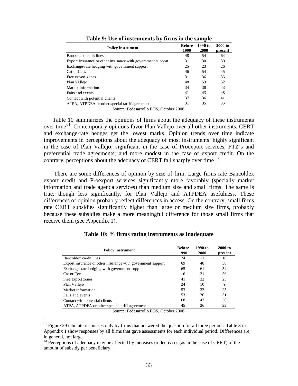<span id="page-33-0"></span>

| <b>Policy instrument</b>                                    | <b>Before</b><br>1990 | 1990 to<br>2000 | $2000$ to<br>present |
|-------------------------------------------------------------|-----------------------|-----------------|----------------------|
| Bancoldex credit lines                                      | 48                    | 54              | 64                   |
| Export insurance or other insurance with government support | 31                    | 30              | 30                   |
| Exchange-rate hedging with government support               | 25                    | 23              | 26                   |
| Cat or Cert.                                                | 46                    | 54              | 45                   |
| Free export zones                                           | 31                    | 36              | 35                   |
| Plan Vallejo                                                | 48                    | 53              | 52                   |
| Market information                                          | 34                    | 38              | 43                   |
| Fairs and events                                            | 41                    | 43              | 48                   |
| Contact with potential clients                              | 37                    | 36              | 41                   |
| ATPA, ATPDEA or other special tariff agreement              | 31                    | 35              | 36                   |

**Table 9: Use of instruments by firms in the sample**

Source: Fedesarrollo EOS, October 2008.

[Table 10](#page-33-1) summarizes the opinions of firms about the adequacy of these instruments over time<sup>61</sup>. Contemporary opinions favor Plan Vallejo over all other instruments. CERT and exchange-rate hedges get the lowest marks. Opinion trends over time indicate improvements in perceptions about the adequacy of most instruments: highly significant in the case of Plan Vallejo; significant in the case of Proexport services, FTZ's and preferential trade agreements; and more modest in the case of export credit. On the contrary, perceptions about the adequacy of CERT fall sharply over time <sup>[62](#page-33-3)</sup>

There are some differences of opinion by size of firm. Large firms rate Bancoldex export credit and Proexport services significantly more favorably (specially market information and trade agenda services) than medium size and small firms. The same is true, though less significantly, for Plan Vallejo and ATPDEA usefulness. These differences of opinion probably reflect differences in access. On the contrary, small firms rate CERT subsidies significantly higher than large or medium size firms, probably because these subsidies make a more meaningful difference for those small firms that receive them (see Appendix 1).

<span id="page-33-1"></span>

| <b>Policy instrument</b>                                    | <b>Before</b><br>1990 | 1990 to<br>2000 | 2000 to<br>present |
|-------------------------------------------------------------|-----------------------|-----------------|--------------------|
| Bancoldex credit lines                                      | 24                    | 11              | 16                 |
| Export insurance or other insurance with government support | 69                    | 48              | 38                 |
| Exchange-rate hedging with government support               | 65                    | 61              | 54                 |
| Cat or Cert.                                                | 16                    | 21              | 56                 |
| Free export zones                                           | 41                    | 32              | 23                 |
| Plan Vallejo                                                | 24                    | 10              | 9                  |
| Market information                                          | 53                    | 32              | 25                 |
| Fairs and events                                            | 53                    | 36              | 31                 |
| Contact with potential clients                              | 68                    | 47              | 38                 |
| ATPA, ATPDEA or other special tariff agreement              | 45                    | 26              | 22                 |

**Table 10: % firms rating instruments as inadequate**

Source: Fedesarrollo EOS, October 2008.

<span id="page-33-2"></span> $61$  Figure 29 tabulate responses only by firms that answered the question for all three periods. Table 3 in Appendix 1 show responses by all firms that gave assessments for each individual period. Differences are, in general, not large.

<span id="page-33-3"></span> $62$  Perceptions of adequacy may be affected by increases or decreases (as in the case of CERT) of the amount of subsidy per beneficiary.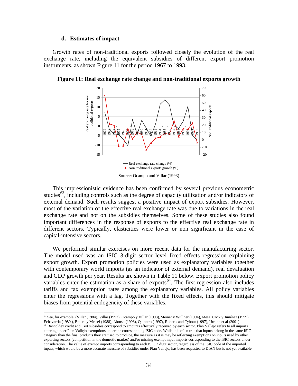#### **d. Estimates of impact**

Growth rates of non-traditional exports followed closely the evolution of the real exchange rate, including the equivalent subsidies of different export promotion instruments, as shown [Figure 11](#page-34-0) for the period 1967 to 1993.



<span id="page-34-0"></span>**Figure 11: Real exchange rate change and non-traditional exports growth**

This impressionistic evidence has been confirmed by several previous econometric studies<sup>[63](#page-34-1)</sup>, including controls such as the degree of capacity utilization and/or indicators of external demand. Such results suggest a positive impact of export subsidies. However, most of the variation of the effective real exchange rate was due to variations in the real exchange rate and not on the subsidies themselves. Some of these studies also found important differences in the response of exports to the effective real exchange rate in different sectors. Typically, elasticities were lower or non significant in the case of capital-intensive sectors.

We performed similar exercises on more recent data for the manufacturing sector. The model used was an ISIC 3-digit sector level fixed effects regression explaining export growth. Export promotion policies were used as explanatory variables together with contemporary world imports (as an indicator of external demand), real devaluation and GDP growth per year. Results are shown in [Table 11](#page-35-0) below. Export promotion policy variables enter the estimation as a share of exports<sup>[64](#page-34-2)</sup>. The first regression also includes tariffs and tax exemption rates among the explanatory variables. All policy variables enter the regressions with a lag. Together with the fixed effects, this should mitigate biases from potential endogeneity of these variables.

<span id="page-34-1"></span> 63 See, for example, (Villar (1984), Villar (1992), Ocampo y Villar (1993), Steiner y Wüllner (1994), Mesa, Cock y Jiménez (1999), Echavarria (1980 ), Botero y Meisel (1988), Alonso (1993), Quintero (1997), Roberts and Tybout (1997), Urrutia et al (2001).

Source: Ocampo and Villar (1993)

<span id="page-34-2"></span><sup>64</sup> Bancoldex credit and Cert subsidies correspond to amounts effectively received by each sector. Plan Vallejo refers to all imports entering under Plan Vallejo exemptions under the corresponding ISIC code. While it is often true that inputs belong in the same ISIC category than the final products they are used to produce, the measure as it is may be reflecting exemptions on inputs used by other exporting sectors (competition in the domestic market) and/or missing exempt input imports corresponding to the ISIC sectors under consideration. The value of exempt imports corresponding to each ISIC 3 digit sector, regardless of the ISIC code of the imported inputs, which would be a more accurate measure of subsidies under Plan Vallejo, has been requested to DIAN but is not yet available.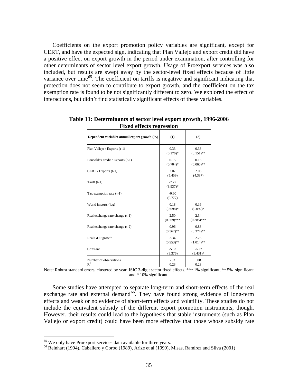Coefficients on the export promotion policy variables are significant, except for CERT, and have the expected sign, indicating that Plan Vallejo and export credit did have a positive effect on export growth in the period under examination, after controlling for other determinants of sector level export growth. Usage of Proexport services was also included, but results are swept away by the sector-level fixed effects because of little variance over time<sup>[65](#page-35-1)</sup>. The coefficient on tariffs is negative and significant indicating that protection does not seem to contribute to export growth, and the coefficient on the tax exemption rate is found to be not significantly different to zero. We explored the effect of interactions, but didn't find statistically significant effects of these variables.

| Dependent variable: annual export growth (%) | (1)                   | (2)                   |
|----------------------------------------------|-----------------------|-----------------------|
| Plan Vallejo / Exports (t-1)                 | 0.33<br>$(0.176)$ *   | 0.38<br>$(0.151)$ **  |
| Bancoldex credit / Exports (t-1)             | 0.15<br>$(0.704)$ *   | 0.15<br>$(0.060)$ **  |
| CERT / Exports $(t-1)$                       | 3.07<br>(5.459)       | 2.05<br>(4, 387)      |
| Tariff $(t-1)$                               | $-7.77$<br>$(3.937)*$ |                       |
| Tax exemption rate $(t-1)$                   | $-0.60$<br>(0.777)    |                       |
| World imports (log)                          | 0.18<br>$(0.098)$ *   | 0.16<br>$(0.092)$ *   |
| Real exchange rate change (t-1)              | 2.50<br>$(0.369)$ *** | 2.34<br>$(0.385)$ *** |
| Real exchange rate change (t-2)              | 0.96<br>$(0.362)$ **  | 0.88<br>$(0.374)$ **  |
| Real GDP growth                              | 2.34<br>$(0.953)$ **  | 2.25<br>$(1.014)$ **  |
| Constant                                     | $-5.32$<br>(3.376)    | $-6.27$<br>$(3.431)*$ |
| Number of observations<br>$R^2$              | 233<br>0.23           | 308<br>0.23           |

<span id="page-35-0"></span>**Table 11: Determinants of sector level export growth, 1996-2006 Fixed effects regression**

Note: Robust standard errors, clustered by year. ISIC 3-digit sector fixed effects. \*\*\* 1% significant, \*\* 5% significant and \* 10% significant.

Some studies have attempted to separate long-term and short-term effects of the real exchange rate and external demand<sup>[66](#page-35-2)</sup>. They have found strong evidence of long-term effects and weak or no evidence of short-term effects and volatility. These studies do not include the equivalent subsidy of the different export promotion instruments, though. However, their results could lead to the hypothesis that stable instruments (such as Plan Vallejo or export credit) could have been more effective that those whose subsidy rate

<span id="page-35-2"></span><span id="page-35-1"></span><sup>&</sup>lt;sup>65</sup> We only have Proexport services data available for three years.<br><sup>66</sup> Reinhart (1994), Caballero y Corbo (1989), Arize et al (1999), Misas, Ramírez and Silva (2001)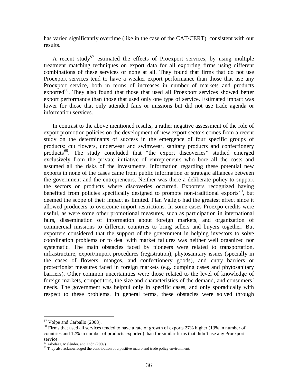has varied significantly overtime (like in the case of the CAT/CERT), consistent with our results.

A recent study<sup>[67](#page-36-0)</sup> estimated the effects of Proexport services, by using multiple treatment matching techniques on export data for all exporting firms using different combinations of these services or none at all. They found that firms that do not use Proexport services tend to have a weaker export performance than those that use any Proexport service, both in terms of increases in number of markets and products exported<sup>[68](#page-36-1)</sup>. They also found that those that used all Proexport services showed better export performance than those that used only one type of service. Estimated impact was lower for those that only attended fairs or missions but did not use trade agenda or information services.

In contrast to the above mentioned results, a rather negative assessment of the role of export promotion policies on the development of new export sectors comes from a recent study on the determinants of success in the emergence of four specific groups of products: cut flowers, underwear and swimwear, sanitary products and confectionery products<sup>[69](#page-36-2)</sup>. The study concluded that "the export discoveries" studied emerged exclusively from the private initiative of entrepreneurs who bore all the costs and assumed all the risks of the investments. Information regarding these potential new exports in none of the cases came from public information or strategic alliances between the government and the entrepreneurs. Neither was there a deliberate policy to support the sectors or products where discoveries occurred. Exporters recognized having benefited from policies specifically designed to promote non-traditional exports<sup>[70](#page-36-3)</sup>, but deemed the scope of their impact as limited. Plan Vallejo had the greatest effect since it allowed producers to overcome import restrictions. In some cases Proexpo credits were useful, as were some other promotional measures, such as participation in international fairs, dissemination of information about foreign markets, and organization of commercial missions to different countries to bring sellers and buyers together. But exporters considered that the support of the government in helping investors to solve coordination problems or to deal with market failures was neither well organized nor systematic. The main obstacles faced by pioneers were related to transportation, infrastructure, export/import procedures (registration), phytosanitary issues (specially in the cases of flowers, mangos, and confectionery goods), and entry barriers or protectionist measures faced in foreign markets (e.g. dumping cases and phytosanitary barriers). Other common uncertainties were those related to the level of knowledge of foreign markets, competitors, the size and characteristics of the demand, and consumers<sup> $\hat{}$ </sup> needs. The government was helpful only in specific cases, and only sporadically with respect to these problems. In general terms, these obstacles were solved through

<span id="page-36-1"></span><span id="page-36-0"></span><sup>&</sup>lt;sup>67</sup> Volpe and Carballo (2008).<br><sup>68</sup> Firms that used all services tended to have a rate of growth of exports 27% higher (13% in number of countries and 12% in number of products exported) than for similar firms that didn't use any Proexport service.<br><sup>69</sup> Arbeláez, Meléndez and León (2007).

<span id="page-36-2"></span>

<span id="page-36-3"></span> $\frac{1}{20}$  They also acknowledged the contribution of a positive macro and trade policy environment.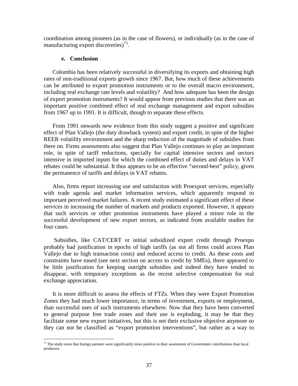coordination among pioneers (as in the case of flowers), or individually (as in the case of manufacturing export discoveries) $^{71}$  $^{71}$  $^{71}$ .

## **e. Conclusion**

Colombia has been relatively successful in diversifying its exports and obtaining high rates of non-traditional exports growth since 1967. But, how much of these achievements can be attributed to export promotion instruments or to the overall macro environment, including real exchange rate levels and volatility? And how adequate has been the design of export promotion instruments? It would appear from previous studies that there was an important positive combined effect of real exchange management and export subsidies from 1967 up to 1991. It is difficult, though to separate these effects.

From 1991 onwards new evidence from this study suggest a positive and significant effect of Plan Vallejo (the duty drawback system) and export credit, in spite of the higher REER volatility environment and the sharp reduction of the magnitude of subsidies from there on. Firms assessments also suggest that Plan Vallejo continues to play an important role, in spite of tariff reductions, specially for capital intensive sectors and sectors intensive in imported inputs for which the combined effect of duties and delays in VAT rebates could be substantial. It thus appears to be an effective "second-best" policy, given the permanence of tariffs and delays in VAT rebates.

Also, firms report increasing use and satisfaction with Proexport services, especially with trade agenda and market information services, which apparently respond to important perceived market failures. A recent study estimated a significant effect of these services in increasing the number of markets and products exported. However, it appears that such services or other promotion instruments have played a minor role in the successful development of new export sectors, as indicated from available studies for four cases.

Subsidies, like CAT/CERT or initial subsidized export credit through Proexpo probably had justification in epochs of high tariffs (as not all firms could access Plan Vallejo due to high transaction costs) and reduced access to credit. As these costs and constraints have eased (see next section on access to credit by SMEs), there appeared to be little justification for keeping outright subsidies and indeed they have tended to disappear, with temporary exceptions as the recent selective compensation for real exchange appreciation.

It is more difficult to assess the effects of FTZs. When they were Export Promotion Zones they had much lower importance, in terms of investment, exports or employment, than successful uses of such instruments elsewhere. Now that they have been converted to general purpose free trade zones and their use is exploding, it may be that they facilitate some new export initiatives, but this is not their exclusive objective anymore so they can not be classified as "export promotion interventions", but rather as a way to

<span id="page-37-0"></span> $71$  The study notes that foreign partners were significantly more positive in their assessment of Government contributions than local producers.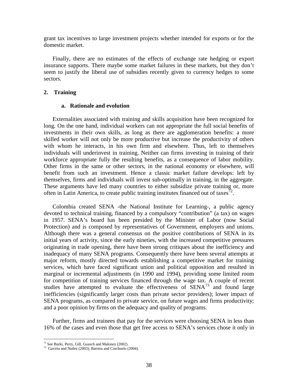grant tax incentives to large investment projects whether intended for exports or for the domestic market.

Finally, there are no estimates of the effects of exchange rate hedging or export insurance supports. There maybe some market failures in these markets, but they don't seem to justify the liberal use of subsidies recently given to currency hedges to some sectors.

## **2. Training**

## **a. Rationale and evolution**

Externalities associated with training and skills acquisition have been recognized for long. On the one hand, individual workers can not appropriate the full social benefits of investments in their own skills, as long as there are agglomeration benefits: a more skilled worker will not only be more productive but increase the productivity of others with whom he interacts, in his own firm and elsewhere. Thus, left to themselves individuals will underinvest in training. Neither can firms investing in training of their workforce appropriate fully the resulting benefits, as a consequence of labor mobility. Other firms in the same or other sectors, in the national economy or elsewhere, will benefit from such an investment. Hence a classic market failure develops: left by themselves, firms and individuals will invest sub-optimally in training, in the aggregate. These arguments have led many countries to either subsidize private training or, more often in Latin America, to create public training institutes financed out of taxes<sup>[72](#page-38-0)</sup>.

Colombia created SENA -the National Institute for Learning-, a public agency devoted to technical training, financed by a compulsory "contribution" (a tax) on wages in 1957. SENA's board has been presided by the Minister of Labor (now Social Protection) and is composed by representatives of Government, employers and unions. Although there was a general consensus on the positive contributions of SENA in its initial years of activity, since the early nineties, with the increased competitive pressures originating in trade opening, there have been strong critiques about the inefficiency and inadequacy of many SENA programs. Consequently there have been several attempts at major reform, mostly directed towards establishing a competitive market for training services, which have faced significant union and political opposition and resulted in marginal or incremental adjustments (in 1990 and 1994), providing some limited room for competition of training services financed through the wage tax. A couple of recent studies have attempted to evaluate the effectiveness of  $\overline{\text{SENA}}^{73}$  $\overline{\text{SENA}}^{73}$  $\overline{\text{SENA}}^{73}$  and found large inefficiencies (significantly larger costs than private sector providers); lower impact of SENA programs, as compared to private service, on future wages and firms productivity; and a poor opinion by firms on the adequacy and quality of programs.

Further, firms and trainees that pay for the services were choosing SENA in less than 16% of the cases and even those that get free access to SENA's services chose it only in

<span id="page-38-1"></span><span id="page-38-0"></span><sup>&</sup>lt;sup>72</sup> See Burki, Perry, Gill, Guasch and Maloney (2002).<br><sup>73</sup> Gaviria and Nuñez (2003); Barrera and Corchuelo (2004).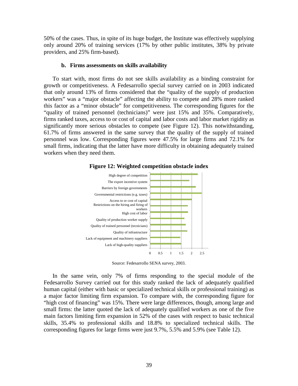50% of the cases. Thus, in spite of its huge budget, the Institute was effectively supplying only around 20% of training services (17% by other public institutes, 38% by private providers, and 25% firm-based).

### **b. Firms assessments on skills availability**

To start with, most firms do not see skills availability as a binding constraint for growth or competitiveness. A Fedesarrollo special survey carried on in 2003 indicated that only around 13% of firms considered that the "quality of the supply of production workers" was a "major obstacle" affecting the ability to compete and 28% more ranked this factor as a "minor obstacle" for competitiveness. The corresponding figures for the "quality of trained personnel (technicians)" were just 15% and 35%. Comparatively, firms ranked taxes, access to or cost of capital and labor costs and labor market rigidity as significantly more serious obstacles to compete (see [Figure 12\)](#page-39-0). This notwithstanding, 61.7% of firms answered in the same survey that the quality of the supply of trained personnel was low. Corresponding figures were 47.5% for large firms and 72.1% for small firms, indicating that the latter have more difficulty in obtaining adequately trained workers when they need them.

<span id="page-39-0"></span>

## **Figure 12: Weighted competition obstacle index**

Source: Fedesarrollo SENA survey, 2003.

In the same vein, only 7% of firms responding to the special module of the Fedesarrollo Survey carried out for this study ranked the lack of adequately qualified human capital (either with basic or specialized technical skills or professional training) as a major factor limiting firm expansion. To compare with, the corresponding figure for "high cost of financing" was 15%. There were large differences, though, among large and small firms: the latter quoted the lack of adequately qualified workers as one of the five main factors limiting firm expansion in 52% of the cases with respect to basic technical skills, 35.4% to professional skills and 18.8% to specialized technical skills. The corresponding figures for large firms were just 9.7%, 5.5% and 5.9% (see [Table 12\)](#page-40-0).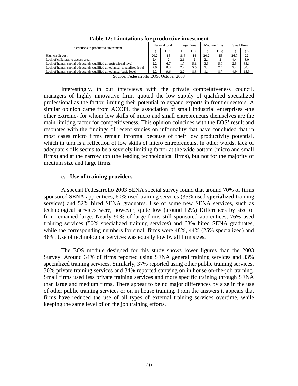<span id="page-40-0"></span>

| Restrictions to productive investment                                     |      | National total |      | Large firms | Medium firms |          | Small firms |          |
|---------------------------------------------------------------------------|------|----------------|------|-------------|--------------|----------|-------------|----------|
|                                                                           | 1:   | $1 - 5$ ;      | 1:   | $1: -5:$    | 1;           | $1: -5:$ | 1;          | $1; -5;$ |
| High credit cost                                                          | 20.2 | 15             | 18.6 | 14          | 20.2         | 15       | 26.7        | 22       |
| Lack of collateral to access credit                                       | 2.4  | 2              | 2.1  |             | 2.1          |          | 4.4         | 3.0      |
| Lack of human capital adequately qualified at professional level          | 2.2  | 6.7            | 1.7  | 5.1         | 3.3          | 5.0      | 2.5         | 35.1     |
| Lack of human capital adequately qualified at technical specialized level | 2.9  | 8.3            | 2.2  | 5.5         | 2.2          | 7.4      | 7.4         | 30.2     |
| Lack of human capital adequately qualified at technical basic level       | 2.2  | 9.6            | 2.2  | 8.8         | 1.1          | 8.7      | 4.9         | 15.9     |

**Table 12: Limitations for productive investment**

Source: Fedesarrollo EOS, October 2008

Interestingly, in our interviews with the private competitiveness council, managers of highly innovative firms quoted the low supply of qualified specialized professional as the factor limiting their potential to expand exports in frontier sectors. A similar opinion came from ACOPI, the association of small industrial enterprises -the other extreme- for whom low skills of micro and small entrepreneurs themselves are the main limiting factor for competitiveness. This opinion coincides with the EOS' result and resonates with the findings of recent studies on informality that have concluded that in most cases micro firms remain informal because of their low productivity potential, which in turn is a reflection of low skills of micro entrepreneurs. In other words, lack of adequate skills seems to be a severely limiting factor at the wide bottom (micro and small firms) and at the narrow top (the leading technological firms), but not for the majority of medium size and large firms.

## **c. Use of training providers**

A special Fedesarrollo 2003 SENA special survey found that around 70% of firms sponsored SENA apprentices, 60% used training services (35% used **specialized** training services) and 52% hired SENA graduates. Use of some new SENA services, such as technological services were, however, quite low (around 12%) Differences by size of firm remained large. Nearly 90% of large firms still sponsored apprentices, 76% used training services (50% specialized training services) and 63% hired SENA graduates, while the corresponding numbers for small firms were 48%, 44% (25% specialized) and 48%. Use of technological services was equally low by all firm sizes.

The EOS module designed for this study shows lower figures than the 2003 Survey. Around 34% of firms reported using SENA general training services and 33% specialized training services. Similarly, 37% reported using other public training services, 30% private training services and 34% reported carrying on in house on-the-job training. Small firms used less private training services and more specific training through SENA than large and medium firms. There appear to be no major differences by size in the use of other public training services or on in house training. From the answers it appears that firms have reduced the use of all types of external training services overtime, while keeping the same level of on the job training efforts.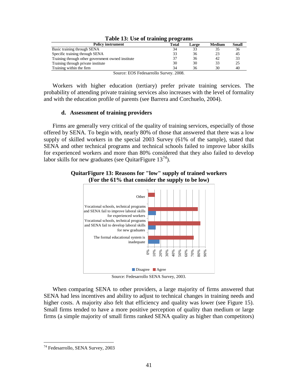| <b>Policy instrument</b>                          | Total                | Large | Medium | Small |  |  |  |  |  |  |
|---------------------------------------------------|----------------------|-------|--------|-------|--|--|--|--|--|--|
| Basic training through SENA                       | 34                   |       |        | 36    |  |  |  |  |  |  |
| Specific training through SENA                    | 33                   | 36    | 23     | 45    |  |  |  |  |  |  |
| Training through other government owned institute | 37                   | 36    | 42     | 33    |  |  |  |  |  |  |
| Training through private institute                | 30                   | 30    | 33     | 25    |  |  |  |  |  |  |
| Training within the firm                          | 34                   | 36    | 30     | 40    |  |  |  |  |  |  |
| -----<br>$\sim$<br>$\sim$                         | $\sim$ $\sim$ $\sim$ |       |        |       |  |  |  |  |  |  |

# **Table 13: Use of training programs**

Source: EOS Fedesarrollo Survey. 2008.

Workers with higher education (tertiary) prefer private training services. The probability of attending private training services also increases with the level of formality and with the education profile of parents (see Barrera and Corchuelo, 2004).

# **d. Assessment of training providers**

Firms are generally very critical of the quality of training services, especially of those offered by SENA. To begin with, nearly 80% of those that answered that there was a low supply of skilled workers in the special 2003 Survey (61% of the sample), stated that SENA and other technical programs and technical schools failed to improve labor skills for experienced workers and more than 80% considered that they also failed to develop labor skills for new graduates (see Quitar Figure  $13^{74}$  $13^{74}$  $13^{74}$ ).

# <span id="page-41-0"></span>**QuitarFigure 13: Reasons for "low" supply of trained workers (For the 61% that consider the supply to be low)**



Source: Fedesarrollo SENA Survey, 2003.

When comparing SENA to other providers, a large majority of firms answered that SENA had less incentives and ability to adjust to technical changes in training needs and higher costs. A majority also felt that efficiency and quality was lower (see [Figure 15\)](#page-42-0). Small firms tended to have a more positive perception of quality than medium or large firms (a simple majority of small firms ranked SENA quality as higher than competitors)

<span id="page-41-1"></span> <sup>74</sup> Fedesarrollo, SENA Survey, 2003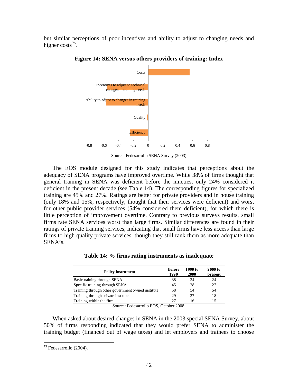<span id="page-42-0"></span>but similar perceptions of poor incentives and ability to adjust to changing needs and higher costs<sup>[75](#page-42-2)</sup>.



**Figure 14: SENA versus others providers of training: Index**

Source: Fedesarrollo SENA Survey (2003)

The EOS module designed for this study indicates that perceptions about the adequacy of SENA programs have improved overtime. While 38% of firms thought that general training in SENA was deficient before the nineties, only 24% considered it deficient in the present decade (see [Table 14\)](#page-42-1). The corresponding figures for specialized training are 45% and 27%. Ratings are better for private providers and in house training (only 18% and 15%, respectively, thought that their services were deficient) and worst for other public provider services (54% considered them deficient), for which there is little perception of improvement overtime. Contrary to previous surveys results, small firms rate SENA services worst than large firms. Similar differences are found in their ratings of private training services, indicating that small firms have less access than large firms to high quality private services, though they still rank them as more adequate than SENA's.

<span id="page-42-1"></span>

| <b>Policy instrument</b>                          | <b>Before</b><br>1990 | 1990 to<br>2000 | 2000 to<br>present |
|---------------------------------------------------|-----------------------|-----------------|--------------------|
| Basic training through SENA                       | 38                    | 24              | 24                 |
| Specific training through SENA                    | 45                    | 28              | 27                 |
| Training through other government owned institute | 58                    | .54             | 54                 |
| Training through private institute                | 29                    | 27              | 18                 |
| Training within the firm                          |                       | 16              |                    |

**Table 14: % firms rating instruments as inadequate**

Source: Fedesarrollo EOS, October 2008.

When asked about desired changes in SENA in the 2003 special SENA Survey, about 50% of firms responding indicated that they would prefer SENA to administer the training budget (financed out of wage taxes) and let employers and trainees to choose

<span id="page-42-2"></span> $75$  Fedesarrollo (2004).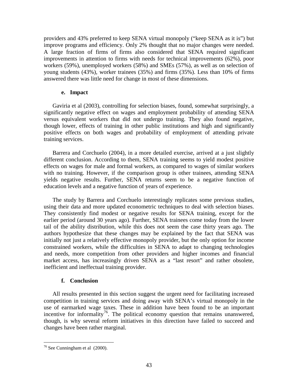providers and 43% preferred to keep SENA virtual monopoly ("keep SENA as it is") but improve programs and efficiency. Only 2% thought that no major changes were needed. A large fraction of firms of firms also considered that SENA required significant improvements in attention to firms with needs for technical improvements (62%), poor workers (59%), unemployed workers (58%) and SMEs (57%), as well as on selection of young students (43%), worker trainees (35%) and firms (35%). Less than 10% of firms answered there was little need for change in most of these dimensions.

# **e. Impact**

Gaviria et al (2003), controlling for selection biases, found, somewhat surprisingly, a significantly negative effect on wages and employment probability of attending SENA versus equivalent workers that did not undergo training. They also found negative, though lower, effects of training in other public institutions and high and significantly positive effects on both wages and probability of employment of attending private training services.

Barrera and Corchuelo (2004), in a more detailed exercise, arrived at a just slightly different conclusion. According to them, SENA training seems to yield modest positive effects on wages for male and formal workers, as compared to wages of similar workers with no training. However, if the comparison group is other trainees, attending SENA yields negative results. Further, SENA returns seem to be a negative function of education levels and a negative function of years of experience.

The study by Barrera and Corchuelo interestingly replicates some previous studies, using their data and more updated econometric techniques to deal with selection biases. They consistently find modest or negative results for SENA training, except for the earlier period (around 30 years ago). Further, SENA trainees come today from the lower tail of the ability distribution, while this does not seem the case thirty years ago. The authors hypothesize that these changes may be explained by the fact that SENA was initially not just a relatively effective monopoly provider, but the only option for income constrained workers, while the difficulties in SENA to adapt to changing technologies and needs, more competition from other providers and higher incomes and financial market access, has increasingly driven SENA as a "last resort" and rather obsolete, inefficient and ineffectual training provider.

# **f. Conclusion**

All results presented in this section suggest the urgent need for facilitating increased competition in training services and doing away with SENA's virtual monopoly in the use of earmarked wage taxes. These in addition have been found to be an important incentive for informality<sup>[76](#page-43-0)</sup>. The political economy question that remains unanswered, though, is why several reform initiatives in this direction have failed to succeed and changes have been rather marginal.

<span id="page-43-0"></span> $76$  See Cunningham et al  $(2000)$ .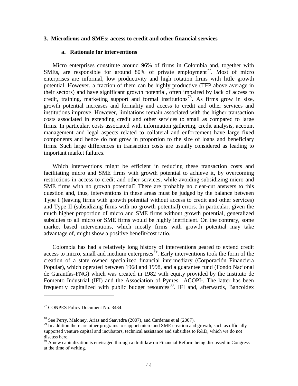## **3. Microfirms and SMEs: access to credit and other financial services**

## **a. Rationale for interventions**

Micro enterprises constitute around 96% of firms in Colombia and, together with SMEs, are responsible for around 80% of private employment<sup>77</sup>. Most of micro enterprises are informal, low productivity and high rotation firms with little growth potential. However, a fraction of them can be highly productive (TFP above average in their sectors) and have significant growth potential, often impaired by lack of access to credit, training, marketing support and formal institutions<sup>[78](#page-44-1)</sup>. As firms grow in size, growth potential increases and formality and access to credit and other services and institutions improve. However, limitations remain associated with the higher transaction costs associated in extending credit and other services to small as compared to large firms. In particular, costs associated with information gathering, credit analysis, account management and legal aspects related to collateral and enforcement have large fixed components and hence do not grow in proportion to the size of loans and beneficiary firms. Such large differences in transaction costs are usually considered as leading to important market failures.

Which interventions might be efficient in reducing these transaction costs and facilitating micro and SME firms with growth potential to achieve it, by overcoming restrictions in access to credit and other services, while avoiding subsidizing micro and SME firms with no growth potential? There are probably no clear-cut answers to this question and, thus, interventions in these areas must be judged by the balance between Type I (leaving firms with growth potential without access to credit and other services) and Type II (subsidizing firms with no growth potential) errors. In particular, given the much higher proportion of micro and SME firms without growth potential, generalized subsidies to all micro or SME firms would be highly inefficient. On the contrary, some market based interventions, which mostly firms with growth potential may take advantage of, might show a positive benefit/cost ratio.

Colombia has had a relatively long history of interventions geared to extend credit access to micro, small and medium enterprises<sup> $79$ </sup>. Early interventions took the form of the creation of a state owned specialized financial intermediary (Corporación Financiera Popular), which operated between 1968 and 1998*,* and a guarantee fund (Fondo Nacional de Garantías-FNG) which was created in 1982 with equity provided by the Instituto de Fomento Industrial (IFI) and the Association of Pymes –ACOPI-. The latter has been frequently capitalized with public budget resources<sup>[80](#page-44-3)</sup>. IFI and, afterwards, Bancoldex

 $\overline{a}$ 

<span id="page-44-0"></span><sup>77</sup> CONPES Policy Document No. 3484.

<span id="page-44-2"></span><span id="page-44-1"></span><sup>&</sup>lt;sup>78</sup> See Perry, Maloney, Arias and Saavedra (2007), and Cardenas et al (2007).<br><sup>79</sup> In addition there are other programs to support micro and SME creation and growth, such as officially supported venture capital and incubators, technical assistance and subsidies to R&D, which we do not discuss here.

<span id="page-44-3"></span><sup>80</sup> A new capitalization is envisaged through a draft law on Financial Reform being discussed in Congress at the time of writing.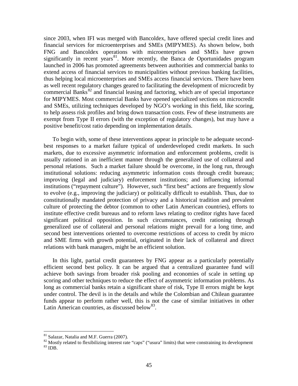since 2003, when IFI was merged with Bancoldex, have offered special credit lines and financial services for microenterprises and SMEs (MIPYMES). As shown below, both FNG and Bancoldex operations with microenterprises and SMEs have grown significantly in recent years $81$ . More recently, the Banca de Oportunidades program launched in 2006 has promoted agreements between authorities and commercial banks to extend access of financial services to municipalities without previous banking facilities, thus helping local microenterprises and SMEs access financial services. There have been as well recent regulatory changes geared to facilitating the development of microcredit by commercial Banks<sup>[82](#page-45-1)</sup> and financial leasing and factoring, which are of special importance for MIPYMES. Most commercial Banks have opened specialized sections on microcredit and SMEs, utilizing techniques developed by NGO's working in this field, like scoring, to help assess risk profiles and bring down transaction costs. Few of these instruments are exempt from Type II errors (with the exception of regulatory changes), but may have a positive benefit/cost ratio depending on implementation details.

To begin with, some of these interventions appear in principle to be adequate secondbest responses to a market failure typical of underdeveloped credit markets. In such markets, due to excessive asymmetric information and enforcement problems, credit is usually rationed in an inefficient manner through the generalized use of collateral and personal relations. Such a market failure should be overcome, in the long run, through institutional solutions: reducing asymmetric information costs through credit bureaus; improving (legal and judiciary) enforcement institutions; and influencing informal institutions ("repayment culture"). However, such "first best" actions are frequently slow to evolve (e.g., improving the judiciary) or politically difficult to establish. Thus, due to constitutionally mandated protection of privacy and a historical tradition and prevalent culture of protecting the debtor (common to other Latin American countries), efforts to institute effective credit bureaus and to reform laws relating to creditor rights have faced significant political opposition. In such circumstances, credit rationing through generalized use of collateral and personal relations might prevail for a long time, and second best interventions oriented to overcome restrictions of access to credit by micro and SME firms with growth potential, originated in their lack of collateral and direct relations with bank managers, might be an efficient solution.

In this light, partial credit guarantees by FNG appear as a particularly potentially efficient second best policy. It can be argued that a centralized guarantee fund will achieve both savings from broader risk pooling and economies of scale in setting up scoring and other techniques to reduce the effect of asymmetric information problems. As long as commercial banks retain a significant share of risk, Type II errors might be kept under control. The devil is in the details and while the Colombian and Chilean guarantee funds appear to perform rather well, this is not the case of similar initiatives in other Latin American countries, as discussed below<sup>[83](#page-45-2)</sup>.

<span id="page-45-2"></span><span id="page-45-1"></span><span id="page-45-0"></span><sup>&</sup>lt;sup>81</sup> Salazar, Natalia and M.F. Guerra (2007).<br><sup>82</sup> Mostly related to flexibilizing interest rate "caps" ("usura" limits) that were constraining its development  $^{83}$  IDB.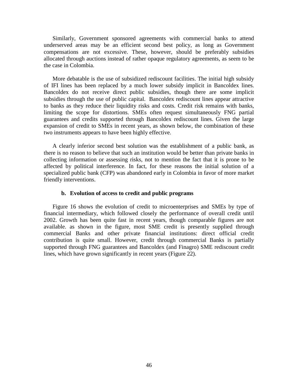Similarly, Government sponsored agreements with commercial banks to attend underserved areas may be an efficient second best policy, as long as Government compensations are not excessive. These, however, should be preferably subsidies allocated through auctions instead of rather opaque regulatory agreements, as seem to be the case in Colombia.

More debatable is the use of subsidized rediscount facilities. The initial high subsidy of IFI lines has been replaced by a much lower subsidy implicit in Bancoldex lines. Bancoldex do not receive direct public subsidies, though there are some implicit subsidies through the use of public capital. Bancoldex rediscount lines appear attractive to banks as they reduce their liquidity risks and costs. Credit risk remains with banks, limiting the scope for distortions. SMEs often request simultaneously FNG partial guarantees and credits supported through Bancoldex rediscount lines. Given the large expansion of credit to SMEs in recent years, as shown below, the combination of these two instruments appears to have been highly effective.

A clearly inferior second best solution was the establishment of a public bank, as there is no reason to believe that such an institution would be better than private banks in collecting information or assessing risks, not to mention the fact that it is prone to be affected by political interference. In fact, for these reasons the initial solution of a specialized public bank (CFP) was abandoned early in Colombia in favor of more market friendly interventions.

### **b. Evolution of access to credit and public programs**

[Figure 16](#page-47-0) shows the evolution of credit to microenterprises and SMEs by type of financial intermediary, which followed closely the performance of overall credit until 2002. Growth has been quite fast in recent years, though comparable figures are not available. as shown in the figure, most SME credit is presently supplied through commercial Banks and other private financial institutions: direct official credit contribution is quite small. However, credit through commercial Banks is partially supported through FNG guarantees and Bancoldex (and Finagro) SME rediscount credit lines, which have grown significantly in recent years (Figure 22).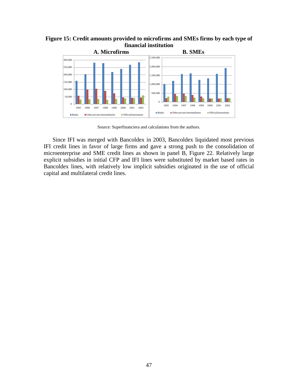<span id="page-47-0"></span>**Figure 15: Credit amounts provided to microfirms and SMEs firms by each type of financial institution**



Source: Superfinanciera and calculations from the authors.

Since IFI was merged with Bancoldex in 2003, Bancoldex liquidated most previous IFI credit lines in favor of large firms and gave a strong push to the consolidation of microenterprise and SME credit lines as shown in panel B, Figure 22. Relatively large explicit subsidies in initial CFP and IFI lines were substituted by market based rates in Bancoldex lines, with relatively low implicit subsidies originated in the use of official capital and multilateral credit lines.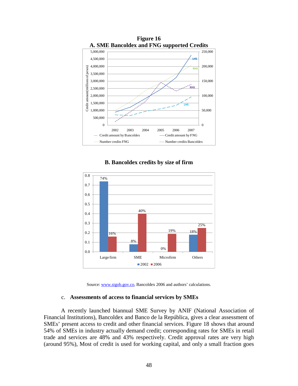

**Figure 16**

# **B. Bancoldex credits by size of firm**



Source: [www.sigob.gov.co,](http://www.sigob.gov.co/) Bancoldex 2006 and authors' calculations.

## c. **Assessments of access to financial services by SMEs**

A recently launched biannual SME Survey by ANIF (National Association of Financial Institutions), Bancoldex and Banco de la República, gives a clear assessment of SMEs' present access to credit and other financial services. [Figure 18](#page-49-0) shows that around 54% of SMEs in industry actually demand credit; corresponding rates for SMEs in retail trade and services are 48% and 43% respectively. Credit approval rates are very high (around 95%), Most of credit is used for working capital, and only a small fraction goes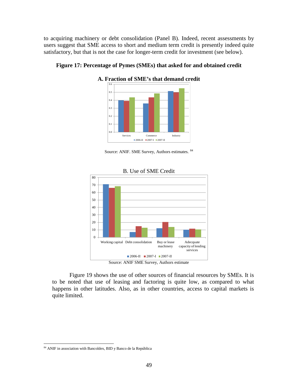to acquiring machinery or debt consolidation (Panel B). Indeed, recent assessments by users suggest that SME access to short and medium term credit is presently indeed quite satisfactory, but that is not the case for longer-term credit for investment (see below).



<span id="page-49-0"></span>**Figure 17: Percentage of Pymes (SMEs) that asked for and obtained credit**

Source: ANIF. SME Survey, Authors estimates. [84](#page-49-1)



#### B. Use of SME Credit

[Figure 19](#page-50-0) shows the use of other sources of financial resources by SMEs. It is to be noted that use of leasing and factoring is quite low, as compared to what happens in other latitudes. Also, as in other countries, access to capital markets is quite limited.

<span id="page-49-1"></span> <sup>84</sup> ANIF in association with Bancoldex, BID y Banco de la República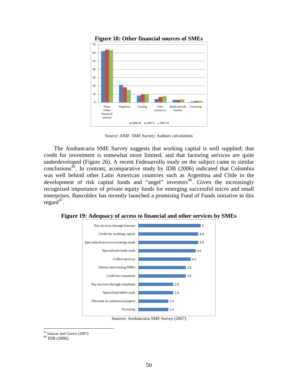<span id="page-50-0"></span>

**Figure 18: Other financial sources of SMEs** 

Source: ANIF. SME Survey; Authors calculations

The Asobancaria SME Survey suggests that working capital is well supplied; that credit for investment is somewhat more limited; and that factoring services are quite underdeveloped (Figure 26). A recent Fedesarrollo study on the subject came to similar conclusions<sup>[85](#page-50-1)</sup>. In contrast, acomparative study by IDB (2006) indicated that Colombia was well behind other Latin American countries such as Argentina and Chile in the development of risk capital funds and "angel" investors  $86\degree$  Given the increasingly recognized importance of private equity funds for emerging successful micro and small enterprises, Bancoldex has recently launched a promising Fund of Funds initiative in this regard<sup>[87](#page-50-3)</sup>.



**Figure 19: Adequacy of access to financial and other services by SMEs**

<span id="page-50-2"></span><span id="page-50-1"></span> $^{85}$  Salazar and Guerra (2007)  $^{86}$  IDB (2006).

<span id="page-50-3"></span>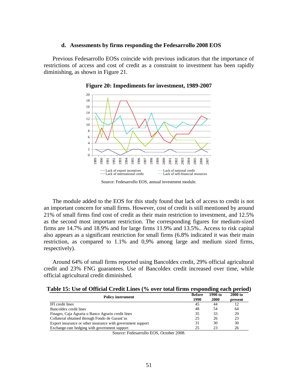## **d. Assessments by firms responding the Fedesarrollo 2008 EOS**

<span id="page-51-0"></span>Previous Fedesarrollo EOSs coincide with previous indicators that the importance of restrictions of access and cost of credit as a constraint to investment has been rapidly diminishing, as shown in [Figure 21.](#page-51-0)





Source: Fedesarrollo EOS, annual investment module.

The module added to the EOS for this study found that lack of access to credit is not an important concern for small firms. However, cost of credit is still mentioned by around 21% of small firms find cost of credit as their main restriction to investment, and 12.5% as the second most important restriction. The corresponding figures for medium-sized firms are 14.7% and 18.9% and for large firms 11.9% and 13.5%.. Access to risk capital also appears as a significant restriction for small firms (6.8% indicated it was their main restriction, as compared to 1.1% and 0,9% among large and medium sized firms, respectively).

Around 64% of small firms reported using Bancoldex credit, 29% official agricultural credit and 23% FNG guarantees. Use of Bancoldex credit increased over time, while official agricultural credit diminished.

| Table 15: Use of Official Credit Lines (% over total firms responding each period) |  |  |  |  |  |
|------------------------------------------------------------------------------------|--|--|--|--|--|
|                                                                                    |  |  |  |  |  |

|                                                             | <b>Before</b> | 1990 to | 2000 to |
|-------------------------------------------------------------|---------------|---------|---------|
| <b>Policy instrument</b>                                    | 1990          | 2000    | present |
| IFI credit lines                                            | 45            | 44      | 12      |
| Bancoldex credit lines                                      | 48            | .54     | 64      |
| Finagro, Caja Agraria o Banco Agrario credit lines          | 35            | 33      | 29      |
| Collateral obtained through Fondo de Garant'as              | 25            | 26      | 23      |
| Export insurance or other insurance with government support | 31            | 30      | 30      |
| Exchange-rate hedging with government support               | 25            | 23      | 26      |

Source: Fedesarrollo EOS, October 2008.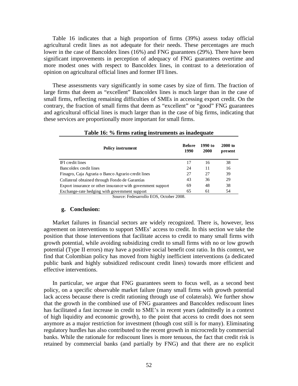[Table 16](#page-52-0) indicates that a high proportion of firms (39%) assess today official agricultural credit lines as not adequate for their needs. These percentages are much lower in the case of Bancoldex lines (16%) and FNG guarantees (29%). There have been significant improvements in perception of adequacy of FNG guarantees overtime and more modest ones with respect to Bancoldex lines, in contrast to a deterioration of opinion on agricultural official lines and former IFI lines.

These assessments vary significantly in some cases by size of firm. The fraction of large firms that deem as "excellent" Bancoldex lines is much larger than in the case of small firms, reflecting remaining difficulties of SMEs in accessing export credit. On the contrary, the fraction of small firms that deem as "excellent" or "good" FNG guarantees and agricultural official lines is much larger than in the case of big firms, indicating that these services are proportionally more important for small firms.

<span id="page-52-0"></span>

| <b>Policy instrument</b>                                    | <b>Before</b><br>1990 | 1990 to<br>2000 | 2000 to<br>present |
|-------------------------------------------------------------|-----------------------|-----------------|--------------------|
| IFI credit lines                                            | 17                    | 16              | 38                 |
| Bancoldex credit lines                                      | 24                    | 11              | 16                 |
| Finagro, Caja Agraria o Banco Agrario credit lines          | 27                    | 27              | 39                 |
| Collateral obtained through Fondo de Garantías              | 43                    | 36              | 29                 |
| Export insurance or other insurance with government support | 69                    | 48              | 38                 |
| Exchange-rate hedging with government support               | 65                    | 61              | 54                 |

#### **Table 16: % firms rating instruments as inadequate**

Source: Fedesarrollo EOS, October 2008.

## **g. Conclusion:**

Market failures in financial sectors are widely recognized. There is, however, less agreement on interventions to support SMEs' access to credit. In this section we take the position that those interventions that facilitate access to credit to many small firms with growth potential, while avoiding subsidizing credit to small firms with no or low growth potential (Type II errors) may have a positive social benefit cost ratio. In this context, we find that Colombian policy has moved from highly inefficient interventions (a dedicated public bank and highly subsidized rediscount credit lines) towards more efficient and effective interventions.

In particular, we argue that FNG guarantees seem to focus well, as a second best policy, on a specific observable market failure (many small firms with growth potential lack access because there is credit rationing through use of colaterals). We further show that the growth in the combined use of FNG guarantees and Bancoldex rediscount lines has facilitated a fast increase in credit to SME's in recent years (admittedly in a context of high liquidity and economic growth), to the point that access to credit does not seen anymore as a major restriction for investment (though cost still is for many). Eliminating regulatory hurdles has also contributed to the recent growth in microcredit by commercial banks. While the rationale for rediscount lines is more tenuous, the fact that credit risk is retained by commercial banks (and partially by FNG) and that there are no explicit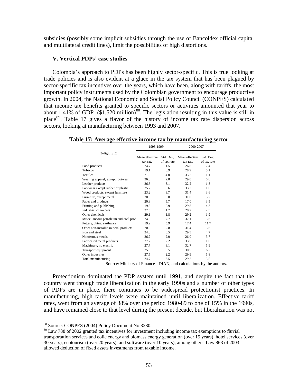subsidies (possibly some implicit subsidies through the use of Bancoldex official capital and multilateral credit lines), limit the possibilities of high distortions.

## **V. Vertical PDPs' case studies**

Colombia's approach to PDPs has been highly sector-specific. This is true looking at trade policies and is also evident at a glace in the tax system that has been plagued by sector-specific tax incentives over the years, which have been, along with tariffs, the most important policy instruments used by the Colombian government to encourage productive growth. In 2004, the National Economic and Social Policy Council (CONPES) calculated that income tax benefits granted to specific sectors or activities amounted that year to about 1.41% of GDP  $(\$1,520 \text{ million})^{88}$ . The legislation resulting in this value is still in place[89.](#page-53-2) [Table 17](#page-53-0) gives a flavor of the history of income tax rate dispersion across sectors, looking at manufacturing between 1993 and 2007.

<span id="page-53-0"></span>**Table 17: Average effective income tax by manufacturing sector**

|                                       | 1993-1999      |             | 2000-2007      |             |  |  |
|---------------------------------------|----------------|-------------|----------------|-------------|--|--|
| 3-digit ISIC                          |                |             |                |             |  |  |
|                                       | Mean effective | Std. Dev.   | Mean effective | Std. Dev,   |  |  |
|                                       | tax rate       | of tax rate | tax rate       | of tax rate |  |  |
| Food products                         | 24.7           | 1.5         | 26.8           | 2.4         |  |  |
| Tobacco                               | 19.1           | 6.9         | 28.9           | 5.1         |  |  |
| <b>Textiles</b>                       | 21.6           | 4.0         | 33.2           | 1.1         |  |  |
| Wearing apparel, except footwear      | 26.8           | 2.8         | 29.0           | 0.8         |  |  |
| Leather products                      | 26.8           | 3.1         | 32.2           | 1.8         |  |  |
| Footwear except rubber or plastic     | 25.7           | 5.6         | 33.3           | 1.0         |  |  |
| Wood products, except furniture       | 23.2           | 3.7         | 31.4           | 3.6         |  |  |
| Furniture, except metal               | 30.3           | 3.0         | 31.0           | 5.7         |  |  |
| Paper and products                    | 20.3           | 5.7         | 17.0           | 3.5         |  |  |
| Printing and publishing               | 19.5           | 0.9         | 29.8           | 4.3         |  |  |
| Industrial chemicals                  | 27.5           | 1.7         | 28.2           | 2.3         |  |  |
| Other chemicals                       | 29.1           | 1.8         | 29.2           | 1.9         |  |  |
| Miscellaneous petroleum and coal proc | 24.6           | 7.7         | 32.1           | 5.6         |  |  |
| Pottery, china, earthware             | 19.9           | 5.9         | 17.4           | 11.7        |  |  |
| Other non-metallic mineral products   | 20.9           | 2.8         | 31.4           | 3.6         |  |  |
| Iron and steel                        | 24.3           | 3.5         | 29.3           | 4.7         |  |  |
| Nonferrous metals                     | 26.7           | 2.0         | 26.0           | 3.7         |  |  |
| Fabricated metal products             | 27.2           | 2.2         | 33.5           | 1.0         |  |  |
| Machinery, no electric                | 27.7           | 3.1         | 32.7           | 1.9         |  |  |
| Transport equipment                   | 25.8           | 3.5         | 30.5           | 6.2         |  |  |
| Other industries                      | 27.5           | 2.2         | 29.9           | 1.8         |  |  |
| Total manufacturing                   | 24.7           | 3.5         | 29.2           | 3.5         |  |  |

Source: Ministry of Finance - DIAN, and calculations by the authors.

Protectionism dominated the PDP system until 1991, and despite the fact that the country went through trade liberalization in the early 1990s and a number of other types of PDPs are in place, there continues to be widespread protectionist practices. In manufacturing, high tariff levels were maintained until liberalization. Effective tariff rates, went from an average of 38% over the period 1980-89 to one of 15% in the 1990s, and have remained close to that level during the present decade, but liberalization was not

<span id="page-53-1"></span> <sup>88</sup> Source: CONPES (2004) Policy Document No.3280.

<span id="page-53-2"></span><sup>&</sup>lt;sup>89</sup> Law 788 of 2002 granted tax incentives for investment including income tax exemptions to fluvial transportation services and eolic energy and biomass energy generation (over 15 years), hotel services (over 30 years), ecotourism (over 20 years), and software (over 10 years), among others. Law 863 of 2003 allowed deduction of fixed assets investments from taxable income.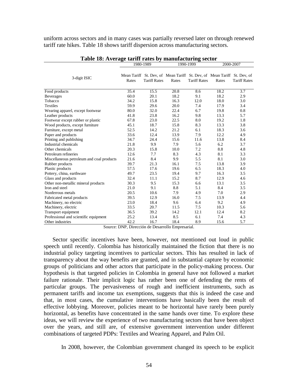uniform across sectors and in many cases was partially reversed later on through renewed tariff rate hikes. [Table 18](#page-54-0) shows tariff dispersion across manufacturing sectors.

<span id="page-54-0"></span>

|                                           |       | 1980-1989           |       | 1990-1999           | 2000-2007                                                                        |                     |  |
|-------------------------------------------|-------|---------------------|-------|---------------------|----------------------------------------------------------------------------------|---------------------|--|
| 3-digit ISIC                              | Rates | <b>Tariff Rates</b> | Rates | <b>Tariff Rates</b> | Mean Tariff St. Dev, of Mean Tariff St. Dev, of Mean Tariff St. Dev, of<br>Rates | <b>Tariff Rates</b> |  |
| Food products                             | 35.4  | 15.5                | 20.8  | 8.6                 | 18.2                                                                             | 3.7                 |  |
| Beverages                                 | 60.0  | 20.1                | 18.2  | 9.1                 | 18.2                                                                             | 2.9                 |  |
| Tobacco                                   | 34.2  | 15.8                | 16.3  | 12.0                | 18.0                                                                             | 3.0                 |  |
| <b>Textiles</b>                           | 59.9  | 29.6                | 20.0  | 7.4                 | 17.9                                                                             | 3.4                 |  |
| Wearing apparel, except footwear          | 80.0  | 32.0                | 22.4  | 6.7                 | 19.8                                                                             | 0.8                 |  |
| Leather products                          | 41.8  | 23.8                | 16.2  | 9.8                 | 13.3                                                                             | 5.7                 |  |
| Footwear except rubber or plastic         | 67.8  | 23.0                | 22.5  | 8.0                 | 19.2                                                                             | 1.8                 |  |
| Wood products, except furniture           | 45.1  | 18.7                | 15.8  | 8.3                 | 13.3                                                                             | 3.8                 |  |
| Furniture, except metal                   | 52.5  | 14.2                | 21.2  | 6.1                 | 18.3                                                                             | 3.6                 |  |
| Paper and products                        | 33.6  | 12.4                | 13.9  | 7.9                 | 12.2                                                                             | 4.9                 |  |
| Printing and publishing                   | 34.7  | 24.4                | 15.6  | 11.6                | 13.8                                                                             | 8.4                 |  |
| Industrial chemicals                      | 21.8  | 9.9                 | 7.9   | 5.6                 | 6.2                                                                              | 3.7                 |  |
| Other chemicals                           | 20.3  | 15.8                | 10.0  | 7.2                 | 8.8                                                                              | 4.8                 |  |
| Petroleum refineries                      | 12.6  | 7.7                 | 8.3   | 4.3                 | 8.1                                                                              | 3.3                 |  |
| Miscellaneous petroleum and coal products | 21.6  | 8.4                 | 9.9   | 5.5                 | 8.1                                                                              | 3.0                 |  |
| Rubber products                           | 39.7  | 21.3                | 16.1  | 7.5                 | 13.8                                                                             | 3.9                 |  |
| Plastic products                          | 57.5  | 17.6                | 19.6  | 6.5                 | 18.3                                                                             | 4.0                 |  |
| Pottery, china, earthware                 | 49.7  | 23.5                | 19.4  | 9.7                 | 16.3                                                                             | 3.5                 |  |
| Glass and products                        | 32.4  | 11.1                | 15.2  | 8.7                 | 12.9                                                                             | 4.6                 |  |
| Other non-metallic mineral products       | 30.3  | 9.5                 | 15.3  | 6.6                 | 13.1                                                                             | 3.5                 |  |
| Iron and steel                            | 21.0  | 9.1                 | 8.8   | 5.1                 | 8.4                                                                              | 3.5                 |  |
| Nonferrous metals                         | 20.5  | 10.6                | 7.9   | 4.9                 | 7.0                                                                              | 2.9                 |  |
| Fabricated metal products                 | 39.5  | 12.9                | 16.0  | 7.5                 | 13.9                                                                             | 4.4                 |  |
| Machinery, no electric                    | 23.0  | 18.4                | 9.6   | 6.4                 | 9.2                                                                              | 4.9                 |  |
| Machinery, electric                       | 33.5  | 20.7                | 11.5  | 7.5                 | 10.3                                                                             | 5.6                 |  |
| Transport equipment                       | 36.5  | 39.2                | 14.2  | 12.1                | 12.4                                                                             | 8.2                 |  |
| Professional and scientific equipment     | 25.2  | 13.4                | 8.5   | 6.1                 | 7.4                                                                              | 4.3                 |  |
| Other industries                          | 42.2  | 16.7                | 18.4  | 8.9                 | 15.6                                                                             | 5.7                 |  |

**Table 18: Average tariff rates by manufacturing sector**

Source: DNP, Dirección de Desarrollo Empresarial.

Sector specific incentives have been, however, not mentioned out loud in public speech until recently. Colombia has historically maintained the fiction that there is no industrial policy targeting incentives to particular sectors. This has resulted in lack of transparency about the way benefits are granted, and in substantial capture by economic groups of politicians and other actors that participate in the policy-making process. Our hypothesis is that targeted policies in Colombia in general have not followed a market failure rationale. Their implicit logic has rather been one of defending the rents of particular groups. The pervasiveness of rough and inefficient instruments, such as permanent tariffs and income tax exemptions, suggests that this is indeed the case and that, in most cases, the cumulative interventions have basically been the result of effective lobbying. Moreover, policies meant to be horizontal have rarely been purely horizontal, as benefits have concentrated in the same hands over time. To explore these ideas, we will review the experience of two manufacturing sectors that have been object over the years, and still are, of extensive government intervention under different combinations of targeted PDPs: Textiles and Wearing Apparel, and Palm Oil.

In 2008, however, the Colombian government changed its speech to be explicit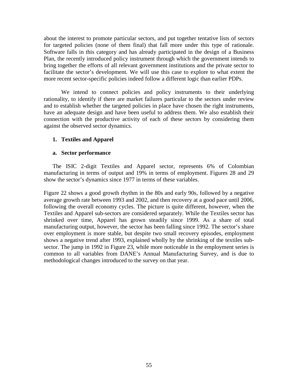about the interest to promote particular sectors, and put together tentative lists of sectors for targeted policies (none of them final) that fall more under this type of rationale. Software falls in this category and has already participated in the design of a Business Plan, the recently introduced policy instrument through which the government intends to bring together the efforts of all relevant government institutions and the private sector to facilitate the sector's development. We will use this case to explore to what extent the more recent sector-specific policies indeed follow a different logic than earlier PDPs.

We intend to connect policies and policy instruments to their underlying rationality, to identify if there are market failures particular to the sectors under review and to establish whether the targeted policies in place have chosen the right instruments, have an adequate design and have been useful to address them. We also establish their connection with the productive activity of each of these sectors by considering them against the observed sector dynamics.

# **1. Textiles and Apparel**

# **a. Sector performance**

The ISIC 2-digit Textiles and Apparel sector, represents 6% of Colombian manufacturing in terms of output and 19% in terms of employment. Figures 28 and 29 show the sector's dynamics since 1977 in terms of these variables.

[Figure 22](#page-56-0) shows a good growth rhythm in the 80s and early 90s, followed by a negative average growth rate between 1993 and 2002, and then recovery at a good pace until 2006, following the overall economy cycles. The picture is quite different, however, when the Textiles and Apparel sub-sectors are considered separately. While the Textiles sector has shrinked over time, Apparel has grown steadily since 1999. As a share of total manufacturing output, however, the sector has been falling since 1992. The sector's share over employment is more stable, but despite two small recovery episodes, employment shows a negative trend after 1993, explained wholly by the shrinking of the textiles subsector. The jump in 1992 in [Figure 23,](#page-56-1) while more noticeable in the employment series is common to all variables from DANE's Annual Manufacturing Survey, and is due to methodological changes introduced to the survey on that year.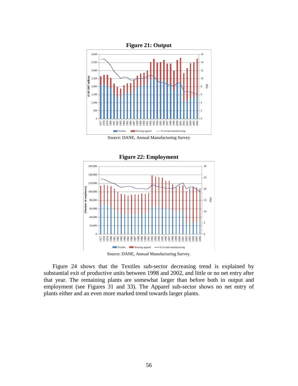<span id="page-56-0"></span>

Source: DANE, Annual Manufacturing Survey

<span id="page-56-1"></span>

[Figure 24](#page-57-0) shows that the Textiles sub-sector decreasing trend is explained by substantial exit of productive units between 1998 and 2002, and little or no net entry after that year. The remaining plants are somewhat larger than before both in output and employment (see Figures 31 and 33). The Apparel sub-sector shows no net entry of plants either and an even more marked trend towards larger plants.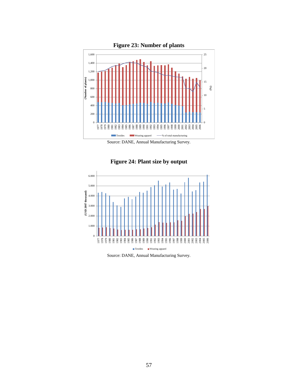<span id="page-57-0"></span>

Source: DANE, Annual Manufacturing Survey.



**Figure 24: Plant size by output**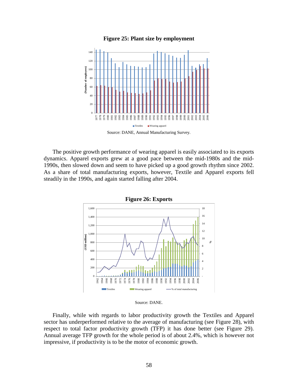

## **Figure 25: Plant size by employment**

Source: DANE, Annual Manufacturing Survey.

The positive growth performance of wearing apparel is easily associated to its exports dynamics. Apparel exports grew at a good pace between the mid-1980s and the mid-1990s, then slowed down and seem to have picked up a good growth rhythm since 2002. As a share of total manufacturing exports, however, Textile and Apparel exports fell steadily in the 1990s, and again started falling after 2004.



Source: DANE.

Finally, while with regards to labor productivity growth the Textiles and Apparel sector has underperformed relative to the average of manufacturing (see [Figure 28\)](#page-59-0), with respect to total factor productivity growth (TFP) it has done better (see [Figure 29\)](#page-59-1). Annual average TFP growth for the whole period is of about 2.4%, which is however not impressive, if productivity is to be the motor of economic growth.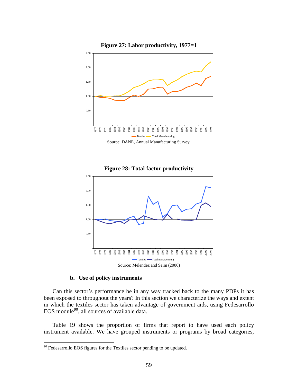<span id="page-59-0"></span>

<span id="page-59-1"></span>

### **b. Use of policy instruments**

Can this sector's performance be in any way tracked back to the many PDPs it has been exposed to throughout the years? In this section we characterize the ways and extent in which the textiles sector has taken advantage of government aids, using Fedesarrollo EOS module<sup>[90](#page-59-2)</sup>, all sources of available data.

[Table 19](#page-61-0) shows the proportion of firms that report to have used each policy instrument available. We have grouped instruments or programs by broad categories,

<span id="page-59-2"></span>Fedesarrollo EOS figures for the Textiles sector pending to be updated.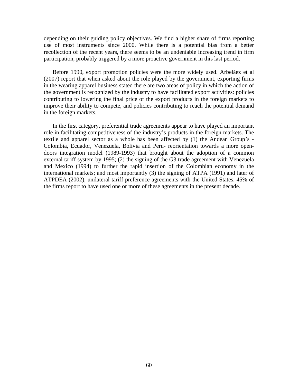depending on their guiding policy objectives. We find a higher share of firms reporting use of most instruments since 2000. While there is a potential bias from a better recollection of the recent years, there seems to be an undeniable increasing trend in firm participation, probably triggered by a more proactive government in this last period.

Before 1990, export promotion policies were the more widely used. Arbeláez et al (2007) report that when asked about the role played by the government, exporting firms in the wearing apparel business stated there are two areas of policy in which the action of the government is recognized by the industry to have facilitated export activities: policies contributing to lowering the final price of the export products in the foreign markets to improve their ability to compete, and policies contributing to reach the potential demand in the foreign markets.

In the first category, preferential trade agreements appear to have played an important role in facilitating competitiveness of the industry's products in the foreign markets. The textile and apparel sector as a whole has been affected by (1) the Andean Group's - Colombia, Ecuador, Venezuela, Bolivia and Peru- reorientation towards a more opendoors integration model (1989-1993) that brought about the adoption of a common external tariff system by 1995; (2) the signing of the G3 trade agreement with Venezuela and Mexico (1994) to further the rapid insertion of the Colombian economy in the international markets; and most importantly (3) the signing of ATPA (1991) and later of ATPDEA (2002), unilateral tariff preference agreements with the United States. 45% of the firms report to have used one or more of these agreements in the present decade.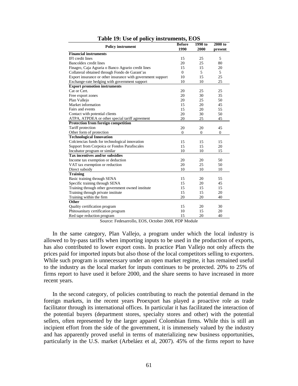<span id="page-61-0"></span>

|                                                             | <b>Before</b> | 1990 to  | 2000 to      |
|-------------------------------------------------------------|---------------|----------|--------------|
| <b>Policy instrument</b>                                    | 1990          | 2000     | present      |
| <b>Financial instruments</b>                                |               |          |              |
| <b>IFI</b> credit lines                                     | 15            | 25       | 5            |
| Bancoldex credit lines                                      | 20            | 25       | 80           |
| Finagro, Caja Agraria o Banco Agrario credit lines          | 15            | 15       | 20           |
| Collateral obtained through Fondo de Garant'as              | $\Omega$      | 5        | 5            |
| Export insurance or other insurance with government support | 10            | 15       | 25           |
| Exchange-rate hedging with government support               | 10            | 10       | 25           |
| <b>Export promotion instruments</b>                         |               |          |              |
| Cat or Cert.                                                | 20            | 25       | 25           |
| Free export zones                                           | 20            | 30       | 35           |
| Plan Vallejo                                                | 20            | 25       | 50           |
| Market information                                          | 15            | 20       | 45           |
| Fairs and events                                            | 15            | 20       | 55           |
| Contact with potential clients                              | 20            | 30       | 50           |
| ATPA, ATPDEA or other special tariff agreement              | 20            | 25       | 45           |
| Protection from foreign competition                         |               |          |              |
| Tariff protection                                           | 20            | 20       | 45           |
| Other form of protection                                    | $\Omega$      | $\Omega$ | $\mathbf{0}$ |
| <b>Technological Innovation</b>                             |               |          |              |
| Colciencias funds for technological innovation              | 15            | 15       | 15           |
| Support from Corpoica or Fondos Parafiscales                | 15            | 15       | 20           |
| Incubator program or similar                                | 10            | 10       | 15           |
| Tax incentives and/or subsidies                             |               |          |              |
| Income tax exemption or deduction                           | 20            | 20       | 50           |
| VAT tax exemption or reduction                              | 20            | 25       | 50           |
| Direct subsidy                                              | 10            | 10       | 10           |
| <b>Training</b>                                             |               |          |              |
| Basic training through SENA                                 | 15            | 20       | 55           |
| Specific training through SENA                              | 15            | 20       | 45           |
| Training through other government owned institute           | 15            | 15       | 15           |
| Training through private institute                          | 15            | 15       | 20           |
| Training within the firm                                    | 20            | 20       | 40           |
| <b>Other</b>                                                |               |          |              |
| Quality certification program                               | 15            | 20       | 30           |
| Phitosanitary certification program                         | 10            | 15       | 20           |
| Red tape reduction program                                  | 15            | 20       | 40           |

|  |  |  | Table 19: Use of policy instruments, EOS |  |
|--|--|--|------------------------------------------|--|
|--|--|--|------------------------------------------|--|

Source: Fedesarrollo, EOS, October 2008, PDP Module

In the same category, Plan Vallejo, a program under which the local industry is allowed to by-pass tariffs when importing inputs to be used in the production of exports, has also contributed to lower export costs. In practice Plan Vallejo not only affects the prices paid for imported inputs but also those of the local competitors selling to exporters. While such program is unnecessary under an open market regime, it has remained useful to the industry as the local market for inputs continues to be protected. 20% to 25% of firms report to have used it before 2000, and the share seems to have increased in more recent years.

In the second category, of policies contributing to reach the potential demand in the foreign markets, in the recent years Proexport has played a proactive role as trade facilitator through its international offices. In particular it has facilitated the interaction of the potential buyers (department stores, specialty stores and other) with the potential sellers, often represented by the larger apparel Colombian firms. While this is still an incipient effort from the side of the government, it is immensely valued by the industry and has apparently proved useful in terms of materializing new business opportunities, particularly in the U.S. market (Arbeláez et al, 2007). 45% of the firms report to have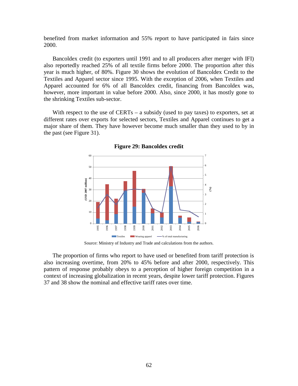benefited from market information and 55% report to have participated in fairs since 2000.

Bancoldex credit (to exporters until 1991 and to all producers after merger with IFI) also reportedly reached 25% of all textile firms before 2000. The proportion after this year is much higher, of 80%. [Figure](#page-62-0) 30 shows the evolution of Bancoldex Credit to the Textiles and Apparel sector since 1995. With the exception of 2006, when Textiles and Apparel accounted for 6% of all Bancoldex credit, financing from Bancoldex was, however, more important in value before 2000. Also, since 2000, it has mostly gone to the shrinking Textiles sub-sector.

<span id="page-62-0"></span>With respect to the use of CERTs – a subsidy (used to pay taxes) to exporters, set at different rates over exports for selected sectors, Textiles and Apparel continues to get a major share of them. They have however become much smaller than they used to by in the past (see [Figure 31\)](#page-63-0).



**Figure 29: Bancoldex credit**

Source: Ministry of Industry and Trade and calculations from the authors.

The proportion of firms who report to have used or benefited from tariff protection is also increasing overtime, from 20% to 45% before and after 2000, respectively. This pattern of response probably obeys to a perception of higher foreign competition in a context of increasing globalization in recent years, despite lower tariff protection. Figures 37 and 38 show the nominal and effective tariff rates over time.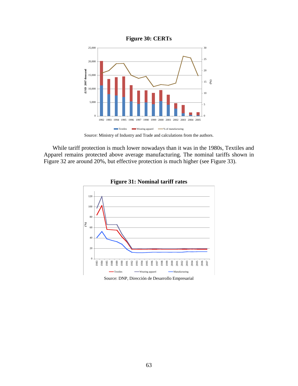<span id="page-63-0"></span>

<span id="page-63-1"></span>While tariff protection is much lower nowadays than it was in the 1980s, Textiles and Apparel remains protected above average manufacturing. The nominal tariffs shown in [Figure](#page-63-1) 32 are around 20%, but effective protection is much higher (see [Figure 33\)](#page-64-0).



**Figure 31: Nominal tariff rates**

Source: DNP, Dirección de Desarrollo Empresarial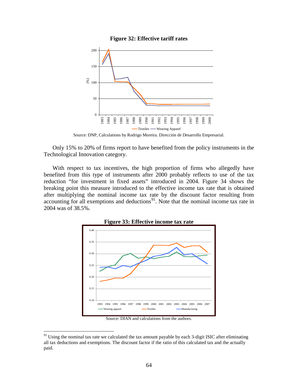

<span id="page-64-0"></span>

Source: DNP, Calculations by Rodrigo Moreira. Dirección de Desarrollo Empresarial.

Only 15% to 20% of firms report to have benefited from the policy instruments in the Technological Innovation category.

With respect to tax incentives, the high proportion of firms who allegedly have benefited from this type of instruments after 2000 probably reflects to use of the tax reduction "for investment in fixed assets" introduced in 2004. [Figure 34](#page-64-1) shows the breaking point this measure introduced to the effective income tax rate that is obtained after multiplying the nominal income tax rate by the discount factor resulting from accounting for all exemptions and deductions<sup>[91](#page-64-2)</sup>. Note that the nominal income tax rate in 2004 was of 38.5%.

<span id="page-64-1"></span>

**Figure 33: Effective income tax rate**

Source: DIAN and calculations from the authors.

<span id="page-64-2"></span> $91$  Using the nominal tax rate we calculated the tax amount payable by each 3-digit ISIC after eliminating all tax deductions and exemptions. The discount factor if the ratio of this calculated tax and the actually paid.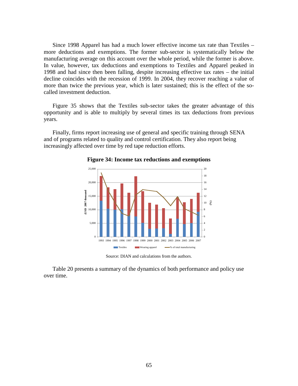Since 1998 Apparel has had a much lower effective income tax rate than Textiles – more deductions and exemptions. The former sub-sector is systematically below the manufacturing average on this account over the whole period, while the former is above. In value, however, tax deductions and exemptions to Textiles and Apparel peaked in 1998 and had since then been falling, despite increasing effective tax rates – the initial decline coincides with the recession of 1999. In 2004, they recover reaching a value of more than twice the previous year, which is later sustained; this is the effect of the socalled investment deduction.

[Figure 35](#page-65-0) shows that the Textiles sub-sector takes the greater advantage of this opportunity and is able to multiply by several times its tax deductions from previous years.

<span id="page-65-0"></span>Finally, firms report increasing use of general and specific training through SENA and of programs related to quality and control certification. They also report being increasingly affected over time by red tape reduction efforts.



**Figure 34: Income tax reductions and exemptions**

Source: DIAN and calculations from the authors.

[Table 20](#page-66-0) presents a summary of the dynamics of both performance and policy use over time.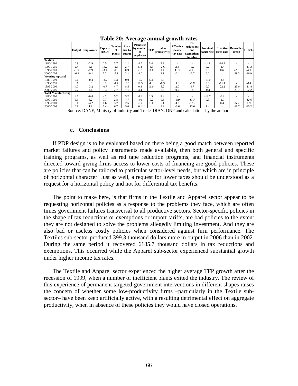<span id="page-66-0"></span>

|                            |        | Output Employment | <b>Exports</b><br>(USD) | <b>Number</b><br>of<br>plants | Plant<br>size by<br>output | <b>Plant size</b><br>by number<br>of<br>employees | <b>TFP</b>               | Labor<br>productivity | <b>Effective</b><br>income<br>tax rate | Tax<br>reductions<br>and<br>exemptions<br>in value | <b>Nominal</b><br>tariff rate | <b>Effective</b><br>tariff rate | <b>Bancoldex</b><br>credit | <b>CERTs</b> |
|----------------------------|--------|-------------------|-------------------------|-------------------------------|----------------------------|---------------------------------------------------|--------------------------|-----------------------|----------------------------------------|----------------------------------------------------|-------------------------------|---------------------------------|----------------------------|--------------|
| <b>Textiles</b>            |        |                   |                         |                               |                            |                                                   |                          |                       |                                        |                                                    |                               |                                 |                            |              |
| 1980-1990                  | 0.9    | $-2.9$            | 0.5                     | 3.7                           | 1.1                        | $-2.7$                                            | 5.4                      | 3.9                   |                                        |                                                    | $-14.8$                       | $-14.8$                         | -                          |              |
| 1990-1995                  | 2.4    | 5.1               | 16.2                    | $-2.8$                        | 2.7                        | 5.4                                               | $-4.8$                   | $-2.6$                | 2.6                                    | $-9.1$                                             | 0.2                           | $-1.4$                          | $\overline{\phantom{a}}$   | $-11.3$      |
| 1995-2000                  | $-1.5$ | $-2.9$            | $-3.1$                  | $-1.0$                        | 0.9                        | $-0.5$                                            | 11.0                     | 1.4                   | 11.5                                   | $-21.8$                                            | 0.0                           | 0.6                             | 42.9                       | $-4.9$       |
| 2000-2006                  | $-6.3$ | $-9.1$            | 7.2                     | $-5.1$                        | 2.1                        | $-1.0$                                            | ٠                        | 3.1                   | $-0.1$                                 | $-2.7$                                             | 0.0                           | ۰                               | $-39.3$                    | $-46.9$      |
| <b>Wearing Apparel</b>     |        |                   |                         |                               |                            |                                                   |                          |                       |                                        |                                                    |                               |                                 |                            |              |
| 1980-1990                  | 2.0    | $-0.4$            | 14.7                    | 4.3                           | 0.0                        | $-2.2$                                            | 5.4                      | 2.3                   |                                        |                                                    | $-16.0$                       | $-4.4$                          | $\overline{\phantom{a}}$   |              |
| 1990-1995                  | 8.6    | 8.9               | 3.1                     | $-1.7$                        | 10.1                       | 10.5                                              | $-4.8$                   | $-0.3$                | 3.9                                    | $-5.8$                                             | 0.0                           | $-11.4$                         | $\overline{\phantom{a}}$   | $-4.4$       |
| 1995-2000                  | 4.7    | $-3.2$            | $-0.7$                  | 4.7                           | 8.5                        | 0.3                                               | 11.0                     | 8.2                   | 2.0                                    | 4.7                                                | 0.0                           | $-22.2$                         | $-25.0$                    | $-11.4$      |
| 2000-2006                  | 7.2    | 4.4               | 9.3                     | 2.7                           | 7.1                        | 4.4                                               | $\overline{\phantom{a}}$ | 2.6                   | 0.7                                    | $-12.8$                                            | $-0.3$                        | ۰                               | $-29.7$                    | $-22.2$      |
| <b>Total Manufacturing</b> |        |                   |                         |                               |                            |                                                   |                          |                       |                                        |                                                    |                               |                                 |                            |              |
| 1980-1990                  | 4.0    | $-0.4$            | 4.2                     | 5.2                           | 3.2                        | $-1.2$                                            | 1.5                      | 4.4                   |                                        |                                                    | $-12.7$                       | $-9.2$                          | $\overline{\phantom{a}}$   |              |
| 1990-1995                  | 6.9    | 6.2               | 7.7                     | 2.8                           | 4.7                        | 4.0                                               | $-0.2$                   | 0.6                   | $-0.9$                                 | 13.7                                               | 0.3                           | $-1.7$                          | ٠                          | $-12.6$      |
| 1995-2000                  | 0.6    | $-4.2$            | 6.6                     | 3.2                           | 2.6                        | $-2.4$                                            | 10.0                     | 5.1                   | 4.2                                    | $-12.2$                                            | 0.0                           | 0.4                             | $-5.5$                     | 1.9          |
| 2000-2006                  | 6.8    | 1.8               | 7.4                     | 6.7                           | 5.0                        | 0.1                                               |                          | 4.9                   | $-0.6$                                 | 13.0                                               | 1.4                           | $\overline{\phantom{a}}$        | $-18.7$                    | $-35.2$      |

**Table 20: Average annual growth rates**

Source: DANE, Ministry of Industry and Trade, DIAN, DNP and calculations by the authors

#### **c. Conclusions**

If PDP design is to be evaluated based on there being a good match between reported market failures and policy instruments made available, then both general and specific training programs, as well as red tape reduction programs, and financial instruments directed toward giving firms access to lower costs of financing are good policies. These are policies that can be tailored to particular sector-level needs, but which are in principle of horizontal character. Just as well, a request for lower taxes should be understood as a request for a horizontal policy and not for differential tax benefits.

The point to make here, is that firms in the Textile and Apparel sector appear to be requesting horizontal policies as a response to the problems they face, which are often times government failures transversal to all productive sectors. Sector-specific policies in the shape of tax reductions or exemptions or import tariffs, are bad policies to the extent they are not designed to solve the problems allegedly limiting investment. And they are also bad or useless costly policies when considered against firm performance. The Textiles sub-sector produced 399.3 thousand dollars more in output in 2006 than in 2002. During the same period it recovered 6185.7 thousand dollars in tax reductions and exemptions. This occurred while the Apparel sub-sector experienced substantial growth under higher income tax rates.

The Textile and Apparel sector experienced the higher average TFP growth after the recession of 1999, when a number of inefficient plants exited the industry. The review of this experience of permanent targeted government interventions in different shapes raises the concern of whether some low-productivity firms –particularly in the Textile subsector– have been keep artificially active, with a resulting detrimental effect on aggregate productivity, when in absence of these policies they would have closed operations.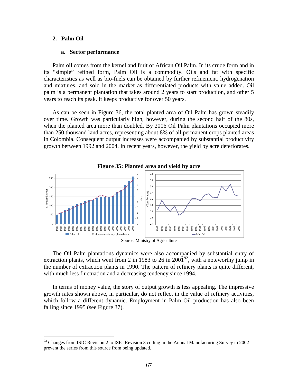## **2. Palm Oil**

## **a. Sector performance**

Palm oil comes from the kernel and fruit of African Oil Palm. In its crude form and in its "simple" refined form, Palm Oil is a commodity. Oils and fat with specific characteristics as well as bio-fuels can be obtained by further refinement, hydrogenation and mixtures, and sold in the market as differentiated products with value added. Oil palm is a permanent plantation that takes around 2 years to start production, and other 5 years to reach its peak. It keeps productive for over 50 years.

As can be seen in [Figure 36,](#page-67-0) the total planted area of Oil Palm has grown steadily over time. Growth was particularly high, however, during the second half of the 80s, when the planted area more than doubled. By 2006 Oil Palm plantations occupied more than 250 thousand land acres, representing about 8% of all permanent crops planted areas in Colombia. Consequent output increases were accompanied by substantial productivity growth between 1992 and 2004. In recent years, however, the yield by acre deteriorates.

<span id="page-67-0"></span>

**Figure 35: Planted area and yield by acre**

The Oil Palm plantations dynamics were also accompanied by substantial entry of extraction plants, which went from 2 in 1983 to 26 in 2001<sup>[92](#page-67-1)</sup>, with a noteworthy jump in the number of extraction plants in 1990. The pattern of refinery plants is quite different, with much less fluctuation and a decreasing tendency since 1994.

In terms of money value, the story of output growth is less appealing. The impressive growth rates shown above, in particular, do not reflect in the value of refinery activities, which follow a different dynamic. Employment in Palm Oil production has also been falling since 1995 (see [Figure 37\)](#page-68-0).

Source: Ministry of Agriculture

<span id="page-67-1"></span> $92$  Changes from ISIC Revision 2 to ISIC Revision 3 coding in the Annual Manufacturing Survey in 2002 prevent the series from this source from being updated.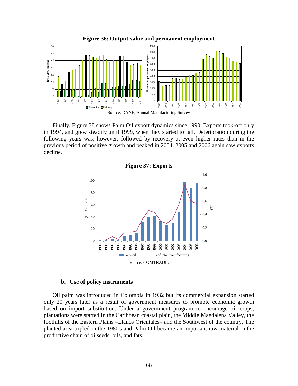<span id="page-68-0"></span>

**Figure 36: Output value and permanent employment**

Finally, [Figure 38](#page-68-1) shows Palm Oil export dynamics since 1990. Exports took-off only in 1994, and grew steadily until 1999, when they started to fall. Deterioration during the following years was, however, followed by recovery at even higher rates than in the previous period of positive growth and peaked in 2004. 2005 and 2006 again saw exports decline.

<span id="page-68-1"></span>



## **b. Use of policy instruments**

Oil palm was introduced in Colombia in 1932 but its commercial expansion started only 20 years later as a result of government measures to promote economic growth based on import substitution. Under a government program to encourage oil crops, plantations were started in the Caribbean coastal plain, the Middle Magdalena Valley, the foothills of the Eastern Plains –Llanos Orientales– and the Southwest of the country. The planted area tripled in the 1980's and Palm Oil became an important raw material in the productive chain of oilseeds, oils, and fats.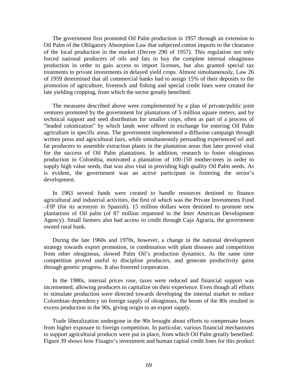The government first promoted Oil Palm production in 1957 through an extension to Oil Palm of the Obligatory Absorption Law that subjected cotton imports to the clearance of the local production in the market (Decree 290 of 1957). This regulation not only forced national producers of oils and fats to buy the complete internal oleaginous production in order to gain access to import licenses, but also granted special tax treatments to private investments in delayed yield crops. Almost simultaneously, Law 26 of 1959 determined that all commercial banks had to assign 15% of their deposits to the promotion of agriculture, livestock and fishing and special credit lines were created for late yielding cropping, from which the sector greatly benefited.

The measures described above were complemented by a plan of private/public joint ventures promoted by the government for plantations of 5 million square meters, and by technical support and seed distribution for smaller crops, often as part of a process of "leaded colonization" by which lands were offered in exchange for entering Oil Palm agriculture in specific areas. The government implemented a diffusion campaign through written press and agricultural fairs, while simultaneously persuading experienced oil and fat producers to assemble extraction plants in the plantation areas that later proved vital for the success of Oil Palm plantations. In addition, research to foster oleaginous production in Colombia, motivated a plantation of 100-150 mother-trees in order to supply high value seeds, that was also vital in providing high quality Oil Palm seeds. As is evident, the government was an active participant in fostering the sector's development.

In 1963 several funds were created to handle resources destined to finance agricultural and industrial activities, the first of which was the Private Investments Fund –FIP (for its acronym in Spanish). 15 million dollars were destined to promote new plantations of Oil palm (of 87 million requested to the Inter American Development Agency). Small farmers also had access to credit through Caja Agraria, the government owned rural bank.

During the late 1960s and 1970s, however, a change in the national development strategy towards export promotion, in combination with plant diseases and competition from other oleaginous, slowed Palm Oil's production dynamics. At the same time competition proved useful to discipline producers, and generate productivity gains through genetic progress. It also fostered cooperation.

In the 1980s, internal prices rose, taxes were reduced and financial support was incremented, allowing producers to capitalize on their experience. Even though all efforts to stimulate production were directed towards developing the internal market to reduce Colombian dependency on foreign supply of oleaginous, the boom of the 80s resulted in excess production in the 90s, giving origin to an export supply.

Trade liberalization undergone in the 90s brought about efforts to compensate losses from higher exposure to foreign competition. In particular, various financial mechanisms to support agricultural products were put in place, from which Oil Palm greatly benefited. [Figure 39](#page-70-0) shows how Finagro's investment and human capital credit lines for this product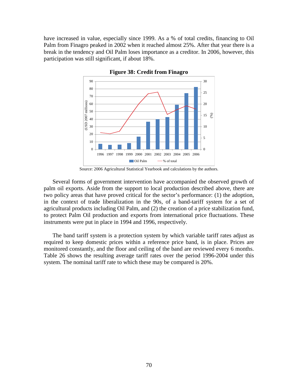<span id="page-70-0"></span>have increased in value, especially since 1999. As a % of total credits, financing to Oil Palm from Finagro peaked in 2002 when it reached almost 25%. After that year there is a break in the tendency and Oil Palm loses importance as a creditor. In 2006, however, this participation was still significant, if about 18%.



**Figure 38: Credit from Finagro**

Source: 2006 Agricultural Statistical Yearbook and calculations by the authors.

Several forms of government intervention have accompanied the observed growth of palm oil exports. Aside from the support to local production described above, there are two policy areas that have proved critical for the sector's performance: (1) the adoption, in the context of trade liberalization in the 90s, of a band-tariff system for a set of agricultural products including Oil Palm, and (2) the creation of a price stabilization fund, to protect Palm Oil production and exports from international price fluctuations. These instruments were put in place in 1994 and 1996, respectively.

The band tariff system is a protection system by which variable tariff rates adjust as required to keep domestic prices within a reference price band, is in place. Prices are monitored constantly, and the floor and ceiling of the band are reviewed every 6 months. Table 26 shows the resulting average tariff rates over the period 1996-2004 under this system. The nominal tariff rate to which these may be compared is 20%.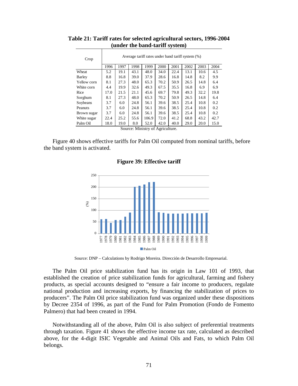| Crop                              | Average tariff rates under band tariff system (%) |      |      |       |      |      |      |      |      |  |
|-----------------------------------|---------------------------------------------------|------|------|-------|------|------|------|------|------|--|
|                                   | 1996                                              | 1997 | 1998 | 1999  | 2000 | 2001 | 2002 | 2003 | 2004 |  |
| Wheat                             | 5.2                                               | 19.1 | 43.1 | 48.0  | 34.0 | 22.4 | 13.1 | 10.6 | 4.5  |  |
| Barley                            | 8.8                                               | 16.8 | 39.0 | 37.9  | 28.6 | 16.8 | 14.8 | 8.2  | 9.9  |  |
| Yellow corn                       | 8.1                                               | 27.3 | 48.0 | 65.3  | 70.2 | 50.9 | 26.5 | 14.8 | 6.4  |  |
| White corn                        | 4.4                                               | 19.9 | 32.6 | 49.3  | 67.5 | 35.5 | 16.8 | 6.9  | 6.9  |  |
| Rice                              | 17.0                                              | 21.5 | 21.1 | 45.6  | 69.7 | 79.8 | 49.3 | 32.2 | 19.8 |  |
| Sorghum                           | 8.1                                               | 27.3 | 48.0 | 65.3  | 70.2 | 50.9 | 26.5 | 14.8 | 6.4  |  |
| Soybeans                          | 3.7                                               | 6.0  | 24.8 | 56.1  | 39.6 | 38.5 | 25.4 | 10.8 | 0.2  |  |
| Peanuts                           | 3.7                                               | 6.0  | 24.8 | 56.1  | 39.6 | 38.5 | 25.4 | 10.8 | 0.2  |  |
| Brown sugar                       | 3.7                                               | 6.0  | 24.8 | 56.1  | 39.6 | 38.5 | 25.4 | 10.8 | 0.2  |  |
| White sugar                       | 22.4                                              | 25.2 | 55.6 | 106.9 | 72.0 | 41.2 | 68.8 | 43.2 | 42.7 |  |
| Palm Oil                          | 18.0                                              | 19.0 | 8.0  | 52.0  | 42.0 | 40.0 | 29.0 | 20.0 | 15.0 |  |
| $\alpha$ are $\alpha$ in $\alpha$ |                                                   |      |      |       |      |      |      |      |      |  |

# **Table 21: Tariff rates for selected agricultural sectors, 1996-2004 (under the band-tariff system)**

Source: Ministry of Agriculture.

<span id="page-71-0"></span>[Figure 40](#page-71-0) shows effective tariffs for Palm Oil computed from nominal tariffs, before the band system is activated.

**Figure 39: Effective tariff**



Source: DNP – Calculations by Rodrigo Moreira. Dirección de Desarrollo Empresarial.

The Palm Oil price stabilization fund has its origin in Law 101 of 1993, that established the creation of price stabilization funds for agricultural, farming and fishery products, as special accounts designed to "ensure a fair income to producers, regulate national production and increasing exports, by financing the stabilization of prices to producers". The Palm Oil price stabilization fund was organized under these dispositions by Decree 2354 of 1996, as part of the Fund for Palm Promotion (Fondo de Fomento Palmero) that had been created in 1994.

Notwithstanding all of the above, Palm Oil is also subject of preferential treatments through taxation. [Figure 41](#page-72-0) shows the effective income tax rate, calculated as described above, for the 4-digit ISIC Vegetable and Animal Oils and Fats, to which Palm Oil belongs.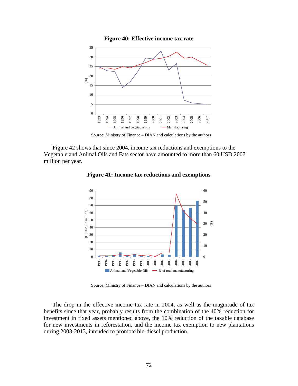

**Figure 40: Effective income tax rate**

Source: Ministry of Finance – DIAN and calculations by the authors

<span id="page-72-0"></span>[Figure 42](#page-72-0) shows that since 2004, income tax reductions and exemptions to the Vegetable and Animal Oils and Fats sector have amounted to more than 60 USD 2007 million per year.



**Figure 41: Income tax reductions and exemptions**

Source: Ministry of Finance – DIAN and calculations by the authors

The drop in the effective income tax rate in 2004, as well as the magnitude of tax benefits since that year, probably results from the combination of the 40% reduction for investment in fixed assets mentioned above, the 10% reduction of the taxable database for new investments in reforestation, and the income tax exemption to new plantations during 2003-2013, intended to promote bio-diesel production.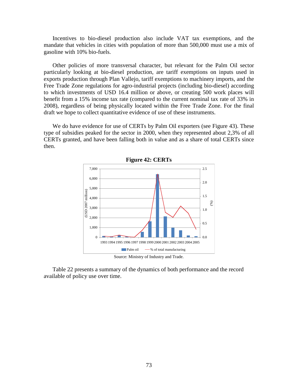Incentives to bio-diesel production also include VAT tax exemptions, and the mandate that vehicles in cities with population of more than 500,000 must use a mix of gasoline with 10% bio-fuels.

Other policies of more transversal character, but relevant for the Palm Oil sector particularly looking at bio-diesel production, are tariff exemptions on inputs used in exports production through Plan Vallejo, tariff exemptions to machinery imports, and the Free Trade Zone regulations for agro-industrial projects (including bio-diesel) according to which investments of USD 16.4 million or above, or creating 500 work places will benefit from a 15% income tax rate (compared to the current nominal tax rate of 33% in 2008), regardless of being physically located within the Free Trade Zone. For the final draft we hope to collect quantitative evidence of use of these instruments.

<span id="page-73-0"></span>We do have evidence for use of CERTs by Palm Oil exporters (see [Figure 43\)](#page-73-0). These type of subsidies peaked for the sector in 2000, when they represented about 2,3% of all CERTs granted, and have been falling both in value and as a share of total CERTs since then.



[Table 22](#page-74-0) presents a summary of the dynamics of both performance and the record available of policy use over time.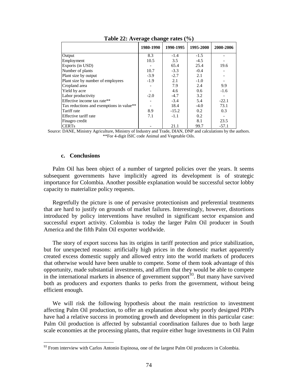<span id="page-74-0"></span>

|                                          | 1980-1990 | 1990-1995 | 1995-2000 | 2000-2006 |
|------------------------------------------|-----------|-----------|-----------|-----------|
| Output                                   | 8.3       | $-1.4$    | $-1.5$    |           |
| Employment                               | 10.5      | 3.5       | $-4.5$    |           |
| Exports (in USD)                         |           | 65.4      | 25.4      | 19.6      |
| Number of plants                         | 10.7      | $-3.3$    | $-0.4$    |           |
| Plant size by output                     | $-3.9$    | $-2.7$    | 2.1       |           |
| Plant size by number of employees        | $-1.9$    | 2.1       | $-1.0$    |           |
| Cropland area                            |           | 7.9       | 2.4       | 9.9       |
| Yield by acre                            |           | 4.6       | 0.6       | $-1.6$    |
| Labor productivity                       | $-2.0$    | $-4.7$    | 3.2       |           |
| Effective income tax rate**              |           | $-3.4$    | 5.4       | $-22.1$   |
| Tax reductions and exemptions in value** |           | 18.4      | $-4.0$    | 73.1      |
| Tariff rate                              | 8.9       | $-15.2$   | 0.2       | 0.3       |
| Effective tariff rate                    | 7.1       | $-1.1$    | 0.2       |           |
| Finagro credit                           |           |           | 8.1       | 23.5      |
| <b>CERTs</b>                             |           | 21.1      | 99.7      | $-57.1$   |

**Table 22: Average change rates (%)**

Source: DANE, Ministry Agriculture, Ministry of Industry and Trade, DIAN, DNP and calculations by the authors. \*\*For 4-digit ISIC code Animal and Vegetable Oils.

#### **c. Conclusions**

Palm Oil has been object of a number of targeted policies over the years. It seems subsequent governments have implicitly agreed its development is of strategic importance for Colombia. Another possible explanation would be successful sector lobby capacity to materialize policy requests.

Regretfully the picture is one of pervasive protectionism and preferential treatments that are hard to justify on grounds of market failures. Interestingly, however, distortions introduced by policy interventions have resulted in significant sector expansion and successful export activity. Colombia is today the larger Palm Oil producer in South America and the fifth Palm Oil exporter worldwide.

The story of export success has its origins in tariff protection and price stabilization, but for unexpected reasons: artificially high prices in the domestic market apparently created excess domestic supply and allowed entry into the world markets of producers that otherwise would have been unable to compete. Some of them took advantage of this opportunity, made substantial investments, and affirm that they would be able to compete in the international markets in absence of government support<sup> $93$ </sup>. But many have survived both as producers and exporters thanks to perks from the government, without being efficient enough.

We will risk the following hypothesis about the main restriction to investment affecting Palm Oil production, to offer an explanation about why poorly designed PDPs have had a relative success in promoting growth and development in this particular case: Palm Oil production is affected by substantial coordination failures due to both large scale economies at the processing plants, that require either huge investments in Oil Palm

<span id="page-74-1"></span><sup>&</sup>lt;sup>93</sup> From interview with Carlos Antonio Espinosa, one of the largest Palm Oil producers in Colombia.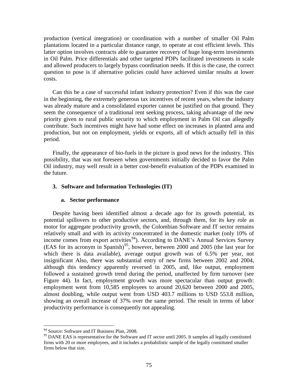production (vertical integration) or coordination with a number of smaller Oil Palm plantations located in a particular distance range, to operate at cost efficient levels. This latter option involves contracts able to guarantee recovery of huge long-term investments in Oil Palm. Price differentials and other targeted PDPs facilitated investments in scale and allowed producers to largely bypass coordination needs. If this is the case, the correct question to pose is if alternative policies could have achieved similar results at lower costs.

Can this be a case of successful infant industry protection? Even if this was the case in the beginning, the extremely generous tax incentives of recent years, when the industry was already mature and a consolidated exporter cannot be justified on that ground. They seem the consequence of a traditional rent seeking process, taking advantage of the new priority given to rural public security to which employment in Palm Oil can allegedly contribute. Such incentives might have had some effect on increases in planted area and production, but not on employment, yields or exports, all of which actually fell in this period.

Finally, the appearance of bio-fuels in the picture is good news for the industry. This possibility, that was not foreseen when governments initially decided to favor the Palm Oil industry, may well result in a better cost-benefit evaluation of the PDPs examined in the future.

#### **3. Software and Information Technologies (IT)**

#### **a. Sector performance**

Despite having been identified almost a decade ago for its growth potential, its potential spillovers to other productive sectors, and, through them, for its key role as motor for aggregate productivity growth, the Colombian Software and IT sector remains relatively small and with its activity concentrated in the domestic market (only 10% of income comes from export activities<sup>94</sup>). According to DANE's Annual Services Survey  $( EAS$  for its acronym in Spanish)<sup>[95](#page-75-1)</sup>, however, between 2000 and 2005 (the last year for [Figure 44](#page-76-0) ). In fact, employment growth was more spectacular than output growth: which there is data available), average output growth was of 6.5% per year, not insignificant Also, there was substantial entry of new firms between 2002 and 2004, although this tendency apparently reversed in 2005, and, like output, employment followed a sustained growth trend during the period, unaffected by firm turnover (see employment went from 10,585 employees to around 20,620 between 2000 and 2005, almost doubling, while output went from USD 403.7 millions to USD 553.8 million, showing an overall increase of 37% over the same period. The result in terms of labor productivity performance is consequently not appealing.

<span id="page-75-0"></span><sup>&</sup>lt;sup>94</sup> Source: Software and IT Business Plan, 2008.

<span id="page-75-1"></span><sup>&</sup>lt;sup>95</sup> DANE EAS is representative for the Software and IT sector until 2005. It samples all legally constituted firms with 20 or more employees, and it includes a probabilistic sample of the legally constituted smaller firms below that size.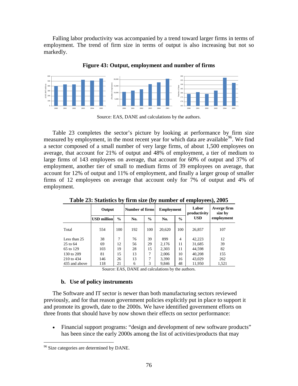Falling labor productivity was accompanied by a trend toward larger firms in terms of employment. The trend of firm size in terms of output is also increasing but not so markedly.

<span id="page-76-0"></span>

**Figure 43: Output, employment and number of firms**

Source: EAS, DANE and calculations by the authors.

[Table 23](#page-76-1) completes the sector's picture by looking at performance by firm size measured by employment, in the most recent year for which data are available<sup>[96](#page-76-2)</sup>. We find a sector composed of a small number of very large firms, of about 1,500 employees on average, that account for 21% of output and 48% of employment, a tier of medium to large firms of 143 employees on average, that account for 60% of output and 37% of employment, another tier of small to medium firms of 39 employees on average, that account for 12% of output and 11% of employment, and finally a larger group of smaller firms of 12 employees on average that account only for 7% of output and 4% of employment.

<span id="page-76-1"></span>

|               | Output             |               | Number of firms |      | <b>Employment</b> |               | Labor<br>productivity | Averge firm<br>size by |
|---------------|--------------------|---------------|-----------------|------|-------------------|---------------|-----------------------|------------------------|
|               | <b>USD million</b> | $\frac{0}{0}$ | No.             | $\%$ | No.               | $\frac{0}{0}$ | <b>USD</b>            | employment             |
| Total         | 554                | 100           | 192             | 100  | 20,620            | 100           | 26,857                | 107                    |
| Less than 25  | 38                 | 7             | 76              | 39   | 899               | 4             | 42,223                | 12                     |
| $25$ to $64$  | 69                 | 12            | 56              | 29   | 2,176             | 11            | 31,685                | 39                     |
| 65 to 129     | 103                | 19            | 28              | 15   | 2,303             | 11            | 44,598                | 82                     |
| 130 to 209    | 81                 | 15            | 13              | ⇁    | 2,006             | 10            | 40,208                | 155                    |
| 210 to 434    | 146                | 26            | 13              | ┑    | 3,390             | 16            | 43,029                | 262                    |
| 435 and above | 118                | 21            | 6               | 3    | 9.846             | 48            | 11,950                | 1,521                  |

**Table 23: Statistics by firm size (by number of employees), 2005**

Source: EAS, DANE and calculations by the authors.

### **b. Use of policy instruments**

The Software and IT sector is newer than both manufacturing sectors reviewed previously, and for that reason government policies explicitly put in place to support it and promote its growth, date to the 2000s. We have identified government efforts on three fronts that should have by now shown their effects on sector performance:

• Financial support programs: "design and development of new software products" has been since the early 2000s among the list of activities/products that may

<span id="page-76-2"></span><sup>&</sup>lt;sup>96</sup> Size categories are determined by DANE.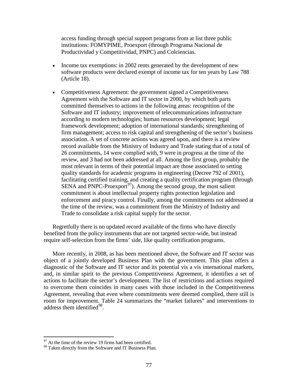access funding through special support programs from at list three public institutions: FOMYPIME, Proexport (through Programa Nacional de Productividad y Competitividad, PNPC) and Colciencias.

- Income tax exemptions: in 2002 rents generated by the development of new software products were declared exempt of income tax for ten years by Law 788 (Article 18).
- Competitiveness Agreement: the government signed a Competitiveness Agreement with the Software and IT sector in 2000, by which both parts committed themselves to actions in the following areas: recognition of the Software and IT industry; improvement of telecommunications infrastructure according to modern technologies; human resources development; legal framework development; adoption of international standards; strengthening of firm management; access to risk capital and strengthening of the sector's business association. A set of concrete actions was agreed upon, and there is a review record available from the Ministry of Industry and Trade stating that of a total of 26 commitments, 14 were complied with, 9 were in progress at the time of the review, and 3 had not been addressed at all. Among the first group, probably the most relevant in terms of their potential impact are those associated to setting quality standards for academic programs in engineering (Decree 792 of 2001), facilitating certified training, and creating a quality certification program (through SENA and PNPC-Proexport<sup>[97](#page-77-0)</sup>). Among the second group, the most salient commitment is about intellectual property rights protection legislation and enforcement and piracy control. Finally, among the commitments not addressed at the time of the review, was a commitment from the Ministry of Industry and Trade to consolidate a risk capital supply for the sector.

Regretfully there is no updated record available of the firms who have directly benefited from the policy instruments that are not targeted sector-wide, but instead require self-selection from the firms' side, like quality certification programs.

More recently, in 2008, as has been mentioned above, the Software and IT sector was object of a jointly developed Business Plan with the government. This plan offers a diagnostic of the Software and IT sector and its potential vis a vis international markets, and, in similar spirit to the previous Competitiveness Agreement, it identifies a set of actions to facilitate the sector's development. The list of restrictions and actions required to overcome them coincides in many cases with those included in the Competitiveness Agreement, revealing that even where commitments were deemed complied, there still is room for improvement. [Table 24](#page-78-0) summarizes the "market failures" and interventions to address them identified<sup>[98](#page-77-1)</sup>.

 $97$  At the time of the review 19 firms had been certified.

<span id="page-77-1"></span><span id="page-77-0"></span><sup>&</sup>lt;sup>98</sup> Taken directly from the Software and IT Business Plan.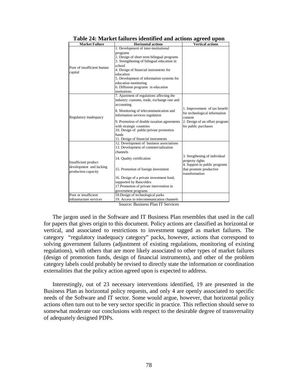<span id="page-78-0"></span>

| <b>Market Failure</b>      | <b>Horizontal actions</b>                                                        | <b>Vertical actions</b>        |
|----------------------------|----------------------------------------------------------------------------------|--------------------------------|
|                            | 1. Development of inter-institutional                                            |                                |
|                            | programs                                                                         |                                |
|                            | 2. Design of short term bilingual programs                                       |                                |
|                            | 3. Strengthening of bilingual education in                                       |                                |
| Poor of insufficient human | school                                                                           |                                |
| capital                    | 4. Design of financial instruments for                                           |                                |
|                            | education                                                                        |                                |
|                            | 5. Development of information systems for                                        |                                |
|                            | education monitoring                                                             |                                |
|                            | 6. Diffusion programs in education                                               |                                |
|                            | institutions                                                                     |                                |
|                            | 7. Ajustment of regulations affecting the                                        |                                |
|                            | industry: customs, trade, exchange rate and                                      |                                |
|                            | accounting                                                                       |                                |
| Regulatory inadequacy      | 8. Monitoring of telecommunication and                                           | 1. Improvement of tax benefit  |
|                            | information services regulation                                                  | for technological information  |
|                            |                                                                                  | content                        |
|                            | 9. Promotion of double taxation agreements                                       | 2. Design of an offset program |
|                            | with strategic countries                                                         | for public purchases           |
|                            | 10. Design of public/private promotion                                           |                                |
|                            | funds                                                                            |                                |
|                            | 11. Design of financial instruments                                              |                                |
|                            | 12. Development of business associations<br>13. Development of commercialization |                                |
|                            | channels                                                                         |                                |
|                            |                                                                                  | 3. Stregthening of individual  |
|                            | 14. Quality certification                                                        | property rights                |
| Insufficient product       |                                                                                  | 4. Support to public programs  |
| development and lacking    | 15. Promotion of foreign investment                                              | that promote productive        |
| production capacity        |                                                                                  | transformation                 |
|                            | 16. Design of a private investment fund,                                         |                                |
|                            | supported by Bancoldex                                                           |                                |
|                            | 17. Promotion of private intervention in                                         |                                |
|                            | government programs                                                              |                                |
| Poor or insufficient       | 18. Design of technological parks                                                |                                |
| infrastructure services    | 19. Access to telecommunication channels                                         |                                |
|                            | Course Rusiness Don IT Corvises                                                  |                                |

**Table 24: Market failures identified and actions agreed upon**

Source: Business Plan IT Services

The jargon used in the Software and IT Business Plan resembles that used in the call for papers that gives origin to this document. Policy actions are classified as horizontal or vertical, and associated to restrictions to investment tagged as market failures. The category "regulatory inadequacy category" packs, however, actions that correspond to solving government failures (adjustment of existing regulations, monitoring of existing regulations), with others that are more likely associated to other types of market failures (design of promotion funds, design of financial instruments), and other of the problem category labels could probably be revised to directly state the information or coordination externalities that the policy action agreed upon is expected to address.

Interestingly, out of 23 necessary interventions identified, 19 are presented in the Business Plan as horizontal policy requests, and only 4 are openly associated to specific needs of the Software and IT sector. Some would argue, however, that horizontal policy actions often turn out to be very sector specific in practice. This reflection should serve to somewhat moderate our conclusions with respect to the desirable degree of transversality of adequately designed PDPs.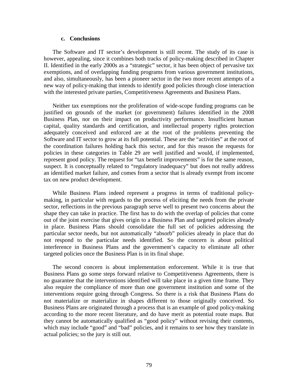#### **c. Conclusions**

The Software and IT sector's development is still recent. The study of its case is however, appealing, since it combines both tracks of policy-making described in Chapter II. Identified in the early 2000s as a "strategic" sector, it has been object of pervasive tax exemptions, and of overlapping funding programs from various government institutions, and also, simultaneously, has been a pioneer sector in the two more recent attempts of a new way of policy-making that intends to identify good policies through close interaction with the interested private parties, Competitiveness Agreements and Business Plans.

Neither tax exemptions nor the proliferation of wide-scope funding programs can be justified on grounds of the market (or government) failures identified in the 2008 Business Plan, nor on their impact on productivity performance. Insufficient human capital, quality standards and certification, and intellectual property rights protection adequately conceived and enforced are at the root of the problems preventing the Software and IT sector to grow at its full potential. These are the "activities" at the root of the coordination failures holding back this sector, and for this reason the requests for policies in these categories in Table 29 are well justified and would, if implemented, represent good policy. The request for "tax benefit improvements" is for the same reason, suspect. It is conceptually related to "regulatory inadequacy" but does not really address an identified market failure, and comes from a sector that is already exempt from income tax on new product development.

While Business Plans indeed represent a progress in terms of traditional policymaking, in particular with regards to the process of eliciting the needs from the private sector, reflections in the previous paragraph serve well to present two concerns about the shape they can take in practice. The first has to do with the overlap of policies that come out of the joint exercise that gives origin to a Business Plan and targeted policies already in place. Business Plans should consolidate the full set of policies addressing the particular sector needs, but not automatically "absorb" policies already in place that do not respond to the particular needs identified. So the concern is about political interference in Business Plans and the government's capacity to eliminate all other targeted policies once the Business Plan is in its final shape.

The second concern is about implementation enforcement. While it is true that Business Plans go some steps forward relative to Competitiveness Agreements, there is no guarantee that the interventions identified will take place in a given time frame. They also require the compliance of more than one government institution and some of the interventions require going through Congress. So there is a risk that Business Plans do not materialize or materialize in shapes different to those originally conceived. So Business Plans are originated through a process that is an example of good policy-making according to the more recent literature, and do have merit as potential route maps. But they cannot be automatically qualified as "good policy" without revising their contents, which may include "good" and "bad" policies, and it remains to see how they translate in actual policies; so the jury is still out.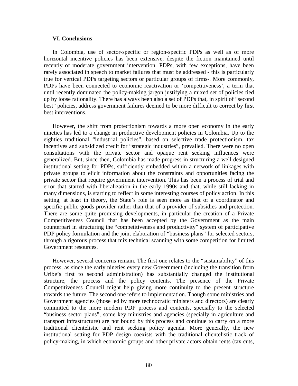#### **VI. Conclusions**

In Colombia, use of sector-specific or region-specific PDPs as well as of more horizontal incentive policies has been extensive, despite the fiction maintained until recently of moderate government intervention. PDPs, with few exceptions, have been rarely associated in speech to market failures that must be addressed - this is particularly true for vertical PDPs targeting sectors or particular groups of firms-. More commonly, PDPs have been connected to economic reactivation or 'competitiveness', a term that until recently dominated the policy-making jargon justifying a mixed set of policies tied up by loose rationality. There has always been also a set of PDPs that, in spirit of "second best" policies, address government failures deemed to be more difficult to correct by first best interventions.

However, the shift from protectionism towards a more open economy in the early nineties has led to a change in productive development policies in Colombia. Up to the eighties traditional "industrial policies", based on selective trade protectionism, tax incentives and subsidized credit for "strategic industries", prevailed. There were no open consultations with the private sector and opaque rent seeking influences were generalized. But, since then, Colombia has made progress in structuring a well designed institutional setting for PDPs, sufficiently embedded within a network of linkages with private groups to elicit information about the constraints and opportunities facing the private sector that require government intervention. This has been a process of trial and error that started with liberalization in the early 1990s and that, while still lacking in many dimensions, is starting to reflect in some interesting courses of policy action. In this setting, at least in theory, the State's role is seen more as that of a coordinator and specific public goods provider rather than that of a provider of subsidies and protection. There are some quite promising developments, in particular the creation of a Private Competitiveness Council that has been accepted by the Government as the main counterpart in structuring the "competitiveness and productivity" system of participative PDP policy formulation and the joint elaboration of "business plans" for selected sectors, through a rigorous process that mix technical scanning with some competition for limited Government resources.

However, several concerns remain. The first one relates to the "sustainability" of this process, as since the early nineties every new Government (including the transition from Uribe's first to second administration) has substantially changed the institutional structure, the process and the policy contents. The presence of the Private Competitiveness Council might help giving more continuity to the present structure towards the future. The second one refers to implementation. Though some ministries and Government agencies (those led by more technocratic ministers and directors) are clearly committed to the more modern PDP process and contents, specially to the selected "business sector plans", some key ministries and agencies (specially in agriculture and transport infrastructure) are not bound by this process and continue to carry on a more traditional clientelistic and rent seeking policy agenda. More generally, the new institutional setting for PDP design coexists with the traditional clientelistic track of policy-making, in which economic groups and other private actors obtain rents (tax cuts,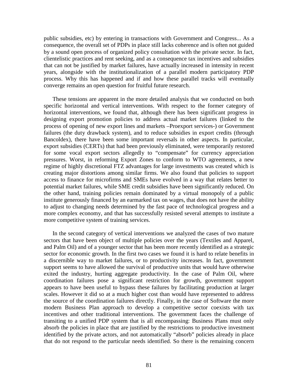public subsidies, etc) by entering in transactions with Government and Congress... As a consequence, the overall set of PDPs in place still lacks coherence and is often not guided by a sound open process of organized policy consultation with the private sector. In fact, clientelistic practices and rent seeking, and as a consequence tax incentives and subsidies that can not be justified by market failures, have actually increased in intensity in recent years, alongside with the institutionalization of a parallel modern participatory PDP process. Why this has happened and if and how these parallel tracks will eventually converge remains an open question for fruitful future research.

These tensions are apparent in the more detailed analysis that we conducted on both specific horizontal and vertical interventions. With respect to the former category of horizontal interventions, we found that, although there has been significant progress in designing export promotion policies to address actual market failures (linked to the process of opening of new export lines and markets –Proexport services-) or Government failures (the duty drawback system), and to reduce subsidies in export credits (through Bancoldex), there have been some important reversals in other aspects. In particular, export subsidies (CERTs) that had been previously eliminated, were temporarily restored for some vocal export sectors allegedly to "compensate" for currency appreciation pressures. Worst, in reforming Export Zones to conform to WTO agreements, a new regime of highly discretional FTZ advantages for large investments was created which is creating major distortions among similar firms. We also found that policies to support access to finance for microfirms and SMEs have evolved in a way that relates better to potential market failures, while SME credit subsidies have been significantly reduced. On the other hand, training policies remain dominated by a virtual monopoly of a public institute generously financed by an earmarked tax on wages, that does not have the ability to adjust to changing needs determined by the fast pace of technological progress and a more complex economy, and that has successfully resisted several attempts to institute a more competitive system of training services.

In the second category of vertical interventions we analyzed the cases of two mature sectors that have been object of multiple policies over the years (Textiles and Apparel, and Palm Oil) and of a younger sector that has been more recently identified as a strategic sector for economic growth. In the first two cases we found it is hard to relate benefits in a discernible way to market failures, or to productivity increases. In fact, government support seems to have allowed the survival of productive units that would have otherwise exited the industry, hurting aggregate productivity. In the case of Palm Oil, where coordination failures pose a significant restriction for growth, government support appears to have been useful to bypass these failures by facilitating production at larger scales. However it did so at a much higher cost than would have represented to address the source of the coordination failures directly. Finally, in the case of Software the more modern Business Plan approach to develop a competitive sector coexists with tax incentives and other traditional interventions. The government faces the challenge of transiting to a unified PDP system that is all encompassing: Business Plans must only absorb the policies in place that are justified by the restrictions to productive investment identified by the private actors, and not automatically "absorb" policies already in place that do not respond to the particular needs identified. So there is the remaining concern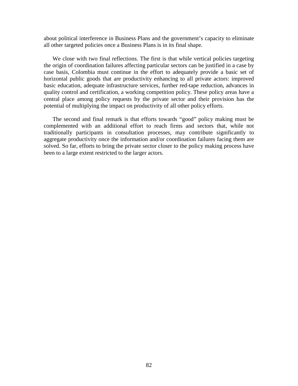about political interference in Business Plans and the government's capacity to eliminate all other targeted policies once a Business Plans is in its final shape.

We close with two final reflections. The first is that while vertical policies targeting the origin of coordination failures affecting particular sectors can be justified in a case by case basis, Colombia must continue in the effort to adequately provide a basic set of horizontal public goods that are productivity enhancing to all private actors: improved basic education, adequate infrastructure services, further red-tape reduction, advances in quality control and certification, a working competition policy. These policy areas have a central place among policy requests by the private sector and their provision has the potential of multiplying the impact on productivity of all other policy efforts.

The second and final remark is that efforts towards "good" policy making must be complemented with an additional effort to reach firms and sectors that, while not traditionally participants in consultation processes, may contribute significantly to aggregate productivity once the information and/or coordination failures facing them are solved. So far, efforts to bring the private sector closer to the policy making process have been to a large extent restricted to the larger actors.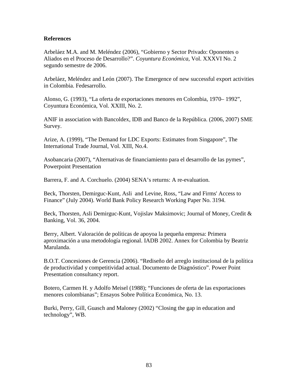### **References**

Arbeláez M.A. and M. Meléndez (2006), "Gobierno y Sector Privado: Oponentes o Aliados en el Proceso de Desarrollo?". *Coyuntura Económica*, Vol. XXXVI No. 2 segundo semestre de 2006.

Arbeláez, Meléndez and León (2007). The Emergence of new successful export activities in Colombia. Fedesarrollo.

Alonso, G. (1993), "La oferta de exportaciones menores en Colombia, 1970– 1992", Coyuntura Económica, Vol. XXIII, No. 2.

ANIF in association with Bancoldex, IDB and Banco de la República. (2006, 2007) SME Survey.

Arize, A. (1999), "The Demand for LDC Exports: Estimates from Singapore", The International Trade Journal, Vol. XIII, No.4.

Asobancaria (2007), "Alternativas de financiamiento para el desarrollo de las pymes", Powerpoint Presentation

Barrera, F. and A. Corchuelo. (2004) SENA's returns: A re-evaluation.

Beck, Thorsten, Demirguc-Kunt, Asli and Levine, Ross, "Law and Firms' Access to Finance" (July 2004). World Bank Policy Research Working Paper No. 3194.

Beck, Thorsten, Asli Demirguc-Kunt, Vojislav Maksimovic; Journal of Money, Credit & Banking, Vol. 36, 2004.

Berry, Albert. Valoración de políticas de apoyoa la pequeña empresa: Primera aproximación a una metodología regional. IADB 2002. Annex for Colombia by Beatriz Marulanda.

B.O.T. Concesiones de Gerencia (2006). "Rediseño del arreglo institucional de la política de productividad y competitividad actual. Documento de Diagnóstico". Power Point Presentation consultancy report.

Botero, Carmen H. y Adolfo Meisel (1988); "Funciones de oferta de las exportaciones menores colombianas"; Ensayos Sobre Política Económica, No. 13.

Burki, Perry, Gill, Guasch and Maloney (2002) "Closing the gap in education and technology", WB.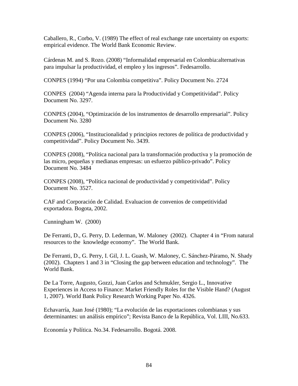Caballero, R., Corbo, V. (1989) The effect of real exchange rate uncertainty on exports: empirical evidence. The World Bank Economic Review.

Cárdenas M. and S. Rozo. (2008) "Informalidad empresarial en Colombia:alternativas para impulsar la productividad, el empleo y los ingresos". Fedesarrollo.

CONPES (1994) "Por una Colombia competitiva". Policy Document No. 2724

CONPES (2004) "Agenda interna para la Productividad y Competitividad". Policy Document No. 3297.

CONPES (2004), "Optimización de los instrumentos de desarrollo empresarial". Policy Document No. 3280

CONPES (2006), "Institucionalidad y principios rectores de política de productividad y competitividad". Policy Document No. 3439.

CONPES (2008), "Política nacional para la transformación productiva y la promoción de las micro, pequeñas y medianas empresas: un esfuerzo público-privado". Policy Document No. 3484

CONPES (2008), "Política nacional de productividad y competitividad". Policy Document No. 3527.

CAF and Corporación de Calidad. Evaluacion de convenios de competitividad exportadora. Bogota, 2002.

Cunningham W. (2000)

De Ferranti, D., G. Perry, D. Lederman, W. Maloney (2002). Chapter 4 in "From natural resources to the knowledge economy". The World Bank.

De Ferranti, D., G. Perry, I. Gil, J. L. Guash, W. Maloney, C. Sánchez-Páramo, N. Shady (2002). Chapters 1 and 3 in "Closing the gap between education and technology". The World Bank.

De La Torre, Augusto, Gozzi, Juan Carlos and Schmukler, Sergio L., Innovative Experiences in Access to Finance: Market Friendly Roles for the Visible Hand? (August 1, 2007). World Bank Policy Research Working Paper No. 4326.

Echavarría, Juan José (1980); "La evolución de las exportaciones colombianas y sus determinantes: un análisis empírico"; Revista Banco de la República, Vol. LIII, No.633.

Economía y Política. No.34. Fedesarrollo. Bogotá. 2008.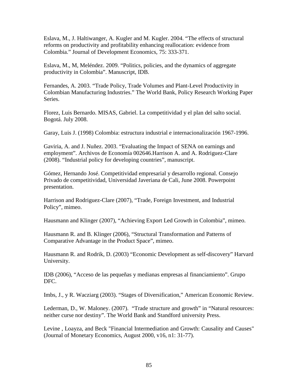Eslava, M., J. Haltiwanger, A. Kugler and M. Kugler. 2004. "The effects of structural reforms on productivity and profitability enhancing reallocation: evidence from Colombia." Journal of Development Economics, 75: 333-371.

Eslava, M., M, Meléndez. 2009. "Politics, policies, and the dynamics of aggregate productivity in Colombia". Manuscript, IDB.

Fernandes, A. 2003. "Trade Policy, Trade Volumes and Plant-Level Productivity in Colombian Manufacturing Industries." The World Bank, Policy Research Working Paper Series.

Florez, Luis Bernardo. MISAS, Gabriel. La competitividad y el plan del salto social. Bogotá. July 2008.

Garay, Luis J. (1998) Colombia: estructura industrial e internacionalización 1967-1996.

Gaviria, A. and J. Nuñez. 2003. "Evaluating the Impact of SENA on earnings and employment". Archivos de Economía 002646.Harrison A. and A. Rodriguez-Clare (2008). "Industrial policy for developing countries", manuscript.

Gómez, Hernando José. Competitividad empresarial y desarrollo regional. Consejo Privado de competitividad, Universidad Javeriana de Cali, June 2008. Powerpoint presentation.

Harrison and Rodriguez-Clare (2007), "Trade, Foreign Investment, and Industrial Policy", mimeo.

Hausmann and Klinger (2007), "Achieving Export Led Growth in Colombia", mimeo.

Hausmann R. and B. Klinger (2006), "Structural Transformation and Patterns of Comparative Advantage in the Product Space", mimeo.

Hausmann R. and Rodrik, D. (2003) "Economic Development as self-discovery" Harvard University.

IDB (2006), "Acceso de las pequeñas y medianas empresas al financiamiento". Grupo DFC.

Imbs, J., y R. Wacziarg (2003). "Stages of Diversification," American Economic Review.

Lederman, D., W. Maloney. (2007). "Trade structure and growth" in "Natural resources: neither curse nor destiny". The World Bank and Standford university Press.

Levine , Loayza, and Beck "Financial Intermediation and Growth: Causality and Causes" (Journal of Monetary Economics, August 2000, v16, n1: 31-77).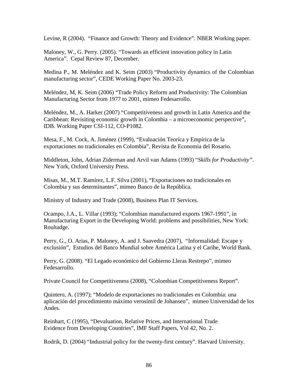Levine, R (2004). "Finance and Growth: Theory and Evidence". NBER Working paper.

Maloney, W., G. Perry. (2005). "Towards an efficient innovation policy in Latin America". Cepal Review 87, December.

Medina P., M. Meléndez and K. Seim (2003) "Productivity dynamics of the Colombian manufacturing sector", CEDE Working Paper No. 2003-23.

Meléndez, M, K. Seim (2006) "Trade Policy Reform and Productivity: The Colombian Manufacturing Sector from 1977 to 2001, mimeo Fedesarrollo.

Meléndez, M., A. Harker (2007) "Competitiveness and growth in Latin America and the Caribbean: Revisiting economic growth in Colombia – a microeconomic perspective", IDB. Working Paper CSI-112, CO-P1082.

Mesa, F., M. Cock, A. Jiménez (1999), "Evaluación Teoríca y Empírica de la exportaciones no tradicionales en Colombia", Revista de Economia del Rosario.

Middleton, John, Adrian Ziderman and Arvil van Adams (1993) "*Skills for Productivity"*. New York, Oxford University Press.

Misas, M., M.T. Ramírez, L.F. Silva (2001), "Exportaciones no tradicionales en Colombia y sus determinantes", mimeo Banco de la República.

Ministry of Industry and Trade (2008), Business Plan IT Services.

Ocampo, J.A., L. Villar (1993); "Colombian manufactured exports 1967-1991", in Manufacturing Export in the Developing World: problems and possibilities, New York: Roultadge.

Perry, G., O. Arias, P. Maloney, A. and J. Saavedra (2007), "Informalidad: Escape y exclusión", Estudios del Banco Mundial sobre América Latina y el Caribe, World Bank.

Perry, G. (2008). "El Legado económico del Gobierno Lleras Restrepo", mimeo Fedesarrollo.

Private Council for Competitiveness (2008), "Colombian Competitiveness Report".

Quintero, A. (1997); "Modelo de exportaciones no tradicionales en Colombia: una aplicación del procedimiento máximo verosímil de Johansen", mimeo Universidad de los Andes.

Reinhart, C (1995), "Devaluation, Relative Prices, and International Trade Evidence from Developing Countries", IMF Staff Papers, Vol 42, No. 2.

Rodrik, D. (2004) "Industrial policy for the twenty-first century". Harvard University.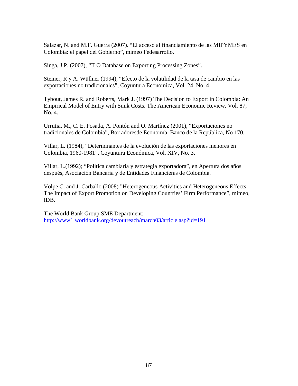Salazar, N. and M.F. Guerra (2007). "El acceso al financiamiento de las MIPYMES en Colombia: el papel del Gobierno", mimeo Fedesarrollo.

Singa, J.P. (2007), "ILO Database on Exporting Processing Zones".

Steiner, R y A. Wüllner (1994), "Efecto de la volatilidad de la tasa de cambio en las exportaciones no tradicionales", Coyuntura Economica, Vol. 24, No. 4.

Tybout, James R. and Roberts, Mark J. (1997) The Decision to Export in Colombia: An Empirical Model of Entry with Sunk Costs. The American Economic Review, Vol. 87, No. 4.

Urrutia, M., C. E. Posada, A. Pontón and O. Martínez (2001), "Exportaciones no tradicionales de Colombia", Borradoresde Economía, Banco de la República, No 170.

Villar, L. (1984), "Determinantes de la evolución de las exportaciones menores en Colombia, 1960-1981", Coyuntura Económica, Vol. XIV, No. 3.

Villar, L.(1992); "Política cambiaria y estrategia exportadora", en Apertura dos años después, Asociación Bancaria y de Entidades Financieras de Colombia.

Volpe C. and J. Carballo (2008) "Heterogeneous Activities and Heterogeneous Effects: The Impact of Export Promotion on Developing Countries' Firm Performance", mimeo, IDB.

The World Bank Group SME Department: <http://www1.worldbank.org/devoutreach/march03/article.asp?id=191>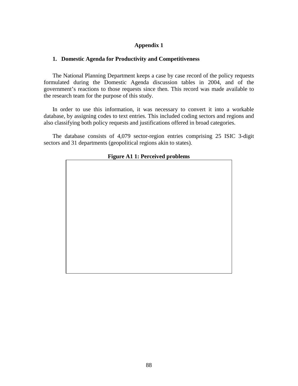## **Appendix 1**

### **1. Domestic Agenda for Productivity and Competitiveness**

The National Planning Department keeps a case by case record of the policy requests formulated during the Domestic Agenda discussion tables in 2004, and of the government's reactions to those requests since then. This record was made available to the research team for the purpose of this study.

In order to use this information, it was necessary to convert it into a workable database, by assigning codes to text entries. This included coding sectors and regions and also classifying both policy requests and justifications offered in broad categories.

The database consists of 4,079 sector-region entries comprising 25 ISIC 3-digit sectors and 31 departments (geopolitical regions akin to states).

| 1 igure 111 11 erectiveu problemb |
|-----------------------------------|
|                                   |
|                                   |
|                                   |
|                                   |
|                                   |
|                                   |
|                                   |
|                                   |
|                                   |
|                                   |
|                                   |
|                                   |
|                                   |
|                                   |
|                                   |
|                                   |
|                                   |
|                                   |
|                                   |
|                                   |
|                                   |
|                                   |

### **Figure A1 1: Perceived problems**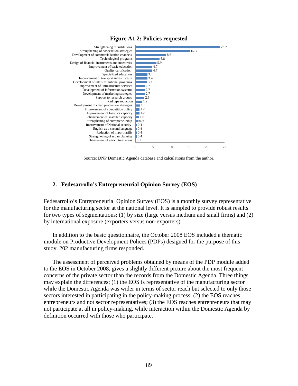

#### **Figure A1 2: Policies requested**

Source: DNP Domestic Agenda database and calculations from the author.

#### **2. Fedesarrollo's Entrepreneurial Opinion Survey (EOS)**

Fedesarrollo's Entrepreneurial Opinion Survey (EOS) is a monthly survey representative for the manufacturing sector at the national level. It is sampled to provide robust results for two types of segmentations: (1) by size (large versus medium and small firms) and (2) by international exposure (exporters versus non-exporters).

In addition to the basic questionnaire, the October 2008 EOS included a thematic module on Productive Development Polices (PDPs) designed for the purpose of this study. 202 manufacturing firms responded.

The assessment of perceived problems obtained by means of the PDP module added to the EOS in October 2008, gives a slightly different picture about the most frequent concerns of the private sector than the records from the Domestic Agenda. Three things may explain the differences: (1) the EOS is representative of the manufacturing sector while the Domestic Agenda was wider in terms of sector reach but selected to only those sectors interested in participating in the policy-making process; (2) the EOS reaches entrepreneurs and not sector representatives; (3) the EOS reaches entrepreneurs that may not participate at all in policy-making, while interaction within the Domestic Agenda by definition occurred with those who participate.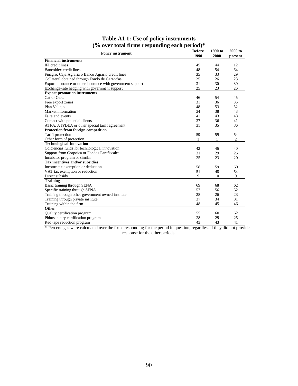|                                                             | <b>Before</b> | 1990 to | 2000 to        |
|-------------------------------------------------------------|---------------|---------|----------------|
| <b>Policy instrument</b>                                    | 1990          | 2000    | present        |
| <b>Financial instruments</b>                                |               |         |                |
| <b>IFI</b> credit lines                                     | 45            | 44      | 12             |
| Bancoldex credit lines                                      | 48            | 54      | 64             |
| Finagro, Caja Agraria o Banco Agrario credit lines          | 35            | 33      | 29             |
| Collateral obtained through Fondo de Garant'as              | 25            | 26      | 23             |
| Export insurance or other insurance with government support | 31            | 30      | 30             |
| Exchange-rate hedging with government support               | 25            | 23      | 26             |
| <b>Export promotion instruments</b>                         |               |         |                |
| Cat or Cert.                                                | 46            | 54      | 45             |
| Free export zones                                           | 31            | 36      | 35             |
| Plan Vallejo                                                | 48            | 53      | 52             |
| Market information                                          | 34            | 38      | 43             |
| Fairs and events                                            | 41            | 43      | 48             |
| Contact with potential clients                              | 37            | 36      | 41             |
| ATPA, ATPDEA or other special tariff agreement              | 31            | 35      | 36             |
| Protection from foreign competition                         |               |         |                |
| Tariff protection                                           | 59            | 59      | 54             |
| Other form of protection                                    | 1             | 1       | $\overline{2}$ |
| <b>Technological Innovation</b>                             |               |         |                |
| Colciencias funds for technological innovation              | 42            | 46      | 40             |
| Support from Corpoica or Fondos Parafiscales                | 31            | 29      | 26             |
| Incubator program or similar                                | 25            | 23      | 20             |
| Tax incentives and/or subsidies                             |               |         |                |
| Income tax exemption or deduction                           | 58            | 59      | 60             |
| VAT tax exemption or reduction                              | 51            | 48      | 54             |
| Direct subsidy                                              | 9             | 10      | 9              |
| <b>Training</b>                                             |               |         |                |
| Basic training through SENA                                 | 69            | 68      | 62             |
| Specific training through SENA                              | 57            | 56      | 52             |
| Training through other government owned institute           | 28            | 26      | 23             |
| Training through private institute                          | 37            | 34      | 31             |
| Training within the firm                                    | 48            | 45      | 46             |
| Other                                                       |               |         |                |
| Quality certification program                               | 55            | 60      | 62             |
| Phitosanitary certification program                         | 28            | 29      | 25             |
| Red tape reduction program                                  | 43            | 43      | 41             |

### **Table A1 1: Use of policy instruments (% over total firms responding each period)\***

\* Percentages were calculated over the firms responding for the period in question, regardless if they did not provide a response for the other periods.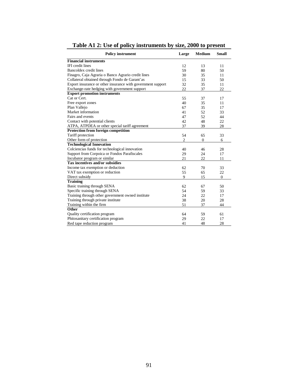| <b>Policy instrument</b>                                    | Large          | <b>Medium</b> | <b>Small</b> |
|-------------------------------------------------------------|----------------|---------------|--------------|
| <b>Financial instruments</b>                                |                |               |              |
| <b>IFI</b> credit lines                                     | 12             | 13            | 11           |
| Bancoldex credit lines                                      | 59             | 80            | 50           |
| Finagro, Caja Agraria o Banco Agrario credit lines          | 30             | 35            | 11           |
| Collateral obtained through Fondo de Garant'as              | 15             | 33            | 50           |
| Export insurance or other insurance with government support | 32             | 35            | 11           |
| Exchange-rate hedging with government support               | 22             | 37            | 22           |
| <b>Export promotion instruments</b>                         |                |               |              |
| Cat or Cert.                                                | 55             | 37            | 17           |
| Free export zones                                           | 40             | 35            | 11           |
| Plan Vallejo                                                | 67             | 35            | 17           |
| Market information                                          | 41             | 52            | 33           |
| Fairs and events                                            | 47             | 52            | 44           |
| Contact with potential clients                              | 42             | 48            | 22           |
| ATPA, ATPDEA or other special tariff agreement              | 37             | 39            | 28           |
| <b>Protection from foreign competition</b>                  |                |               |              |
| Tariff protection                                           | 54             | 65            | 33           |
| Other form of protection                                    | $\overline{c}$ | $\mathbf{0}$  | 6            |
| <b>Technological Innovation</b>                             |                |               |              |
| Colciencias funds for technological innovation              | 40             | 46            | 28           |
| Support from Corpoica or Fondos Parafiscales                | 29             | 24            | 17           |
| Incubator program or similar                                | 21             | 22            | 11           |
| Tax incentives and/or subsidies                             |                |               |              |
| Income tax exemption or deduction                           | 62             | 70            | 33           |
| VAT tax exemption or reduction                              | 55             | 65            | 22           |
| Direct subsidy                                              | 9              | 15            | $\mathbf{0}$ |
| <b>Training</b>                                             |                |               |              |
| Basic training through SENA                                 | 62             | 67            | 50           |
| Specific training through SENA                              | 54             | 59            | 33           |
| Training through other government owned institute           | 24             | 22            | 17           |
| Training through private institute                          | 38             | 20            | 28           |
| Training within the firm                                    | 51             | 37            | 44           |
| Other                                                       |                |               |              |
| Quality certification program                               | 64             | 59            | 61           |
| Phitosanitary certification program                         | 29             | 22            | 17           |
| Red tape reduction program                                  | 41             | 48            | 28           |

**Table A1 2: Use of policy instruments by size, 2000 to present**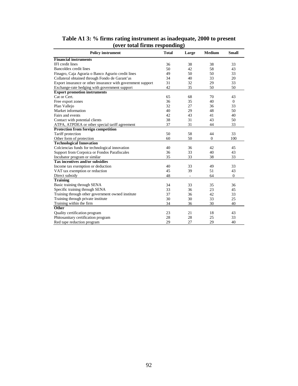| <b>Policy instrument</b>                                    | <b>Total</b> | Large | <b>Medium</b> | <b>Small</b> |
|-------------------------------------------------------------|--------------|-------|---------------|--------------|
| <b>Financial instruments</b>                                |              |       |               |              |
| IFI credit lines                                            | 36           | 38    | 38            | 33           |
| Bancoldex credit lines                                      | 50           | 42    | 58            | 43           |
| Finagro, Caja Agraria o Banco Agrario credit lines          | 49           | 50    | 50            | 33           |
| Collateral obtained through Fondo de Garant'as              | 34           | 40    | 33            | 20           |
| Export insurance or other insurance with government support | 31           | 32    | 29            | 33           |
| Exchange-rate hedging with government support               | 42           | 35    | 50            | 50           |
| <b>Export promotion instruments</b>                         |              |       |               |              |
| Cat or Cert.                                                | 65           | 68    | 70            | 43           |
| Free export zones                                           | 36           | 35    | 40            | $\mathbf{0}$ |
| Plan Vallejo                                                | 32           | 27    | 36            | 33           |
| Market information                                          | 40           | 29    | 48            | 50           |
| Fairs and events                                            | 42           | 43    | 41            | 40           |
| Contact with potential clients                              | 38           | 31    | 43            | 50           |
| ATPA, ATPDEA or other special tariff agreement              | 37           | 31    | 44            | 33           |
| Protection from foreign competition                         |              |       |               |              |
| Tariff protection                                           | 50           | 58    | 44            | 33           |
| Other form of protection                                    | 60           | 50    | $\mathbf{0}$  | 100          |
| <b>Technological Innovation</b>                             |              |       |               |              |
| Colciencias funds for technological innovation              | 40           | 36    | 42            | 45           |
| Support from Corpoica or Fondos Parafiscales                | 36           | 33    | 40            | 43           |
| Incubator program or similar                                | 35           | 33    | 38            | 33           |
| Tax incentives and/or subsidies                             |              |       |               |              |
| Income tax exemption or deduction                           | 40           | 33    | 49            | 33           |
| VAT tax exemption or reduction                              | 45           | 39    | 51            | 43           |
| Direct subsidy                                              | 48           | ÷,    | 64            | $\mathbf{0}$ |
| <b>Training</b>                                             |              |       |               |              |
| Basic training through SENA                                 | 34           | 33    | 35            | 36           |
| Specific training through SENA                              | 33           | 36    | 23            | 45           |
| Training through other government owned institute           | 37           | 36    | 42            | 33           |
| Training through private institute                          | 30           | 30    | 33            | 25           |
| Training within the firm                                    | 34           | 36    | 30            | 40           |
| <b>Other</b>                                                |              |       |               |              |
| Quality certification program                               | 23           | 21    | 18            | 43           |
| Phitosanitary certification program                         | 28           | 28    | 25            | 33           |
| Red tape reduction program                                  | 29           | 27    | 29            | 40           |

### **Table A1 3: % firms rating instrument as inadequate, 2000 to present (over total firms responding)**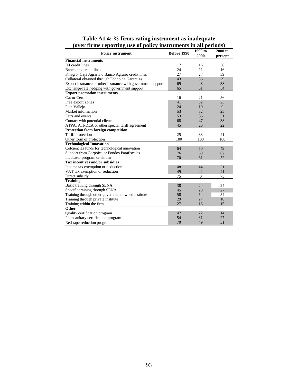|                                                             |             | $1990$ to      | 2000 to |
|-------------------------------------------------------------|-------------|----------------|---------|
| <b>Policy instrument</b>                                    | Before 1990 | 2000           | present |
| <b>Financial instruments</b>                                |             |                |         |
| IFI credit lines                                            | 17          | 16             | 38      |
| Bancoldex credit lines                                      | 24          | 11             | 16      |
| Finagro, Caja Agraria o Banco Agrario credit lines          | 27          | 27             | 39      |
| Collateral obtained through Fondo de Garant'as              | 43          | 36             | 29      |
| Export insurance or other insurance with government support | 69          | 48             | 38      |
| Exchange-rate hedging with government support               | 65          | 61             | 54      |
| <b>Export promotion instruments</b>                         |             |                |         |
| Cat or Cert.                                                | 16          | 21             | 56      |
| Free export zones                                           | 41          | 32             | 23      |
| Plan Vallejo                                                | 24          | 10             | 9       |
| Market information                                          | 53          | 32             | 25      |
| Fairs and events                                            | 53          | 36             | 31      |
| Contact with potential clients                              | 68          | 47             | 38      |
| ATPA, ATPDEA or other special tariff agreement              | 45          | 26             | 22      |
| Protection from foreign competition                         |             |                |         |
| Tariff protection                                           | 25          | 33             | 41      |
| Other form of protection                                    | 100         | 100            | 100     |
| <b>Technological Innovation</b>                             |             |                |         |
| Colciencias funds for technological innovation              | 64          | 50             | 49      |
| Support from Corpoica or Fondos Parafiscales                | 76          | 69             | 62      |
| Incubator program or similar                                | 70          | 61             | 52      |
| Tax incentives and/or subsidies                             |             |                |         |
| Income tax exemption or deduction                           | 48          | 44             | 31      |
| VAT tax exemption or reduction                              | 49          | 42             | 41      |
| Direct subsidy                                              | 75          | $\overline{0}$ | 75      |
| <b>Training</b>                                             |             |                |         |
| Basic training through SENA                                 | 38          | 24             | 24      |
| Specific training through SENA                              | 45          | 28             | 27      |
| Training through other government owned institute           | 58          | 54             | 54      |
| Training through private institute                          | 29          | 27             | 18      |
| Training within the firm                                    | 27          | 16             | 15      |
| Other                                                       |             |                |         |
| Quality certification program                               | 47          | 22             | 14      |
| Phitosanitary certification program                         | 54          | 31             | 27      |
| Red tape reduction program                                  | 70          | 49             | 31      |

**Table A1 4: % firms rating instrument as inadequate (over firms reporting use of policy instruments in all periods)**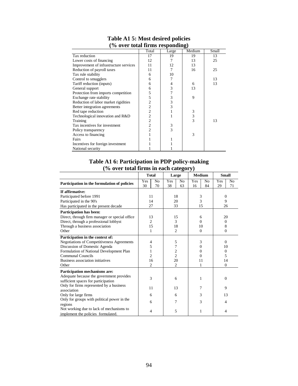| $\frac{1}{20}$ over total in the responding |                |       |        |       |  |  |
|---------------------------------------------|----------------|-------|--------|-------|--|--|
|                                             | Total          | Large | Medium | Small |  |  |
| Tax reduction                               | 17             | 19    | 19     | 13    |  |  |
| Lower costs of financing                    | 12             | 7     | 13     | 25    |  |  |
| Improvement of infrastructure services      | 11             | 12    | 13     |       |  |  |
| Reduction of payroll taxes                  | 11             | 7     | 16     | 25    |  |  |
| Tax rule stability                          | 6              | 10    |        |       |  |  |
| Control to smugglers                        | 6              | 7     |        | 13    |  |  |
| Tariff reduction (inputs)                   | 6              | 4     | 6      | 13    |  |  |
| General support                             | 6              | 3     | 13     |       |  |  |
| Protection from imports competition         | 5              | 7     |        |       |  |  |
| Exchange rate stability                     | 5              | 3     | 9      |       |  |  |
| Reduction of labor market rigidities        | $\overline{c}$ | 3     |        |       |  |  |
| Better integration agreements               | $\overline{c}$ | 3     |        |       |  |  |
| Red tape reduction                          | $\overline{c}$ |       | 3      |       |  |  |
| Technological innovation and R&D            | $\overline{c}$ | 1     | 3      |       |  |  |
| Training                                    | $\overline{c}$ |       | 3      | 13    |  |  |
| Tax incentives for investment               | $\overline{c}$ | 3     |        |       |  |  |
| Policy transparency                         | $\overline{c}$ | 3     |        |       |  |  |
| Access to financing                         |                |       | 3      |       |  |  |
| Fairs                                       |                |       |        |       |  |  |
| Incentives for foreign investment           |                |       |        |       |  |  |
| National security                           |                |       |        |       |  |  |

### **Table A1 5: Most desired policies (% over total firms responding)**

# **Table A1 6: Participation in PDP policy-making (% over total firms in each category)**

|                                                |                | <b>Total</b>   | Large    |                | <b>Medium</b> |    | <b>Small</b>             |    |          |  |
|------------------------------------------------|----------------|----------------|----------|----------------|---------------|----|--------------------------|----|----------|--|
| Participation in the formulation of policies   | Yes            | No             | Yes      | N <sub>o</sub> | Yes           | No | Yes                      | No |          |  |
|                                                | 30             | 70             | 38       | 63             | 16            | 84 | 29                       | 71 |          |  |
| If affirmative:                                |                |                |          |                |               |    |                          |    |          |  |
| Participated before 1991                       |                | 11             |          | 18             | 3             |    | $\Omega$                 |    |          |  |
| Participated in the 90's                       |                | 14             |          | 20             | 3             |    | 9                        |    |          |  |
| Has participated in the present decade         | 27             |                |          | 33             |               | 15 | 26                       |    |          |  |
| Participation has been:                        |                |                |          |                |               |    |                          |    |          |  |
| Direct, through firm manager or special office |                | 13             |          | 15             | 6             |    | 20                       |    |          |  |
| Direct, through a professional lobbyst         |                | $\overline{2}$ | 3        |                | $\Omega$      |    | $\Omega$                 |    |          |  |
| Through a business association                 |                | 15             | 18       |                |               | 10 | 8                        |    |          |  |
| Other                                          | 1              |                | 2        |                | $\Omega$      |    |                          |    | $\Omega$ |  |
| Participation in the context of:               |                |                |          |                |               |    |                          |    |          |  |
| Negotiations of Competitiveness Agreements     |                | 4              | 5        |                | 3             |    | $\Omega$                 |    |          |  |
| Discussion of Domestic Agenda                  | 5<br>7         |                | $\Omega$ |                | 10            |    |                          |    |          |  |
| Formulation of National Development Plan       | 1              |                | 2        |                | $\theta$      |    | $\Omega$                 |    |          |  |
| Communal Councils                              | $\overline{c}$ |                |          | $\overline{c}$ | 0             |    | 5                        |    |          |  |
| Business association initiatives               |                | 16             |          | 20             | 11            |    | 14                       |    |          |  |
| Other                                          |                | $\overline{2}$ | 2        |                | 1             |    | $\mathbf{0}$             |    |          |  |
| Participation mechanisms are:                  |                |                |          |                |               |    |                          |    |          |  |
| Adequate because the government provides       |                | 3              |          | 6              | 1             |    | $\Omega$                 |    |          |  |
| sufficient spaces for participation            |                |                |          |                |               |    |                          |    |          |  |
| Only for firms represented by a business       |                | 11             |          | 13             | 7             |    | 9                        |    |          |  |
| association                                    |                |                |          |                |               |    |                          |    |          |  |
| Only for large firms                           |                | 6              |          | 6              | 3             |    |                          | 13 |          |  |
| Only for groups with political power in the    |                | 6              |          | 7              | 3             |    | $\overline{\mathcal{L}}$ |    |          |  |
| regions                                        |                |                |          |                |               |    |                          |    |          |  |
| Not working due to lack of mechanisms to       |                | 4              |          | 5              | 1             |    | 4                        |    |          |  |
| implement the policies formulated.             |                |                |          |                |               |    |                          |    |          |  |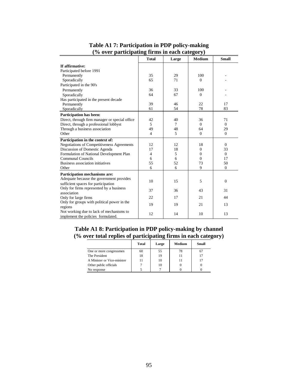|                                                | <b>Total</b>   | Large | <b>Medium</b>  | <b>Small</b> |
|------------------------------------------------|----------------|-------|----------------|--------------|
| If affirmative:                                |                |       |                |              |
| Participated before 1991                       |                |       |                |              |
| Permanently                                    | 35             | 29    | 100            |              |
| Sporadically                                   | 65             | 71    | $\Omega$       |              |
| Participated in the 90's                       |                |       |                |              |
| Permanently                                    | 36             | 33    | 100            |              |
| Sporadically                                   | 64             | 67    | $\mathbf{0}$   |              |
| Has participated in the present decade         |                |       |                |              |
| Permanently                                    | 39             | 46    | 22             | 17           |
| Sporadically                                   | 61             | 54    | 78             | 83           |
| Participation has been:                        |                |       |                |              |
| Direct, through firm manager or special office | 42             | 40    | 36             | 71           |
| Direct, through a professional lobbyst         | 5              | 7     | $\Omega$       | $\Omega$     |
| Through a business association                 | 49             | 48    | 64             | 29           |
| Other                                          | $\overline{4}$ | 5     | $\mathbf{0}$   | $\Omega$     |
| Participation in the context of:               |                |       |                |              |
| Negotiations of Competitiveness Agreements     | 12             | 12    | 18             | $\Omega$     |
| Discussion of Domestic Agenda                  | 17             | 18    | $\overline{0}$ | 33           |
| Formulation of National Development Plan       | 4              | 5     | $\Omega$       | $\Omega$     |
| Communal Councils                              | 6              | 6     | $\Omega$       | 17           |
| Business association initiatives               | 55             | 52    | 73             | 50           |
| Other                                          | 6              | 6     | 9              | $\mathbf{0}$ |
| Participation mechanisms are:                  |                |       |                |              |
| Adequate because the government provides       | 10             | 15    | 5              | $\mathbf{0}$ |
| sufficient spaces for participation            |                |       |                |              |
| Only for firms represented by a business       | 37             | 36    | 43             | 31           |
| association                                    |                |       |                |              |
| Only for large firms                           | 22             | 17    | 21             | 44           |
| Only for groups with political power in the    | 19             | 19    | 21             | 13           |
| regions                                        |                |       |                |              |
| Not working due to lack of mechanisms to       | 12             | 14    | 10             | 13           |
| implement the policies formulated.             |                |       |                |              |

### **Table A1 7: Participation in PDP policy-making (% over participating firms in each category)**

# **Table A1 8: Participation in PDP policy-making by channel (% over total replies of participating firms in each category)**

|                             | Total | Large | Medium | Small |
|-----------------------------|-------|-------|--------|-------|
| One or more congressmen     | 60    | 55    | 78     |       |
| The President               | 18    | 19    |        |       |
| A Minister or Vice-minister | 11    | 10    |        |       |
| Other public officials      |       | 10    |        |       |
| No response                 |       |       |        |       |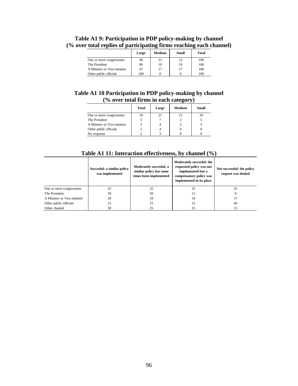|                             | Large | Medium | Small | Total |
|-----------------------------|-------|--------|-------|-------|
| One or more congressmen     | 68    | 21     | 12    | 100   |
| The President               | 80    | 10     | 10    | 100   |
| A Minister or Vice-minister | 67    | 17     | 17    | 100   |
| Other public officials      | 100   |        |       | 100   |

# **Table A1 9: Participation in PDP policy-making by channel (% over total replies of participating firms reaching each channel)**

#### **Table A1 10 Participation in PDP policy-making by channel (% over total firms in each category)**  $\overline{\phantom{0}}$

|                             | Total | Large | Medium | Small |
|-----------------------------|-------|-------|--------|-------|
| One or more congressmen     | 18    |       |        |       |
| The President               |       |       |        |       |
| A Minister or Vice-minister |       |       |        |       |
| Other public officials      |       |       |        |       |
| No response                 |       |       |        |       |

|  |  | Table A1 11: Interaction effectiveness, by channel $\left(\frac{0}{0}\right)$ |  |  |
|--|--|-------------------------------------------------------------------------------|--|--|
|  |  |                                                                               |  |  |

|                             | Succesful: a similar policy<br>was implemented | Moderately succesful: a<br>similar policy has some<br>times been implemented | Moderately succesful: the<br>requested policy was not<br>implemented but a<br>compensatory policy was<br>implemented in its place | Not successful: the policy<br>request was denied |
|-----------------------------|------------------------------------------------|------------------------------------------------------------------------------|-----------------------------------------------------------------------------------------------------------------------------------|--------------------------------------------------|
| One or more congressmen     | 25                                             | 25                                                                           | 25                                                                                                                                | 25                                               |
| The President               | 39                                             | 50                                                                           | 11                                                                                                                                |                                                  |
| A Minister or Vice-minister | 20                                             | 29                                                                           | 34                                                                                                                                | 17                                               |
| Other public officials      | 23                                             | 15                                                                           | 15                                                                                                                                | 46                                               |
| Other channel               | 38                                             | 25                                                                           | 25                                                                                                                                | 13                                               |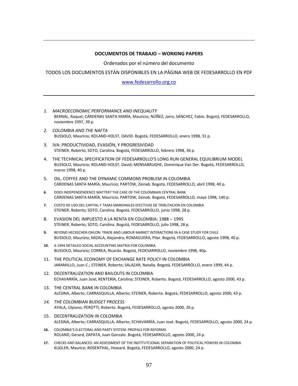#### **DOCUMENTOS DE TRABAJO – WORKING PAPERS**

Ordenados por el número del documento

TODOS LOS DOCUMENTOS ESTÁN DISPONIBLES EN LA PÁGINA WEB DE FEDESARROLLO EN PDF

#### [www.fedesarrollo.org.co](http://www.fedesarrollo.org.co/)

- *1. MACROECONOMIC PERFORMANCE AND INEQUALITY*  BERNAL, Raquel; CÁRDENAS SANTA MARÍA, Mauricio; NÚÑEZ, Jairo; SÁNCHEZ, Fabio. Bogotá, FEDESARROLLO, noviembre 1997, 39 p.
- *2. COLOMBIA AND THE NAFTA* BUSSOLO, Mauricio; ROLAND-HOLST, DAVID. Bogotá, FEDESARROLLO, enero 1998, 31 p.
- 3. IVA: PRODUCTIVIDAD, EVASIÓN, Y PROGRESIVIDAD STEINER, Roberto; SOTO, Carolina. Bogotá, FEDESARROLLO, febrero 1998, 36 p.
- 4. THE TECHNICAL SPECIFICATION OF FEDESARROLLO'S LONG RUN GENERAL EQUILIBRIUM MODEL BUSSOLO, Mauricio; ROLAND-HOLST, David; MENSABRUGHE, Dominique Van Der. Bogotá, FEDESARROLLO, marzo 1998, 40 p.
- 5. OIL, COFFEE AND THE DYNAMIC COMMONS PROBLEM IN COLOMBIA CÁRDENAS SANTA MARÍA, Mauricio; PARTOW, Zeinab. Bogotá, FEDESARROLLO, abril 1998, 40 p.
- **6.** DOES INDEPENDENDENCE MATTER? THE CASE OF THE COLOMBIAN CENTRAL BANK CÁRDENAS SANTA MARÍA, Mauricio; PARTOW, Zeinab. Bogotá, FEDESARROLLO, mayo 1998, 140 p.
- **7.** COSTO DE USO DEL CAPITAL Y TASAS MARGINALES EFECTIVAS DE TRIBUTACION EN COLOMBIA STEINER, Roberto; SOTO, Carolina. Bogotá, FEDESARROLLO, junio 1998, 28 p.
- 8. EVASION DEL IMPUESTO A LA RENTA EN COLOMBIA: 1988 1995 STEINER, Roberto; SOTO, Carolina. Bogotá, FEDESARROLLO, julio 1998, 28 p.
- **9.** BEYOND HECKSCHER-OHLON: TRADE AND LABOUR MARKET INTERACTIONS IN A CASE STUDY FOR CHILE BUSSOLO, Maurizio; MIZALA, Alejandra; ROMAGUERA, Pilar. Bogotá, FEDESARROLLO, agosto 1998, 40 p.
- **10.** A 1994 DETAILED SOCIAL ACCOUNTING MATRIX FOR COLOMBIA BUSSOLO, Maurizio; CORREA, Ricardo. Bogotá, FEDESARROLLO, noviembre 1998, 40p.
- 11. THE POLITICAL ECONOMY OF EXCHANGE RATE POLICY IN COLOMBIA JARAMILLO, Juan C.; STEINER, Roberto; SALAZAR, Natalia. Bogotá, FEDESARROLLO, enero 1999, 44 p.
- 12. DECENTRALIZATION AND BAILOUTS IN COLOMBIA ECHAVARRÍA, Juan José; RENTERÍA, Carolina; STEINER, Roberto. Bogotá, FEDESARROLLO, agosto 2000, 43 p.
- 13. THE CENTRAL BANK IN COLOMBIA ALESINA, Alberto; CARRASQUILLA, Alberto; STEINER, Roberto. Bogotá, FEDESARROLLO, agosto 2000, 43 p.
- *14. THE COLOMBIAN BUDGET PROCESS*  AYALA, Ulpiano; PEROTTI, Roberto. Bogotá, FEDESARROLLO, agosto 2000, 26 p.
- 15. DECENTRALIZATION IN COLOMBIA ALESINA, Alberto; CARRASQUILLA, Alberto; ECHAVARRÍA, Juan José. Bogotá, FEDESARROLLO, agosto 2000, 24 p.
- **16.** COLOMBIA'S ELECTORAL AND PARTY SYSTEM: PROPALS FOR REFORMS ROLAND, Gerard; ZAPATA, Juan Gonzalo. Bogotá, FEDESARROLLO, agosto 2000, 24 p.
- **17.** CHECKS AND BALANCES: AN ASSESSMENT OF THE INSTITUTCIONAL SEPARATION OF POLITICAL POWERS IN COLOMBIA KUGLER, Maurice; ROSENTHAL, Howard. Bogotá, FEDESARROLLO, agosto 2000, 24 p.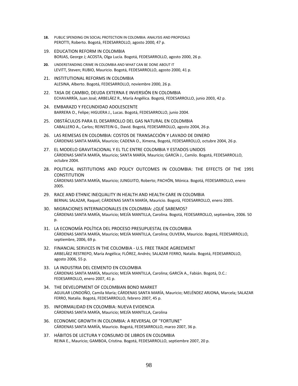- **18.** PUBLIC SPENDING ON SOCIAL PROTECTION IN COLOMBIA: ANALYSIS AND PROPOSALS PEROTTI, Roberto. Bogotá, FEDESARROLLO, agosto 2000, 47 p.
- 19. EDUCATION REFORM IN COLOMBIA BORJAS, George J; ACOSTA, Olga Lucía. Bogotá, FEDESARROLLO, agosto 2000, 26 p.
- **20.** UNDERSTANDING CRIME IN COLOMBIA AND WHAT CAN BE DONE ABOUT IT LEVITT, Steven; RUBIO, Mauricio. Bogotá, FEDESARROLLO, agosto 2000, 41 p.
- 21. INSTITUTIONAL REFORMS IN COLOMBIA ALESINA, Alberto. Bogotá, FEDESARROLLO, noviembre 2000, 26 p.
- 22. TASA DE CAMBIO, DEUDA EXTERNA E INVERSIÓN EN COLOMBIA ECHAVARRÍA, Juan José; ARBELÁEZ R., María Angélica. Bogotá, FEDESARROLLO, junio 2003, 42 p.
- 24. EMBARAZO Y FECUNDIDAD ADOLESCENTE BARRERA O., Felipe; HIGUERA J., Lucas. Bogotá, FEDESARROLLO, junio 2004.
- 25. OBSTÁCULOS PARA EL DESARROLLO DEL GAS NATURAL EN COLOMBIA CABALLERO A., Carlos; REINSTEIN G., David. Bogotá, FEDESARROLLO, agosto 2004, 26 p.
- 26. LAS REMESAS EN COLOMBIA: COSTOS DE TRANSACCIÓN Y LAVADO DE DINERO CÁRDENAS SANTA MARÍA, Mauricio; CADENA O., Ximena, Bogotá, FEDESARROLLO, octubre 2004, 26 p.
- 27. EL MODELO GRAVITACIONAL Y EL TLC ENTRE COLOMBIA Y ESTADOS UNIDOS CÁRDENAS SANTA MARÍA, Mauricio; SANTA MARÍA, Mauricio; GARCÍA J., Camilo. Bogotá, FEDESARROLLO, octubre 2004.
- 28. POLITICAL INSTITUTIONS AND POLICY OUTCOMES IN COLOMBIA: THE EFFECTS OF THE 1991 **CONSTITUTION** CÁRDENAS SANTA MARÍA, Mauricio; JUNGUITO, Roberto; PACHÓN, Mónica. Bogotá, FEDESARROLLO, enero 2005.
- 29. RACE AND ETHNIC INEQUALITY IN HEALTH AND HEALTH CARE IN COLOMBIA BERNAL SALAZAR, Raquel; CÁRDENAS SANTA MARÍA, Mauricio. Bogotá, FEDESARROLLO, enero 2005.
- 30. MIGRACIONES INTERNACIONALES EN COLOMBIA: ¿QUÉ SABEMOS? CÁRDENAS SANTA MARÍA, Mauricio; MEJÍA MANTILLA, Carolina. Bogotá, FEDESARROLLO, septiembre, 2006. 50  $p<sub>0</sub>$
- 31. LA ECONOMÍA POLÍTICA DEL PROCESO PRESUPUESTAL EN COLOMBIA CÁRDENAS SANTA MARÍA, Mauricio; MEJÍA MANTILLA, Carolina; OLIVERA, Mauricio. Bogotá, FEDESARROLLO, septiembre, 2006, 69 p.
- 32. FINANCIAL SERVICES IN THE COLOMBIA U.S. FREE TRADE AGREEMENT ARBELÁEZ RESTREPO, María Angélica; FLÓREZ, Andrés; SALAZAR FERRO, Natalia. Bogotá, FEDESARROLLO, agosto 2006, 55 p.
- 33. LA INDUSTRIA DEL CEMENTO EN COLOMBIA CÁRDENAS SANTA MARÍA, Mauricio; MEJÍA MANTILLA, Carolina; GARCÍA A., Fabián. Bogotá, D.C.: FEDESARROLLO, enero 2007, 41 p.
- 34. THE DEVELOPMENT OF COLOMBIAN BOND MARKET AGUILAR LONDOÑO, Camila María; CÁRDENAS SANTA MARÍA, Mauricio; MELÉNDEZ ARJONA, Marcela; SALAZAR FERRO, Natalia. Bogotá, FEDESARROLLO, febrero 2007, 45 p.
- 35. INFORMALIDAD EN COLOMBIA: NUEVA EVIDENCIA CÁRDENAS SANTA MARÍA, Mauricio; MEJÍA MANTILLA, Carolina
- 36. ECONOMIC GROWTH IN COLOMBIA: A REVERSAL OF "FORTUNE" CÁRDENAS SANTA MARÍA, Mauricio. Bogotá, FEDESARROLLO, marzo 2007, 36 p.
- 37. HÁBITOS DE LECTURA Y CONSUMO DE LIBROS EN COLOMBIA REINA E., Mauricio; GAMBOA, Cristina. Bogotá, FEDESARROLLO, septiembre 2007, 20 p.